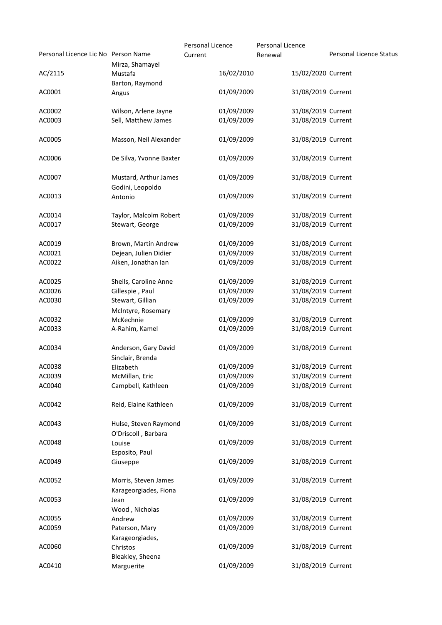| Personal Licence Lic No Person Name |                                                 | Personal Licence<br>Current | <b>Personal Licence</b><br>Renewal | Personal Licence Status |
|-------------------------------------|-------------------------------------------------|-----------------------------|------------------------------------|-------------------------|
| AC/2115                             | Mirza, Shamayel<br>Mustafa                      | 16/02/2010                  | 15/02/2020 Current                 |                         |
| AC0001                              | Barton, Raymond<br>Angus                        | 01/09/2009                  | 31/08/2019 Current                 |                         |
| AC0002                              | Wilson, Arlene Jayne                            | 01/09/2009                  | 31/08/2019 Current                 |                         |
| AC0003                              | Sell, Matthew James                             | 01/09/2009                  | 31/08/2019 Current                 |                         |
| AC0005                              | Masson, Neil Alexander                          | 01/09/2009                  | 31/08/2019 Current                 |                         |
| AC0006                              | De Silva, Yvonne Baxter                         | 01/09/2009                  | 31/08/2019 Current                 |                         |
| AC0007                              | Mustard, Arthur James<br>Godini, Leopoldo       | 01/09/2009                  | 31/08/2019 Current                 |                         |
| AC0013                              | Antonio                                         | 01/09/2009                  | 31/08/2019 Current                 |                         |
| AC0014                              | Taylor, Malcolm Robert                          | 01/09/2009                  | 31/08/2019 Current                 |                         |
| AC0017                              | Stewart, George                                 | 01/09/2009                  | 31/08/2019 Current                 |                         |
| AC0019                              | Brown, Martin Andrew                            | 01/09/2009                  | 31/08/2019 Current                 |                         |
| AC0021                              | Dejean, Julien Didier                           | 01/09/2009                  | 31/08/2019 Current                 |                         |
| AC0022                              | Aiken, Jonathan Ian                             | 01/09/2009                  | 31/08/2019 Current                 |                         |
| AC0025                              | Sheils, Caroline Anne                           | 01/09/2009                  | 31/08/2019 Current                 |                         |
| AC0026                              | Gillespie, Paul                                 | 01/09/2009                  | 31/08/2019 Current                 |                         |
| AC0030                              | Stewart, Gillian<br>McIntyre, Rosemary          | 01/09/2009                  | 31/08/2019 Current                 |                         |
| AC0032                              | McKechnie                                       | 01/09/2009                  | 31/08/2019 Current                 |                         |
| AC0033                              | A-Rahim, Kamel                                  | 01/09/2009                  | 31/08/2019 Current                 |                         |
| AC0034                              | Anderson, Gary David<br>Sinclair, Brenda        | 01/09/2009                  | 31/08/2019 Current                 |                         |
| AC0038                              | Elizabeth                                       | 01/09/2009                  | 31/08/2019 Current                 |                         |
| AC0039                              | McMillan, Eric                                  | 01/09/2009                  | 31/08/2019 Current                 |                         |
| AC0040                              | Campbell, Kathleen                              | 01/09/2009                  | 31/08/2019 Current                 |                         |
| AC0042                              | Reid, Elaine Kathleen                           | 01/09/2009                  | 31/08/2019 Current                 |                         |
| AC0043                              | Hulse, Steven Raymond<br>O'Driscoll, Barbara    | 01/09/2009                  | 31/08/2019 Current                 |                         |
| AC0048                              | Louise<br>Esposito, Paul                        | 01/09/2009                  | 31/08/2019 Current                 |                         |
| AC0049                              | Giuseppe                                        | 01/09/2009                  | 31/08/2019 Current                 |                         |
| AC0052                              | Morris, Steven James                            | 01/09/2009                  | 31/08/2019 Current                 |                         |
| AC0053                              | Karageorgiades, Fiona<br>Jean<br>Wood, Nicholas | 01/09/2009                  | 31/08/2019 Current                 |                         |
| AC0055                              | Andrew                                          | 01/09/2009                  | 31/08/2019 Current                 |                         |
| AC0059                              | Paterson, Mary                                  | 01/09/2009                  | 31/08/2019 Current                 |                         |
| AC0060                              | Karageorgiades,<br>Christos                     | 01/09/2009                  | 31/08/2019 Current                 |                         |
| AC0410                              | Bleakley, Sheena<br>Marguerite                  | 01/09/2009                  | 31/08/2019 Current                 |                         |
|                                     |                                                 |                             |                                    |                         |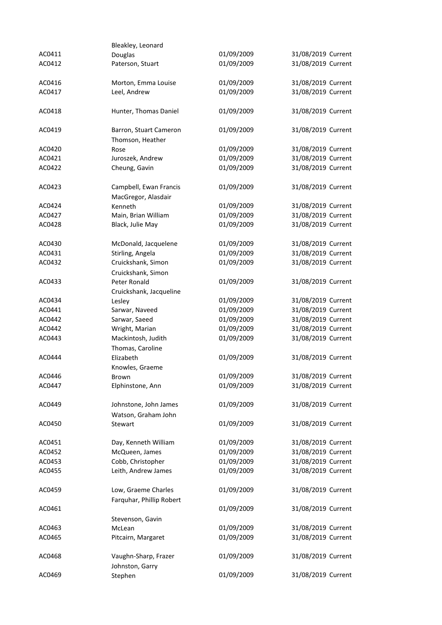|        | Bleakley, Leonard        |            |                    |
|--------|--------------------------|------------|--------------------|
| AC0411 | Douglas                  | 01/09/2009 | 31/08/2019 Current |
| AC0412 | Paterson, Stuart         | 01/09/2009 | 31/08/2019 Current |
|        |                          |            |                    |
| AC0416 | Morton, Emma Louise      | 01/09/2009 | 31/08/2019 Current |
| AC0417 | Leel, Andrew             | 01/09/2009 | 31/08/2019 Current |
|        |                          |            |                    |
| AC0418 | Hunter, Thomas Daniel    | 01/09/2009 | 31/08/2019 Current |
|        |                          |            |                    |
| AC0419 | Barron, Stuart Cameron   | 01/09/2009 | 31/08/2019 Current |
|        | Thomson, Heather         |            |                    |
| AC0420 | Rose                     | 01/09/2009 | 31/08/2019 Current |
| AC0421 | Juroszek, Andrew         | 01/09/2009 | 31/08/2019 Current |
| AC0422 | Cheung, Gavin            | 01/09/2009 | 31/08/2019 Current |
|        |                          |            |                    |
| AC0423 | Campbell, Ewan Francis   | 01/09/2009 | 31/08/2019 Current |
|        | MacGregor, Alasdair      |            |                    |
| AC0424 | Kenneth                  | 01/09/2009 | 31/08/2019 Current |
| AC0427 | Main, Brian William      | 01/09/2009 | 31/08/2019 Current |
|        |                          | 01/09/2009 | 31/08/2019 Current |
| AC0428 | Black, Julie May         |            |                    |
|        |                          |            |                    |
| AC0430 | McDonald, Jacquelene     | 01/09/2009 | 31/08/2019 Current |
| AC0431 | Stirling, Angela         | 01/09/2009 | 31/08/2019 Current |
| AC0432 | Cruickshank, Simon       | 01/09/2009 | 31/08/2019 Current |
|        | Cruickshank, Simon       |            |                    |
| AC0433 | Peter Ronald             | 01/09/2009 | 31/08/2019 Current |
|        | Cruickshank, Jacqueline  |            |                    |
| AC0434 | Lesley                   | 01/09/2009 | 31/08/2019 Current |
| AC0441 | Sarwar, Naveed           | 01/09/2009 | 31/08/2019 Current |
| AC0442 | Sarwar, Saeed            | 01/09/2009 | 31/08/2019 Current |
| AC0442 | Wright, Marian           | 01/09/2009 | 31/08/2019 Current |
| AC0443 | Mackintosh, Judith       | 01/09/2009 | 31/08/2019 Current |
|        | Thomas, Caroline         |            |                    |
| AC0444 | Elizabeth                | 01/09/2009 | 31/08/2019 Current |
|        | Knowles, Graeme          |            |                    |
| AC0446 | Brown                    | 01/09/2009 | 31/08/2019 Current |
| AC0447 | Elphinstone, Ann         | 01/09/2009 | 31/08/2019 Current |
|        |                          |            |                    |
| AC0449 | Johnstone, John James    | 01/09/2009 | 31/08/2019 Current |
|        | Watson, Graham John      |            |                    |
| AC0450 | Stewart                  | 01/09/2009 | 31/08/2019 Current |
|        |                          |            |                    |
| AC0451 | Day, Kenneth William     | 01/09/2009 | 31/08/2019 Current |
| AC0452 | McQueen, James           | 01/09/2009 | 31/08/2019 Current |
| AC0453 | Cobb, Christopher        | 01/09/2009 | 31/08/2019 Current |
|        | Leith, Andrew James      | 01/09/2009 | 31/08/2019 Current |
| AC0455 |                          |            |                    |
|        |                          |            |                    |
| AC0459 | Low, Graeme Charles      | 01/09/2009 | 31/08/2019 Current |
|        | Farquhar, Phillip Robert |            |                    |
| AC0461 |                          | 01/09/2009 | 31/08/2019 Current |
|        | Stevenson, Gavin         |            |                    |
| AC0463 | McLean                   | 01/09/2009 | 31/08/2019 Current |
| AC0465 | Pitcairn, Margaret       | 01/09/2009 | 31/08/2019 Current |
|        |                          |            |                    |
| AC0468 | Vaughn-Sharp, Frazer     | 01/09/2009 | 31/08/2019 Current |
|        | Johnston, Garry          |            |                    |
| AC0469 | Stephen                  | 01/09/2009 | 31/08/2019 Current |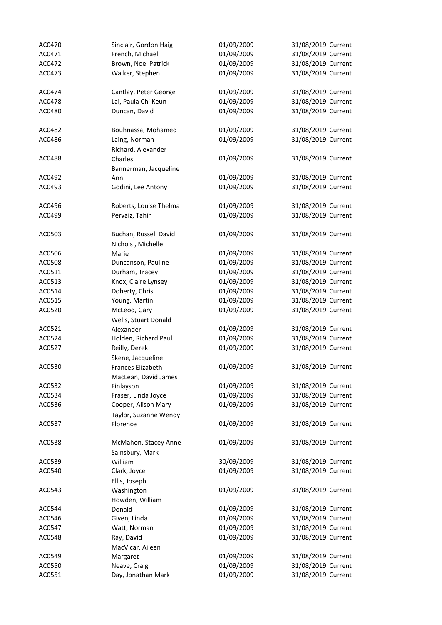| AC0470 | Sinclair, Gordon Haig       | 01/09/2009 | 31/08/2019 Current |
|--------|-----------------------------|------------|--------------------|
| AC0471 | French, Michael             | 01/09/2009 | 31/08/2019 Current |
| AC0472 | Brown, Noel Patrick         | 01/09/2009 | 31/08/2019 Current |
| AC0473 | Walker, Stephen             | 01/09/2009 | 31/08/2019 Current |
|        |                             |            |                    |
| AC0474 | Cantlay, Peter George       | 01/09/2009 | 31/08/2019 Current |
| AC0478 | Lai, Paula Chi Keun         | 01/09/2009 | 31/08/2019 Current |
| AC0480 | Duncan, David               | 01/09/2009 | 31/08/2019 Current |
|        |                             |            |                    |
| AC0482 | Bouhnassa, Mohamed          | 01/09/2009 | 31/08/2019 Current |
| AC0486 | Laing, Norman               | 01/09/2009 | 31/08/2019 Current |
|        | Richard, Alexander          |            |                    |
| AC0488 | Charles                     | 01/09/2009 | 31/08/2019 Current |
|        | Bannerman, Jacqueline       |            |                    |
| AC0492 | Ann                         | 01/09/2009 | 31/08/2019 Current |
| AC0493 | Godini, Lee Antony          | 01/09/2009 | 31/08/2019 Current |
|        |                             |            |                    |
| AC0496 | Roberts, Louise Thelma      | 01/09/2009 | 31/08/2019 Current |
| AC0499 | Pervaiz, Tahir              | 01/09/2009 | 31/08/2019 Current |
|        |                             |            |                    |
| AC0503 | Buchan, Russell David       | 01/09/2009 | 31/08/2019 Current |
|        | Nichols, Michelle           |            |                    |
| AC0506 |                             | 01/09/2009 | 31/08/2019 Current |
| AC0508 | Marie<br>Duncanson, Pauline | 01/09/2009 | 31/08/2019 Current |
| AC0511 |                             | 01/09/2009 | 31/08/2019 Current |
|        | Durham, Tracey              |            |                    |
| AC0513 | Knox, Claire Lynsey         | 01/09/2009 | 31/08/2019 Current |
| AC0514 | Doherty, Chris              | 01/09/2009 | 31/08/2019 Current |
| AC0515 | Young, Martin               | 01/09/2009 | 31/08/2019 Current |
| AC0520 | McLeod, Gary                | 01/09/2009 | 31/08/2019 Current |
|        | Wells, Stuart Donald        |            |                    |
| AC0521 | Alexander                   | 01/09/2009 | 31/08/2019 Current |
| AC0524 | Holden, Richard Paul        | 01/09/2009 | 31/08/2019 Current |
| AC0527 | Reilly, Derek               | 01/09/2009 | 31/08/2019 Current |
|        | Skene, Jacqueline           |            |                    |
| AC0530 | Frances Elizabeth           | 01/09/2009 | 31/08/2019 Current |
|        | MacLean, David James        |            |                    |
| AC0532 | Finlayson                   | 01/09/2009 | 31/08/2019 Current |
| AC0534 | Fraser, Linda Joyce         | 01/09/2009 | 31/08/2019 Current |
| AC0536 | Cooper, Alison Mary         | 01/09/2009 | 31/08/2019 Current |
|        | Taylor, Suzanne Wendy       |            |                    |
| AC0537 | Florence                    | 01/09/2009 | 31/08/2019 Current |
|        |                             |            |                    |
| AC0538 | McMahon, Stacey Anne        | 01/09/2009 | 31/08/2019 Current |
|        | Sainsbury, Mark             |            |                    |
| AC0539 | William                     | 30/09/2009 | 31/08/2019 Current |
| AC0540 | Clark, Joyce                | 01/09/2009 | 31/08/2019 Current |
|        | Ellis, Joseph               |            |                    |
| AC0543 | Washington                  | 01/09/2009 | 31/08/2019 Current |
|        | Howden, William             |            |                    |
| AC0544 | Donald                      | 01/09/2009 | 31/08/2019 Current |
| AC0546 | Given, Linda                | 01/09/2009 | 31/08/2019 Current |
| AC0547 | Watt, Norman                | 01/09/2009 | 31/08/2019 Current |
| AC0548 | Ray, David                  | 01/09/2009 | 31/08/2019 Current |
|        | MacVicar, Aileen            |            |                    |
| AC0549 | Margaret                    | 01/09/2009 | 31/08/2019 Current |
| AC0550 | Neave, Craig                | 01/09/2009 | 31/08/2019 Current |
| AC0551 | Day, Jonathan Mark          | 01/09/2009 | 31/08/2019 Current |
|        |                             |            |                    |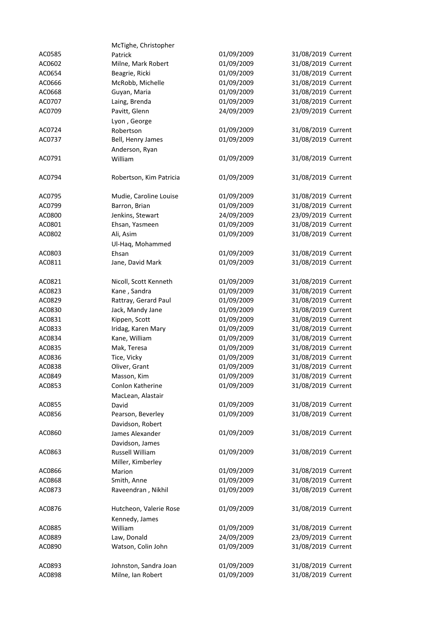|        | McTighe, Christopher      |            |                    |
|--------|---------------------------|------------|--------------------|
| AC0585 | Patrick                   | 01/09/2009 | 31/08/2019 Current |
| AC0602 | Milne, Mark Robert        | 01/09/2009 | 31/08/2019 Current |
| AC0654 | Beagrie, Ricki            | 01/09/2009 | 31/08/2019 Current |
| AC0666 | McRobb, Michelle          | 01/09/2009 | 31/08/2019 Current |
| AC0668 | Guyan, Maria              | 01/09/2009 | 31/08/2019 Current |
| AC0707 | Laing, Brenda             | 01/09/2009 | 31/08/2019 Current |
| AC0709 | Pavitt, Glenn             | 24/09/2009 | 23/09/2019 Current |
|        | Lyon, George              |            |                    |
| AC0724 | Robertson                 | 01/09/2009 | 31/08/2019 Current |
| AC0737 | Bell, Henry James         | 01/09/2009 | 31/08/2019 Current |
|        |                           |            |                    |
| AC0791 | Anderson, Ryan<br>William | 01/09/2009 | 31/08/2019 Current |
|        |                           |            |                    |
| AC0794 | Robertson, Kim Patricia   | 01/09/2009 | 31/08/2019 Current |
|        |                           |            |                    |
| AC0795 | Mudie, Caroline Louise    | 01/09/2009 | 31/08/2019 Current |
| AC0799 | Barron, Brian             | 01/09/2009 | 31/08/2019 Current |
| AC0800 | Jenkins, Stewart          | 24/09/2009 | 23/09/2019 Current |
| AC0801 | Ehsan, Yasmeen            | 01/09/2009 | 31/08/2019 Current |
| AC0802 | Ali, Asim                 | 01/09/2009 | 31/08/2019 Current |
|        |                           |            |                    |
| AC0803 | Ul-Haq, Mohammed<br>Ehsan | 01/09/2009 | 31/08/2019 Current |
|        |                           | 01/09/2009 | 31/08/2019 Current |
| AC0811 | Jane, David Mark          |            |                    |
| AC0821 | Nicoll, Scott Kenneth     | 01/09/2009 | 31/08/2019 Current |
| AC0823 | Kane, Sandra              | 01/09/2009 | 31/08/2019 Current |
| AC0829 | Rattray, Gerard Paul      | 01/09/2009 | 31/08/2019 Current |
| AC0830 | Jack, Mandy Jane          | 01/09/2009 | 31/08/2019 Current |
| AC0831 | Kippen, Scott             | 01/09/2009 | 31/08/2019 Current |
| AC0833 | Iridag, Karen Mary        | 01/09/2009 | 31/08/2019 Current |
| AC0834 | Kane, William             | 01/09/2009 | 31/08/2019 Current |
| AC0835 | Mak, Teresa               | 01/09/2009 | 31/08/2019 Current |
| AC0836 | Tice, Vicky               | 01/09/2009 | 31/08/2019 Current |
|        |                           | 01/09/2009 | 31/08/2019 Current |
| AC0838 | Oliver, Grant             |            |                    |
| AC0849 | Masson, Kim               | 01/09/2009 | 31/08/2019 Current |
| AC0853 | Conlon Katherine          | 01/09/2009 | 31/08/2019 Current |
|        | MacLean, Alastair         |            |                    |
| AC0855 | David                     | 01/09/2009 | 31/08/2019 Current |
| AC0856 | Pearson, Beverley         | 01/09/2009 | 31/08/2019 Current |
|        | Davidson, Robert          |            |                    |
| AC0860 | James Alexander           | 01/09/2009 | 31/08/2019 Current |
|        | Davidson, James           |            |                    |
| AC0863 | Russell William           | 01/09/2009 | 31/08/2019 Current |
|        | Miller, Kimberley         |            |                    |
| AC0866 | Marion                    | 01/09/2009 | 31/08/2019 Current |
| AC0868 | Smith, Anne               | 01/09/2009 | 31/08/2019 Current |
| AC0873 | Raveendran, Nikhil        | 01/09/2009 | 31/08/2019 Current |
|        |                           |            |                    |
| AC0876 | Hutcheon, Valerie Rose    | 01/09/2009 | 31/08/2019 Current |
|        | Kennedy, James            |            |                    |
| AC0885 | William                   | 01/09/2009 | 31/08/2019 Current |
| AC0889 | Law, Donald               | 24/09/2009 | 23/09/2019 Current |
| AC0890 | Watson, Colin John        | 01/09/2009 | 31/08/2019 Current |
|        |                           |            |                    |
| AC0893 | Johnston, Sandra Joan     | 01/09/2009 | 31/08/2019 Current |
| AC0898 | Milne, Ian Robert         | 01/09/2009 | 31/08/2019 Current |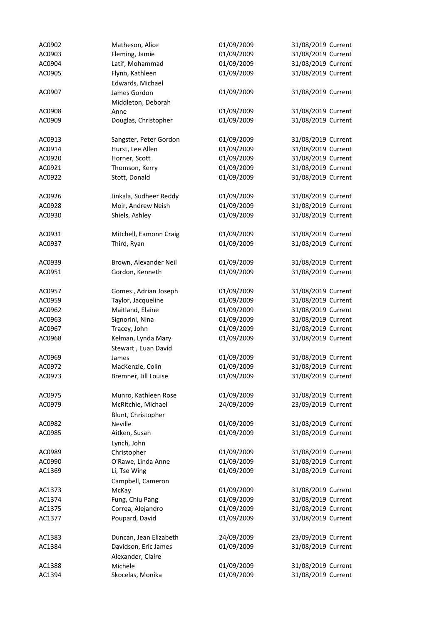| AC0902 | Matheson, Alice          | 01/09/2009               | 31/08/2019 Current |
|--------|--------------------------|--------------------------|--------------------|
| AC0903 | Fleming, Jamie           | 01/09/2009               | 31/08/2019 Current |
| AC0904 | Latif, Mohammad          | 01/09/2009               | 31/08/2019 Current |
| AC0905 | Flynn, Kathleen          | 01/09/2009               | 31/08/2019 Current |
|        | Edwards, Michael         |                          |                    |
| AC0907 | James Gordon             | 01/09/2009               | 31/08/2019 Current |
|        | Middleton, Deborah       |                          |                    |
| AC0908 | Anne                     | 01/09/2009               | 31/08/2019 Current |
| AC0909 | Douglas, Christopher     | 01/09/2009               | 31/08/2019 Current |
|        |                          |                          |                    |
| AC0913 | Sangster, Peter Gordon   | 01/09/2009               | 31/08/2019 Current |
| AC0914 | Hurst, Lee Allen         | 01/09/2009               | 31/08/2019 Current |
| AC0920 | Horner, Scott            | 01/09/2009               | 31/08/2019 Current |
| AC0921 | Thomson, Kerry           | 01/09/2009               | 31/08/2019 Current |
| AC0922 | Stott, Donald            | 01/09/2009               | 31/08/2019 Current |
|        |                          |                          |                    |
| AC0926 | Jinkala, Sudheer Reddy   | 01/09/2009               | 31/08/2019 Current |
| AC0928 | Moir, Andrew Neish       | 01/09/2009               | 31/08/2019 Current |
| AC0930 | Shiels, Ashley           | 01/09/2009               | 31/08/2019 Current |
|        |                          |                          |                    |
| AC0931 | Mitchell, Eamonn Craig   | 01/09/2009               | 31/08/2019 Current |
| AC0937 | Third, Ryan              | 01/09/2009               | 31/08/2019 Current |
|        |                          |                          |                    |
| AC0939 | Brown, Alexander Neil    | 01/09/2009               | 31/08/2019 Current |
| AC0951 | Gordon, Kenneth          | 01/09/2009               | 31/08/2019 Current |
|        |                          |                          |                    |
| AC0957 | Gomes, Adrian Joseph     | 01/09/2009               | 31/08/2019 Current |
| AC0959 | Taylor, Jacqueline       | 01/09/2009               | 31/08/2019 Current |
| AC0962 | Maitland, Elaine         | 01/09/2009               | 31/08/2019 Current |
| AC0963 | Signorini, Nina          | 01/09/2009               | 31/08/2019 Current |
| AC0967 | Tracey, John             | 01/09/2009               | 31/08/2019 Current |
| AC0968 | Kelman, Lynda Mary       | 01/09/2009               | 31/08/2019 Current |
|        | Stewart, Euan David      |                          |                    |
| AC0969 | James                    | 01/09/2009               | 31/08/2019 Current |
| AC0972 | MacKenzie, Colin         | 01/09/2009               | 31/08/2019 Current |
| AC0973 | Bremner, Jill Louise     | 01/09/2009               | 31/08/2019 Current |
|        |                          |                          |                    |
| AC0975 | Munro, Kathleen Rose     | 01/09/2009               | 31/08/2019 Current |
| AC0979 | McRitchie, Michael       | 24/09/2009               | 23/09/2019 Current |
|        | Blunt, Christopher       |                          |                    |
| AC0982 | Neville                  | 01/09/2009               | 31/08/2019 Current |
| AC0985 | Aitken, Susan            | 01/09/2009               | 31/08/2019 Current |
|        | Lynch, John              |                          |                    |
| AC0989 | Christopher              | 01/09/2009               | 31/08/2019 Current |
| AC0990 | O'Rawe, Linda Anne       | 01/09/2009               | 31/08/2019 Current |
| AC1369 | Li, Tse Wing             | 01/09/2009               | 31/08/2019 Current |
|        |                          |                          |                    |
| AC1373 | Campbell, Cameron        | 01/09/2009               | 31/08/2019 Current |
| AC1374 | McKay<br>Fung, Chiu Pang | 01/09/2009               | 31/08/2019 Current |
|        |                          | 01/09/2009               | 31/08/2019 Current |
| AC1375 | Correa, Alejandro        |                          |                    |
| AC1377 | Poupard, David           | 01/09/2009               | 31/08/2019 Current |
|        |                          | 24/09/2009               | 23/09/2019 Current |
| AC1383 | Duncan, Jean Elizabeth   |                          |                    |
| AC1384 | Davidson, Eric James     | 01/09/2009               | 31/08/2019 Current |
|        | Alexander, Claire        |                          |                    |
| AC1388 | Michele                  | 01/09/2009<br>01/09/2009 | 31/08/2019 Current |
| AC1394 | Skocelas, Monika         |                          | 31/08/2019 Current |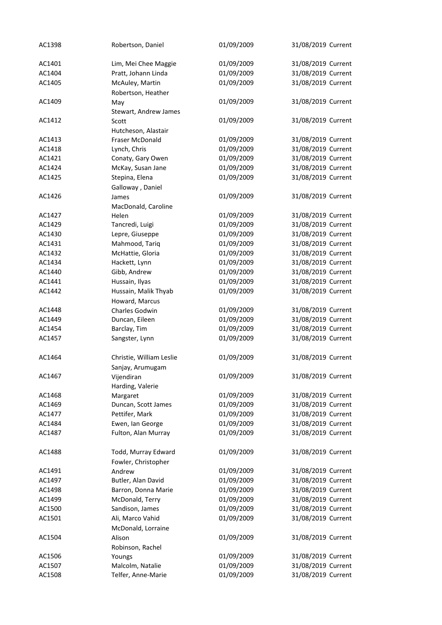| AC1398 | Robertson, Daniel        | 01/09/2009 | 31/08/2019 Current |
|--------|--------------------------|------------|--------------------|
| AC1401 | Lim, Mei Chee Maggie     | 01/09/2009 | 31/08/2019 Current |
| AC1404 | Pratt, Johann Linda      | 01/09/2009 | 31/08/2019 Current |
| AC1405 | McAuley, Martin          | 01/09/2009 | 31/08/2019 Current |
|        | Robertson, Heather       |            |                    |
| AC1409 | May                      | 01/09/2009 | 31/08/2019 Current |
|        | Stewart, Andrew James    |            |                    |
| AC1412 | Scott                    | 01/09/2009 | 31/08/2019 Current |
|        | Hutcheson, Alastair      |            |                    |
| AC1413 | <b>Fraser McDonald</b>   | 01/09/2009 | 31/08/2019 Current |
| AC1418 | Lynch, Chris             | 01/09/2009 | 31/08/2019 Current |
| AC1421 | Conaty, Gary Owen        | 01/09/2009 | 31/08/2019 Current |
| AC1424 | McKay, Susan Jane        | 01/09/2009 | 31/08/2019 Current |
| AC1425 | Stepina, Elena           | 01/09/2009 | 31/08/2019 Current |
|        | Galloway, Daniel         |            |                    |
| AC1426 | James                    | 01/09/2009 | 31/08/2019 Current |
|        | MacDonald, Caroline      |            |                    |
| AC1427 | Helen                    | 01/09/2009 | 31/08/2019 Current |
| AC1429 | Tancredi, Luigi          | 01/09/2009 | 31/08/2019 Current |
| AC1430 | Lepre, Giuseppe          | 01/09/2009 | 31/08/2019 Current |
| AC1431 | Mahmood, Tariq           | 01/09/2009 | 31/08/2019 Current |
| AC1432 | McHattie, Gloria         | 01/09/2009 | 31/08/2019 Current |
| AC1434 | Hackett, Lynn            | 01/09/2009 | 31/08/2019 Current |
| AC1440 | Gibb, Andrew             | 01/09/2009 | 31/08/2019 Current |
| AC1441 | Hussain, Ilyas           | 01/09/2009 | 31/08/2019 Current |
| AC1442 | Hussain, Malik Thyab     | 01/09/2009 | 31/08/2019 Current |
|        | Howard, Marcus           |            |                    |
| AC1448 | Charles Godwin           | 01/09/2009 | 31/08/2019 Current |
| AC1449 | Duncan, Eileen           | 01/09/2009 | 31/08/2019 Current |
| AC1454 | Barclay, Tim             | 01/09/2009 | 31/08/2019 Current |
| AC1457 | Sangster, Lynn           | 01/09/2009 | 31/08/2019 Current |
| AC1464 | Christie, William Leslie | 01/09/2009 | 31/08/2019 Current |
|        | Sanjay, Arumugam         |            |                    |
| AC1467 | Vijendiran               | 01/09/2009 | 31/08/2019 Current |
|        | Harding, Valerie         |            |                    |
| AC1468 | Margaret                 | 01/09/2009 | 31/08/2019 Current |
| AC1469 | Duncan, Scott James      | 01/09/2009 | 31/08/2019 Current |
| AC1477 | Pettifer, Mark           | 01/09/2009 | 31/08/2019 Current |
| AC1484 | Ewen, Ian George         | 01/09/2009 | 31/08/2019 Current |
| AC1487 | Fulton, Alan Murray      | 01/09/2009 | 31/08/2019 Current |
|        |                          |            |                    |
| AC1488 | Todd, Murray Edward      | 01/09/2009 | 31/08/2019 Current |
|        | Fowler, Christopher      |            |                    |
| AC1491 | Andrew                   | 01/09/2009 | 31/08/2019 Current |
| AC1497 | Butler, Alan David       | 01/09/2009 | 31/08/2019 Current |
| AC1498 | Barron, Donna Marie      | 01/09/2009 | 31/08/2019 Current |
| AC1499 | McDonald, Terry          | 01/09/2009 | 31/08/2019 Current |
| AC1500 | Sandison, James          | 01/09/2009 | 31/08/2019 Current |
| AC1501 | Ali, Marco Vahid         | 01/09/2009 | 31/08/2019 Current |
|        | McDonald, Lorraine       |            |                    |
| AC1504 | Alison                   | 01/09/2009 | 31/08/2019 Current |
|        | Robinson, Rachel         |            |                    |
| AC1506 | Youngs                   | 01/09/2009 | 31/08/2019 Current |
| AC1507 | Malcolm, Natalie         | 01/09/2009 | 31/08/2019 Current |
| AC1508 | Telfer, Anne-Marie       | 01/09/2009 | 31/08/2019 Current |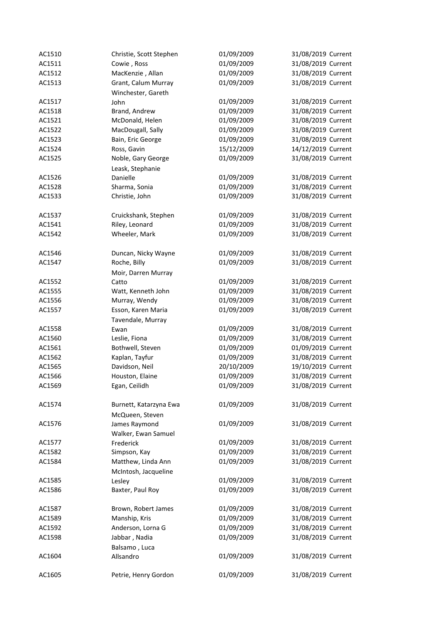| AC1510 | Christie, Scott Stephen | 01/09/2009 | 31/08/2019 Current |
|--------|-------------------------|------------|--------------------|
| AC1511 | Cowie, Ross             | 01/09/2009 | 31/08/2019 Current |
| AC1512 | MacKenzie, Allan        | 01/09/2009 | 31/08/2019 Current |
| AC1513 | Grant, Calum Murray     | 01/09/2009 | 31/08/2019 Current |
|        | Winchester, Gareth      |            |                    |
| AC1517 | John                    | 01/09/2009 | 31/08/2019 Current |
| AC1518 | Brand, Andrew           | 01/09/2009 | 31/08/2019 Current |
| AC1521 | McDonald, Helen         | 01/09/2009 | 31/08/2019 Current |
| AC1522 | MacDougall, Sally       | 01/09/2009 | 31/08/2019 Current |
| AC1523 | Bain, Eric George       | 01/09/2009 | 31/08/2019 Current |
| AC1524 | Ross, Gavin             | 15/12/2009 | 14/12/2019 Current |
| AC1525 | Noble, Gary George      | 01/09/2009 | 31/08/2019 Current |
|        | Leask, Stephanie        |            |                    |
| AC1526 | Danielle                | 01/09/2009 | 31/08/2019 Current |
| AC1528 | Sharma, Sonia           | 01/09/2009 | 31/08/2019 Current |
| AC1533 | Christie, John          | 01/09/2009 | 31/08/2019 Current |
|        |                         |            |                    |
| AC1537 | Cruickshank, Stephen    | 01/09/2009 | 31/08/2019 Current |
| AC1541 | Riley, Leonard          | 01/09/2009 | 31/08/2019 Current |
| AC1542 | Wheeler, Mark           | 01/09/2009 | 31/08/2019 Current |
|        |                         |            |                    |
| AC1546 | Duncan, Nicky Wayne     | 01/09/2009 | 31/08/2019 Current |
| AC1547 | Roche, Billy            | 01/09/2009 | 31/08/2019 Current |
|        | Moir, Darren Murray     |            |                    |
| AC1552 | Catto                   | 01/09/2009 | 31/08/2019 Current |
| AC1555 | Watt, Kenneth John      | 01/09/2009 | 31/08/2019 Current |
| AC1556 | Murray, Wendy           | 01/09/2009 | 31/08/2019 Current |
| AC1557 | Esson, Karen Maria      | 01/09/2009 | 31/08/2019 Current |
|        | Tavendale, Murray       |            |                    |
| AC1558 | Ewan                    | 01/09/2009 | 31/08/2019 Current |
| AC1560 | Leslie, Fiona           | 01/09/2009 | 31/08/2019 Current |
| AC1561 | Bothwell, Steven        | 01/09/2009 | 01/09/2019 Current |
| AC1562 | Kaplan, Tayfur          | 01/09/2009 | 31/08/2019 Current |
| AC1565 | Davidson, Neil          | 20/10/2009 | 19/10/2019 Current |
| AC1566 | Houston, Elaine         | 01/09/2009 | 31/08/2019 Current |
| AC1569 | Egan, Ceilidh           | 01/09/2009 | 31/08/2019 Current |
|        |                         |            |                    |
| AC1574 | Burnett, Katarzyna Ewa  | 01/09/2009 | 31/08/2019 Current |
|        | McQueen, Steven         |            |                    |
| AC1576 | James Raymond           | 01/09/2009 | 31/08/2019 Current |
|        | Walker, Ewan Samuel     |            |                    |
| AC1577 | Frederick               | 01/09/2009 | 31/08/2019 Current |
| AC1582 | Simpson, Kay            | 01/09/2009 | 31/08/2019 Current |
| AC1584 | Matthew, Linda Ann      | 01/09/2009 | 31/08/2019 Current |
|        | McIntosh, Jacqueline    |            |                    |
| AC1585 | Lesley                  | 01/09/2009 | 31/08/2019 Current |
| AC1586 | Baxter, Paul Roy        | 01/09/2009 | 31/08/2019 Current |
|        |                         |            |                    |
| AC1587 | Brown, Robert James     | 01/09/2009 | 31/08/2019 Current |
| AC1589 | Manship, Kris           | 01/09/2009 | 31/08/2019 Current |
| AC1592 | Anderson, Lorna G       | 01/09/2009 | 31/08/2019 Current |
| AC1598 | Jabbar, Nadia           | 01/09/2009 | 31/08/2019 Current |
|        | Balsamo, Luca           |            |                    |
| AC1604 | Allsandro               | 01/09/2009 | 31/08/2019 Current |
|        |                         |            |                    |
| AC1605 | Petrie, Henry Gordon    | 01/09/2009 | 31/08/2019 Current |
|        |                         |            |                    |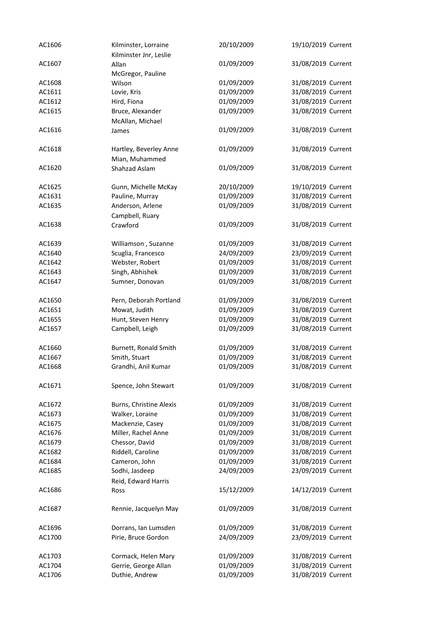| AC1606 | Kilminster, Lorraine<br>Kilminster Jnr, Leslie | 20/10/2009               | 19/10/2019 Current                       |
|--------|------------------------------------------------|--------------------------|------------------------------------------|
| AC1607 | Allan                                          | 01/09/2009               | 31/08/2019 Current                       |
|        | McGregor, Pauline                              |                          |                                          |
| AC1608 | Wilson                                         | 01/09/2009               | 31/08/2019 Current                       |
| AC1611 | Lovie, Kris                                    | 01/09/2009               | 31/08/2019 Current                       |
| AC1612 | Hird, Fiona                                    | 01/09/2009               | 31/08/2019 Current                       |
| AC1615 | Bruce, Alexander                               | 01/09/2009               | 31/08/2019 Current                       |
|        |                                                |                          |                                          |
| AC1616 | McAllan, Michael                               | 01/09/2009               | 31/08/2019 Current                       |
|        | James                                          |                          |                                          |
| AC1618 |                                                | 01/09/2009               | 31/08/2019 Current                       |
|        | Hartley, Beverley Anne                         |                          |                                          |
|        | Mian, Muhammed                                 |                          |                                          |
| AC1620 | Shahzad Aslam                                  | 01/09/2009               | 31/08/2019 Current                       |
| AC1625 | Gunn, Michelle McKay                           | 20/10/2009               | 19/10/2019 Current                       |
| AC1631 | Pauline, Murray                                | 01/09/2009               | 31/08/2019 Current                       |
|        | Anderson, Arlene                               | 01/09/2009               | 31/08/2019 Current                       |
| AC1635 |                                                |                          |                                          |
| AC1638 | Campbell, Ruary                                |                          |                                          |
|        | Crawford                                       | 01/09/2009               | 31/08/2019 Current                       |
| AC1639 | Williamson, Suzanne                            | 01/09/2009               | 31/08/2019 Current                       |
| AC1640 | Scuglia, Francesco                             | 24/09/2009               | 23/09/2019 Current                       |
|        |                                                |                          | 31/08/2019 Current                       |
| AC1642 | Webster, Robert                                | 01/09/2009               |                                          |
| AC1643 | Singh, Abhishek                                | 01/09/2009               | 31/08/2019 Current                       |
| AC1647 | Sumner, Donovan                                | 01/09/2009               | 31/08/2019 Current                       |
| AC1650 | Pern, Deborah Portland                         | 01/09/2009               | 31/08/2019 Current                       |
| AC1651 | Mowat, Judith                                  | 01/09/2009               | 31/08/2019 Current                       |
| AC1655 | Hunt, Steven Henry                             | 01/09/2009               | 31/08/2019 Current                       |
| AC1657 | Campbell, Leigh                                | 01/09/2009               | 31/08/2019 Current                       |
|        |                                                |                          |                                          |
| AC1660 | Burnett, Ronald Smith                          | 01/09/2009               | 31/08/2019 Current                       |
| AC1667 | Smith, Stuart                                  | 01/09/2009               | 31/08/2019 Current                       |
| AC1668 | Grandhi, Anil Kumar                            | 01/09/2009               | 31/08/2019 Current                       |
|        |                                                |                          |                                          |
| AC1671 | Spence, John Stewart                           | 01/09/2009               | 31/08/2019 Current                       |
|        |                                                |                          |                                          |
| AC1672 | Burns, Christine Alexis                        | 01/09/2009               | 31/08/2019 Current                       |
| AC1673 | Walker, Loraine                                | 01/09/2009               | 31/08/2019 Current                       |
| AC1675 | Mackenzie, Casey                               | 01/09/2009               | 31/08/2019 Current                       |
| AC1676 | Miller, Rachel Anne                            | 01/09/2009               | 31/08/2019 Current                       |
| AC1679 | Chessor, David                                 | 01/09/2009               | 31/08/2019 Current                       |
| AC1682 | Riddell, Caroline                              | 01/09/2009               | 31/08/2019 Current                       |
| AC1684 | Cameron, John                                  | 01/09/2009               | 31/08/2019 Current                       |
| AC1685 | Sodhi, Jasdeep                                 | 24/09/2009               | 23/09/2019 Current                       |
|        | Reid, Edward Harris                            |                          |                                          |
| AC1686 | Ross                                           | 15/12/2009               | 14/12/2019 Current                       |
|        |                                                |                          |                                          |
| AC1687 | Rennie, Jacquelyn May                          | 01/09/2009               | 31/08/2019 Current                       |
|        |                                                |                          |                                          |
| AC1696 | Dorrans, Ian Lumsden                           | 01/09/2009               | 31/08/2019 Current                       |
| AC1700 | Pirie, Bruce Gordon                            | 24/09/2009               | 23/09/2019 Current                       |
| AC1703 |                                                |                          |                                          |
| AC1704 | Cormack, Helen Mary<br>Gerrie, George Allan    | 01/09/2009<br>01/09/2009 | 31/08/2019 Current<br>31/08/2019 Current |
|        |                                                |                          |                                          |
| AC1706 | Duthie, Andrew                                 | 01/09/2009               | 31/08/2019 Current                       |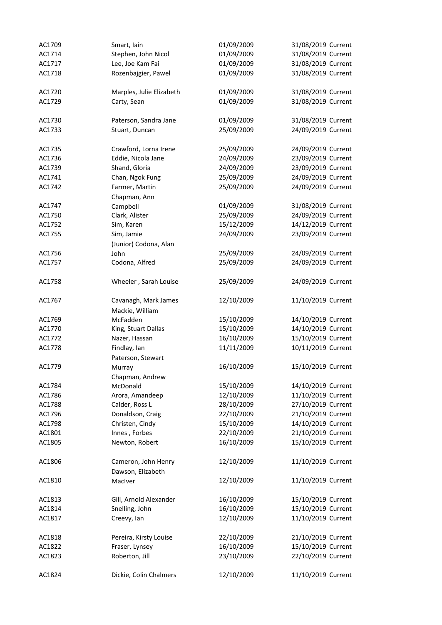| AC1709 | Smart, Iain              | 01/09/2009 | 31/08/2019 Current |
|--------|--------------------------|------------|--------------------|
| AC1714 | Stephen, John Nicol      | 01/09/2009 | 31/08/2019 Current |
| AC1717 | Lee, Joe Kam Fai         | 01/09/2009 | 31/08/2019 Current |
| AC1718 | Rozenbajgier, Pawel      | 01/09/2009 | 31/08/2019 Current |
|        |                          |            |                    |
| AC1720 | Marples, Julie Elizabeth | 01/09/2009 | 31/08/2019 Current |
| AC1729 | Carty, Sean              | 01/09/2009 | 31/08/2019 Current |
|        |                          |            |                    |
| AC1730 | Paterson, Sandra Jane    | 01/09/2009 | 31/08/2019 Current |
| AC1733 | Stuart, Duncan           | 25/09/2009 | 24/09/2019 Current |
|        |                          |            |                    |
| AC1735 | Crawford, Lorna Irene    | 25/09/2009 | 24/09/2019 Current |
| AC1736 | Eddie, Nicola Jane       | 24/09/2009 | 23/09/2019 Current |
| AC1739 | Shand, Gloria            | 24/09/2009 | 23/09/2019 Current |
| AC1741 | Chan, Ngok Fung          | 25/09/2009 | 24/09/2019 Current |
| AC1742 | Farmer, Martin           | 25/09/2009 | 24/09/2019 Current |
|        | Chapman, Ann             |            |                    |
| AC1747 | Campbell                 | 01/09/2009 | 31/08/2019 Current |
| AC1750 | Clark, Alister           | 25/09/2009 | 24/09/2019 Current |
| AC1752 |                          | 15/12/2009 | 14/12/2019 Current |
|        | Sim, Karen               |            |                    |
| AC1755 | Sim, Jamie               | 24/09/2009 | 23/09/2019 Current |
|        | (Junior) Codona, Alan    |            |                    |
| AC1756 | John                     | 25/09/2009 | 24/09/2019 Current |
| AC1757 | Codona, Alfred           | 25/09/2009 | 24/09/2019 Current |
|        |                          |            |                    |
| AC1758 | Wheeler, Sarah Louise    | 25/09/2009 | 24/09/2019 Current |
|        |                          |            |                    |
| AC1767 | Cavanagh, Mark James     | 12/10/2009 | 11/10/2019 Current |
|        | Mackie, William          |            |                    |
| AC1769 | McFadden                 | 15/10/2009 | 14/10/2019 Current |
| AC1770 | King, Stuart Dallas      | 15/10/2009 | 14/10/2019 Current |
| AC1772 | Nazer, Hassan            | 16/10/2009 | 15/10/2019 Current |
| AC1778 | Findlay, Ian             | 11/11/2009 | 10/11/2019 Current |
|        | Paterson, Stewart        |            |                    |
| AC1779 | Murray                   | 16/10/2009 | 15/10/2019 Current |
|        | Chapman, Andrew          |            |                    |
| AC1784 | McDonald                 | 15/10/2009 | 14/10/2019 Current |
| AC1786 | Arora, Amandeep          | 12/10/2009 | 11/10/2019 Current |
| AC1788 | Calder, Ross L           | 28/10/2009 | 27/10/2019 Current |
| AC1796 | Donaldson, Craig         | 22/10/2009 | 21/10/2019 Current |
| AC1798 | Christen, Cindy          | 15/10/2009 | 14/10/2019 Current |
| AC1801 | Innes, Forbes            | 22/10/2009 | 21/10/2019 Current |
| AC1805 | Newton, Robert           | 16/10/2009 | 15/10/2019 Current |
|        |                          |            |                    |
| AC1806 | Cameron, John Henry      | 12/10/2009 | 11/10/2019 Current |
|        | Dawson, Elizabeth        |            |                    |
| AC1810 | MacIver                  | 12/10/2009 | 11/10/2019 Current |
|        |                          |            |                    |
| AC1813 | Gill, Arnold Alexander   | 16/10/2009 | 15/10/2019 Current |
| AC1814 | Snelling, John           | 16/10/2009 | 15/10/2019 Current |
| AC1817 | Creevy, Ian              | 12/10/2009 | 11/10/2019 Current |
|        |                          |            |                    |
| AC1818 | Pereira, Kirsty Louise   | 22/10/2009 | 21/10/2019 Current |
| AC1822 | Fraser, Lynsey           | 16/10/2009 | 15/10/2019 Current |
| AC1823 | Roberton, Jill           | 23/10/2009 | 22/10/2019 Current |
|        |                          |            |                    |
|        |                          |            |                    |
| AC1824 | Dickie, Colin Chalmers   | 12/10/2009 | 11/10/2019 Current |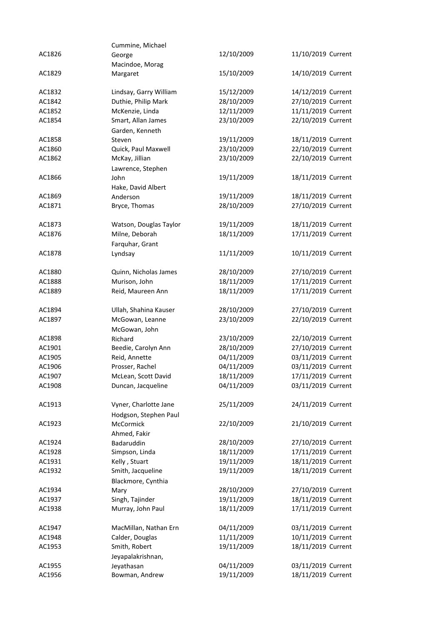|        | Cummine, Michael       |            |                    |
|--------|------------------------|------------|--------------------|
| AC1826 | George                 | 12/10/2009 | 11/10/2019 Current |
|        | Macindoe, Morag        |            |                    |
| AC1829 | Margaret               | 15/10/2009 | 14/10/2019 Current |
|        |                        |            |                    |
| AC1832 | Lindsay, Garry William | 15/12/2009 | 14/12/2019 Current |
| AC1842 | Duthie, Philip Mark    | 28/10/2009 | 27/10/2019 Current |
| AC1852 | McKenzie, Linda        | 12/11/2009 | 11/11/2019 Current |
| AC1854 | Smart, Allan James     | 23/10/2009 | 22/10/2019 Current |
|        |                        |            |                    |
|        | Garden, Kenneth        |            |                    |
| AC1858 | Steven                 | 19/11/2009 | 18/11/2019 Current |
| AC1860 | Quick, Paul Maxwell    | 23/10/2009 | 22/10/2019 Current |
| AC1862 | McKay, Jillian         | 23/10/2009 | 22/10/2019 Current |
|        | Lawrence, Stephen      |            |                    |
| AC1866 | John                   | 19/11/2009 | 18/11/2019 Current |
|        | Hake, David Albert     |            |                    |
| AC1869 | Anderson               | 19/11/2009 | 18/11/2019 Current |
| AC1871 | Bryce, Thomas          | 28/10/2009 | 27/10/2019 Current |
|        |                        |            |                    |
| AC1873 | Watson, Douglas Taylor | 19/11/2009 | 18/11/2019 Current |
| AC1876 | Milne, Deborah         | 18/11/2009 | 17/11/2019 Current |
|        | Farquhar, Grant        |            |                    |
| AC1878 | Lyndsay                | 11/11/2009 | 10/11/2019 Current |
|        |                        |            |                    |
|        |                        |            | 27/10/2019 Current |
| AC1880 | Quinn, Nicholas James  | 28/10/2009 |                    |
| AC1888 | Murison, John          | 18/11/2009 | 17/11/2019 Current |
| AC1889 | Reid, Maureen Ann      | 18/11/2009 | 17/11/2019 Current |
|        |                        |            |                    |
| AC1894 | Ullah, Shahina Kauser  | 28/10/2009 | 27/10/2019 Current |
| AC1897 | McGowan, Leanne        | 23/10/2009 | 22/10/2019 Current |
|        | McGowan, John          |            |                    |
| AC1898 | Richard                | 23/10/2009 | 22/10/2019 Current |
| AC1901 | Beedie, Carolyn Ann    | 28/10/2009 | 27/10/2019 Current |
| AC1905 | Reid, Annette          | 04/11/2009 | 03/11/2019 Current |
| AC1906 | Prosser, Rachel        | 04/11/2009 | 03/11/2019 Current |
| AC1907 | McLean, Scott David    | 18/11/2009 | 17/11/2019 Current |
| AC1908 | Duncan, Jacqueline     | 04/11/2009 | 03/11/2019 Current |
|        |                        |            |                    |
| AC1913 | Vyner, Charlotte Jane  | 25/11/2009 | 24/11/2019 Current |
|        | Hodgson, Stephen Paul  |            |                    |
| AC1923 |                        | 22/10/2009 |                    |
|        | McCormick              |            | 21/10/2019 Current |
|        | Ahmed, Fakir           |            |                    |
| AC1924 | Badaruddin             | 28/10/2009 | 27/10/2019 Current |
| AC1928 | Simpson, Linda         | 18/11/2009 | 17/11/2019 Current |
| AC1931 | Kelly, Stuart          | 19/11/2009 | 18/11/2019 Current |
| AC1932 | Smith, Jacqueline      | 19/11/2009 | 18/11/2019 Current |
|        | Blackmore, Cynthia     |            |                    |
| AC1934 | Mary                   | 28/10/2009 | 27/10/2019 Current |
| AC1937 | Singh, Tajinder        | 19/11/2009 | 18/11/2019 Current |
| AC1938 | Murray, John Paul      | 18/11/2009 | 17/11/2019 Current |
|        |                        |            |                    |
| AC1947 | MacMillan, Nathan Ern  | 04/11/2009 | 03/11/2019 Current |
| AC1948 | Calder, Douglas        | 11/11/2009 | 10/11/2019 Current |
| AC1953 | Smith, Robert          | 19/11/2009 | 18/11/2019 Current |
|        | Jeyapalakrishnan,      |            |                    |
| AC1955 |                        | 04/11/2009 | 03/11/2019 Current |
|        | Jeyathasan             |            |                    |
| AC1956 | Bowman, Andrew         | 19/11/2009 | 18/11/2019 Current |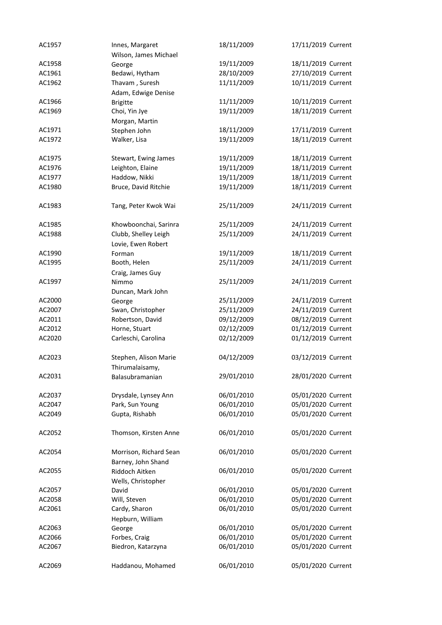| AC1957 | Innes, Margaret        | 18/11/2009 | 17/11/2019 Current |
|--------|------------------------|------------|--------------------|
|        | Wilson, James Michael  |            |                    |
| AC1958 | George                 | 19/11/2009 | 18/11/2019 Current |
| AC1961 | Bedawi, Hytham         | 28/10/2009 | 27/10/2019 Current |
| AC1962 | Thavam, Suresh         | 11/11/2009 | 10/11/2019 Current |
|        | Adam, Edwige Denise    |            |                    |
| AC1966 | <b>Brigitte</b>        | 11/11/2009 | 10/11/2019 Current |
| AC1969 | Choi, Yin Jye          | 19/11/2009 | 18/11/2019 Current |
|        | Morgan, Martin         |            |                    |
| AC1971 | Stephen John           | 18/11/2009 | 17/11/2019 Current |
| AC1972 | Walker, Lisa           | 19/11/2009 | 18/11/2019 Current |
|        |                        |            |                    |
| AC1975 | Stewart, Ewing James   | 19/11/2009 | 18/11/2019 Current |
| AC1976 | Leighton, Elaine       | 19/11/2009 | 18/11/2019 Current |
| AC1977 | Haddow, Nikki          | 19/11/2009 | 18/11/2019 Current |
| AC1980 | Bruce, David Ritchie   | 19/11/2009 | 18/11/2019 Current |
|        |                        |            |                    |
| AC1983 | Tang, Peter Kwok Wai   | 25/11/2009 | 24/11/2019 Current |
|        |                        |            |                    |
| AC1985 | Khowboonchai, Sarinra  | 25/11/2009 | 24/11/2019 Current |
| AC1988 | Clubb, Shelley Leigh   | 25/11/2009 | 24/11/2019 Current |
|        | Lovie, Ewen Robert     |            |                    |
| AC1990 | Forman                 | 19/11/2009 | 18/11/2019 Current |
| AC1995 | Booth, Helen           | 25/11/2009 | 24/11/2019 Current |
|        | Craig, James Guy       |            |                    |
| AC1997 |                        | 25/11/2009 | 24/11/2019 Current |
|        | Nimmo                  |            |                    |
|        | Duncan, Mark John      |            |                    |
| AC2000 | George                 | 25/11/2009 | 24/11/2019 Current |
| AC2007 | Swan, Christopher      | 25/11/2009 | 24/11/2019 Current |
| AC2011 | Robertson, David       | 09/12/2009 | 08/12/2019 Current |
| AC2012 | Horne, Stuart          | 02/12/2009 | 01/12/2019 Current |
| AC2020 | Carleschi, Carolina    | 02/12/2009 | 01/12/2019 Current |
| AC2023 | Stephen, Alison Marie  | 04/12/2009 | 03/12/2019 Current |
|        |                        |            |                    |
| AC2031 | Thirumalaisamy,        | 29/01/2010 | 28/01/2020 Current |
|        | Balasubramanian        |            |                    |
| AC2037 | Drysdale, Lynsey Ann   | 06/01/2010 | 05/01/2020 Current |
| AC2047 | Park, Sun Young        | 06/01/2010 | 05/01/2020 Current |
| AC2049 | Gupta, Rishabh         | 06/01/2010 | 05/01/2020 Current |
|        |                        |            |                    |
| AC2052 | Thomson, Kirsten Anne  | 06/01/2010 | 05/01/2020 Current |
|        |                        |            |                    |
| AC2054 | Morrison, Richard Sean | 06/01/2010 | 05/01/2020 Current |
|        | Barney, John Shand     |            |                    |
| AC2055 | Riddoch Aitken         | 06/01/2010 | 05/01/2020 Current |
|        | Wells, Christopher     |            |                    |
| AC2057 | David                  | 06/01/2010 | 05/01/2020 Current |
| AC2058 | Will, Steven           | 06/01/2010 | 05/01/2020 Current |
| AC2061 |                        | 06/01/2010 | 05/01/2020 Current |
|        | Cardy, Sharon          |            |                    |
|        | Hepburn, William       |            |                    |
| AC2063 | George                 | 06/01/2010 | 05/01/2020 Current |
| AC2066 | Forbes, Craig          | 06/01/2010 | 05/01/2020 Current |
| AC2067 | Biedron, Katarzyna     | 06/01/2010 | 05/01/2020 Current |
|        | Haddanou, Mohamed      | 06/01/2010 | 05/01/2020 Current |
| AC2069 |                        |            |                    |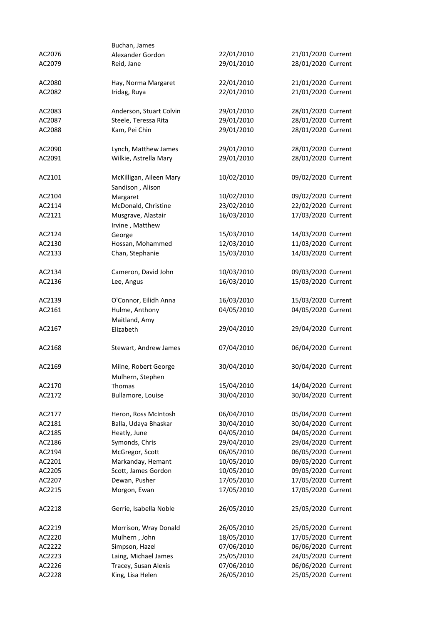|                  | Buchan, James           |            |                    |
|------------------|-------------------------|------------|--------------------|
| AC2076           | Alexander Gordon        | 22/01/2010 | 21/01/2020 Current |
| AC2079           | Reid, Jane              | 29/01/2010 | 28/01/2020 Current |
|                  |                         |            |                    |
| AC2080           | Hay, Norma Margaret     | 22/01/2010 | 21/01/2020 Current |
| AC2082           | Iridag, Ruya            | 22/01/2010 | 21/01/2020 Current |
|                  |                         |            |                    |
| AC2083           | Anderson, Stuart Colvin | 29/01/2010 | 28/01/2020 Current |
| AC2087           | Steele, Teressa Rita    | 29/01/2010 | 28/01/2020 Current |
| AC2088           | Kam, Pei Chin           | 29/01/2010 | 28/01/2020 Current |
| AC2090           | Lynch, Matthew James    | 29/01/2010 | 28/01/2020 Current |
| AC2091           | Wilkie, Astrella Mary   | 29/01/2010 | 28/01/2020 Current |
|                  |                         |            |                    |
| AC2101           | McKilligan, Aileen Mary | 10/02/2010 | 09/02/2020 Current |
|                  | Sandison, Alison        |            |                    |
| AC2104           | Margaret                | 10/02/2010 | 09/02/2020 Current |
| AC2114           | McDonald, Christine     | 23/02/2010 | 22/02/2020 Current |
| AC2121           | Musgrave, Alastair      | 16/03/2010 | 17/03/2020 Current |
|                  | Irvine, Matthew         |            |                    |
| AC2124           | George                  | 15/03/2010 | 14/03/2020 Current |
| AC2130           | Hossan, Mohammed        | 12/03/2010 | 11/03/2020 Current |
| AC2133           | Chan, Stephanie         | 15/03/2010 | 14/03/2020 Current |
|                  |                         |            |                    |
| AC2134           | Cameron, David John     | 10/03/2010 | 09/03/2020 Current |
| AC2136           | Lee, Angus              | 16/03/2010 | 15/03/2020 Current |
|                  |                         |            |                    |
| AC2139           | O'Connor, Eilidh Anna   | 16/03/2010 | 15/03/2020 Current |
| AC2161           | Hulme, Anthony          | 04/05/2010 | 04/05/2020 Current |
|                  | Maitland, Amy           |            |                    |
| AC2167           | Elizabeth               | 29/04/2010 | 29/04/2020 Current |
| AC2168           | Stewart, Andrew James   | 07/04/2010 | 06/04/2020 Current |
|                  |                         |            |                    |
| AC2169           | Milne, Robert George    | 30/04/2010 | 30/04/2020 Current |
|                  | Mulhern, Stephen        |            |                    |
| AC2170           | Thomas                  | 15/04/2010 | 14/04/2020 Current |
| AC2172           | Bullamore, Louise       | 30/04/2010 | 30/04/2020 Current |
|                  |                         |            |                    |
| AC2177           | Heron, Ross McIntosh    | 06/04/2010 | 05/04/2020 Current |
| AC2181           | Balla, Udaya Bhaskar    | 30/04/2010 | 30/04/2020 Current |
| AC2185           | Heatly, June            | 04/05/2010 | 04/05/2020 Current |
| AC2186           | Symonds, Chris          | 29/04/2010 | 29/04/2020 Current |
| AC2194           | McGregor, Scott         | 06/05/2010 | 06/05/2020 Current |
| AC2201           | Markanday, Hemant       | 10/05/2010 | 09/05/2020 Current |
| AC2205           | Scott, James Gordon     | 10/05/2010 | 09/05/2020 Current |
| AC2207           | Dewan, Pusher           | 17/05/2010 | 17/05/2020 Current |
| AC2215           | Morgon, Ewan            | 17/05/2010 | 17/05/2020 Current |
|                  |                         |            |                    |
| AC2218           | Gerrie, Isabella Noble  | 26/05/2010 | 25/05/2020 Current |
| AC2219           | Morrison, Wray Donald   | 26/05/2010 | 25/05/2020 Current |
|                  | Mulhern, John           | 18/05/2010 | 17/05/2020 Current |
| AC2220<br>AC2222 |                         |            |                    |
|                  | Simpson, Hazel          | 07/06/2010 | 06/06/2020 Current |
| AC2223           | Laing, Michael James    | 25/05/2010 | 24/05/2020 Current |
| AC2226           | Tracey, Susan Alexis    | 07/06/2010 | 06/06/2020 Current |
| AC2228           | King, Lisa Helen        | 26/05/2010 | 25/05/2020 Current |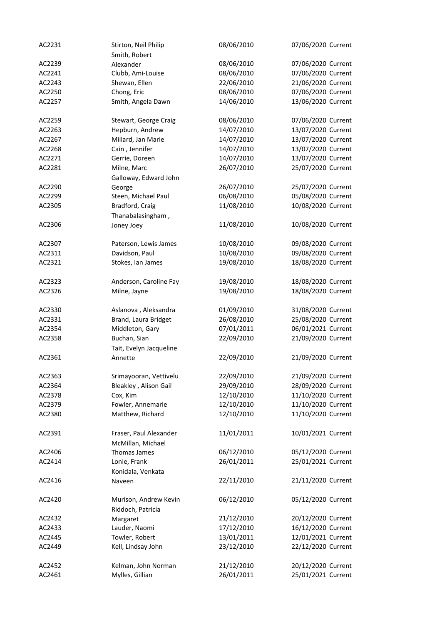| AC2231 | Stirton, Neil Philip                        | 08/06/2010 | 07/06/2020 Current |
|--------|---------------------------------------------|------------|--------------------|
|        | Smith, Robert                               |            |                    |
| AC2239 | Alexander                                   | 08/06/2010 | 07/06/2020 Current |
| AC2241 | Clubb, Ami-Louise                           | 08/06/2010 | 07/06/2020 Current |
| AC2243 | Shewan, Ellen                               | 22/06/2010 | 21/06/2020 Current |
| AC2250 | Chong, Eric                                 | 08/06/2010 | 07/06/2020 Current |
| AC2257 | Smith, Angela Dawn                          | 14/06/2010 | 13/06/2020 Current |
| AC2259 | Stewart, George Craig                       | 08/06/2010 | 07/06/2020 Current |
| AC2263 | Hepburn, Andrew                             | 14/07/2010 | 13/07/2020 Current |
| AC2267 | Millard, Jan Marie                          | 14/07/2010 | 13/07/2020 Current |
| AC2268 | Cain, Jennifer                              | 14/07/2010 | 13/07/2020 Current |
| AC2271 | Gerrie, Doreen                              | 14/07/2010 | 13/07/2020 Current |
| AC2281 | Milne, Marc                                 | 26/07/2010 | 25/07/2020 Current |
|        | Galloway, Edward John                       |            |                    |
| AC2290 | George                                      | 26/07/2010 | 25/07/2020 Current |
| AC2299 | Steen, Michael Paul                         | 06/08/2010 | 05/08/2020 Current |
| AC2305 | Bradford, Craig                             | 11/08/2010 | 10/08/2020 Current |
|        | Thanabalasingham,                           |            |                    |
| AC2306 | Joney Joey                                  | 11/08/2010 | 10/08/2020 Current |
| AC2307 | Paterson, Lewis James                       | 10/08/2010 | 09/08/2020 Current |
| AC2311 | Davidson, Paul                              | 10/08/2010 | 09/08/2020 Current |
| AC2321 | Stokes, Ian James                           | 19/08/2010 | 18/08/2020 Current |
|        |                                             |            |                    |
| AC2323 | Anderson, Caroline Fay                      | 19/08/2010 | 18/08/2020 Current |
| AC2326 | Milne, Jayne                                | 19/08/2010 | 18/08/2020 Current |
| AC2330 | Aslanova, Aleksandra                        | 01/09/2010 | 31/08/2020 Current |
| AC2331 | Brand, Laura Bridget                        | 26/08/2010 | 25/08/2020 Current |
| AC2354 | Middleton, Gary                             | 07/01/2011 | 06/01/2021 Current |
| AC2358 | Buchan, Sian                                | 22/09/2010 | 21/09/2020 Current |
|        | Tait, Evelyn Jacqueline                     |            |                    |
| AC2361 | Annette                                     | 22/09/2010 | 21/09/2020 Current |
| AC2363 | Srimayooran, Vettivelu                      | 22/09/2010 | 21/09/2020 Current |
| AC2364 | Bleakley, Alison Gail                       | 29/09/2010 | 28/09/2020 Current |
| AC2378 | Cox, Kim                                    | 12/10/2010 | 11/10/2020 Current |
| AC2379 | Fowler, Annemarie                           | 12/10/2010 | 11/10/2020 Current |
| AC2380 | Matthew, Richard                            | 12/10/2010 | 11/10/2020 Current |
|        |                                             |            |                    |
| AC2391 | Fraser, Paul Alexander<br>McMillan, Michael | 11/01/2011 | 10/01/2021 Current |
| AC2406 | Thomas James                                | 06/12/2010 | 05/12/2020 Current |
| AC2414 |                                             | 26/01/2011 | 25/01/2021 Current |
|        | Lonie, Frank<br>Konidala, Venkata           |            |                    |
| AC2416 | Naveen                                      | 22/11/2010 | 21/11/2020 Current |
| AC2420 | Murison, Andrew Kevin<br>Riddoch, Patricia  | 06/12/2010 | 05/12/2020 Current |
| AC2432 | Margaret                                    | 21/12/2010 | 20/12/2020 Current |
| AC2433 | Lauder, Naomi                               | 17/12/2010 | 16/12/2020 Current |
| AC2445 | Towler, Robert                              | 13/01/2011 | 12/01/2021 Current |
| AC2449 | Kell, Lindsay John                          | 23/12/2010 | 22/12/2020 Current |
|        |                                             |            |                    |
| AC2452 | Kelman, John Norman                         | 21/12/2010 | 20/12/2020 Current |
| AC2461 | Mylles, Gillian                             | 26/01/2011 | 25/01/2021 Current |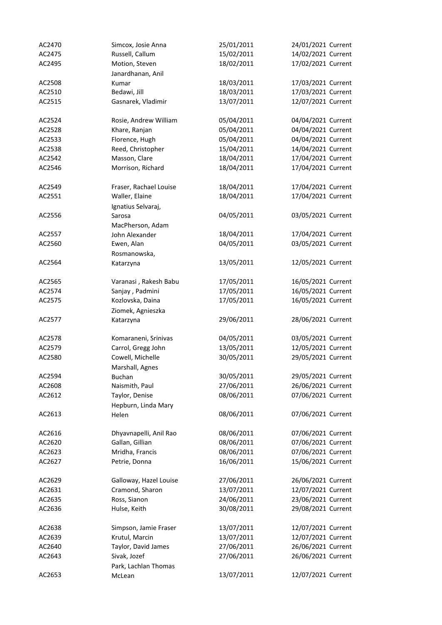| AC2470 | Simcox, Josie Anna             | 25/01/2011 | 24/01/2021 Current |
|--------|--------------------------------|------------|--------------------|
| AC2475 | Russell, Callum                | 15/02/2011 | 14/02/2021 Current |
| AC2495 | Motion, Steven                 | 18/02/2011 | 17/02/2021 Current |
|        | Janardhanan, Anil              |            |                    |
| AC2508 | Kumar                          | 18/03/2011 | 17/03/2021 Current |
| AC2510 | Bedawi, Jill                   | 18/03/2011 | 17/03/2021 Current |
| AC2515 | Gasnarek, Vladimir             | 13/07/2011 | 12/07/2021 Current |
|        |                                |            |                    |
| AC2524 | Rosie, Andrew William          | 05/04/2011 | 04/04/2021 Current |
| AC2528 | Khare, Ranjan                  | 05/04/2011 | 04/04/2021 Current |
| AC2533 | Florence, Hugh                 | 05/04/2011 | 04/04/2021 Current |
| AC2538 | Reed, Christopher              | 15/04/2011 | 14/04/2021 Current |
| AC2542 | Masson, Clare                  | 18/04/2011 | 17/04/2021 Current |
| AC2546 | Morrison, Richard              | 18/04/2011 | 17/04/2021 Current |
|        |                                |            |                    |
| AC2549 | Fraser, Rachael Louise         | 18/04/2011 | 17/04/2021 Current |
| AC2551 | Waller, Elaine                 | 18/04/2011 | 17/04/2021 Current |
|        |                                |            |                    |
|        | Ignatius Selvaraj,             | 04/05/2011 | 03/05/2021 Current |
| AC2556 | Sarosa                         |            |                    |
|        | MacPherson, Adam               |            |                    |
| AC2557 | John Alexander                 | 18/04/2011 | 17/04/2021 Current |
| AC2560 | Ewen, Alan                     | 04/05/2011 | 03/05/2021 Current |
|        | Rosmanowska,                   |            |                    |
| AC2564 | Katarzyna                      | 13/05/2011 | 12/05/2021 Current |
|        |                                |            |                    |
| AC2565 | Varanasi, Rakesh Babu          | 17/05/2011 | 16/05/2021 Current |
| AC2574 | Sanjay, Padmini                | 17/05/2011 | 16/05/2021 Current |
| AC2575 | Kozlovska, Daina               | 17/05/2011 | 16/05/2021 Current |
|        | Ziomek, Agnieszka              |            |                    |
| AC2577 | Katarzyna                      | 29/06/2011 | 28/06/2021 Current |
|        |                                |            |                    |
| AC2578 | Komaraneni, Srinivas           | 04/05/2011 | 03/05/2021 Current |
| AC2579 | Carrol, Gregg John             | 13/05/2011 | 12/05/2021 Current |
| AC2580 | Cowell, Michelle               | 30/05/2011 | 29/05/2021 Current |
|        | Marshall, Agnes                |            |                    |
| AC2594 | <b>Buchan</b>                  | 30/05/2011 | 29/05/2021 Current |
| AC2608 | Naismith, Paul                 | 27/06/2011 | 26/06/2021 Current |
| AC2612 | Taylor, Denise                 | 08/06/2011 | 07/06/2021 Current |
|        | Hepburn, Linda Mary            |            |                    |
| AC2613 | Helen                          | 08/06/2011 | 07/06/2021 Current |
|        |                                |            |                    |
| AC2616 | Dhyavnapelli, Anil Rao         | 08/06/2011 | 07/06/2021 Current |
| AC2620 | Gallan, Gillian                | 08/06/2011 | 07/06/2021 Current |
| AC2623 | Mridha, Francis                | 08/06/2011 | 07/06/2021 Current |
| AC2627 | Petrie, Donna                  | 16/06/2011 | 15/06/2021 Current |
|        |                                |            |                    |
| AC2629 | Galloway, Hazel Louise         | 27/06/2011 | 26/06/2021 Current |
| AC2631 | Cramond, Sharon                | 13/07/2011 | 12/07/2021 Current |
| AC2635 | Ross, Sianon                   | 24/06/2011 | 23/06/2021 Current |
| AC2636 | Hulse, Keith                   | 30/08/2011 | 29/08/2021 Current |
|        |                                |            |                    |
| AC2638 | Simpson, Jamie Fraser          | 13/07/2011 | 12/07/2021 Current |
| AC2639 |                                |            |                    |
|        | Krutul, Marcin                 | 13/07/2011 | 12/07/2021 Current |
| AC2640 | Taylor, David James            | 27/06/2011 | 26/06/2021 Current |
| AC2643 | Sivak, Jozef                   | 27/06/2011 | 26/06/2021 Current |
| AC2653 | Park, Lachlan Thomas<br>McLean | 13/07/2011 | 12/07/2021 Current |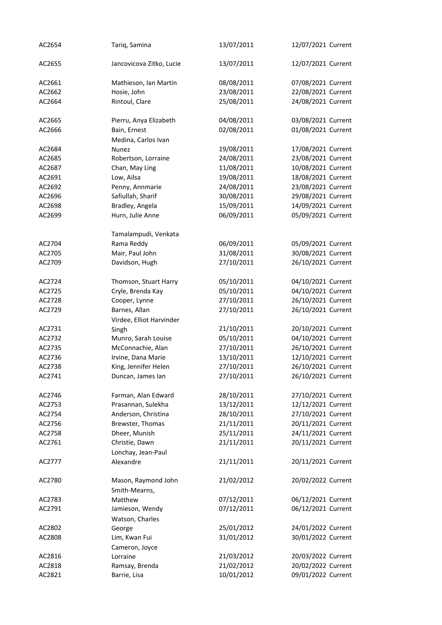| AC2654 | Tariq, Samina            | 13/07/2011 | 12/07/2021 Current |
|--------|--------------------------|------------|--------------------|
| AC2655 | Jancovicova Zitko, Lucie | 13/07/2011 | 12/07/2021 Current |
| AC2661 | Mathieson, Ian Martin    | 08/08/2011 | 07/08/2021 Current |
| AC2662 | Hosie, John              | 23/08/2011 | 22/08/2021 Current |
| AC2664 | Rintoul, Clare           | 25/08/2011 | 24/08/2021 Current |
| AC2665 | Pierru, Anya Elizabeth   | 04/08/2011 | 03/08/2021 Current |
| AC2666 | Bain, Ernest             | 02/08/2011 | 01/08/2021 Current |
| AC2684 | Medina, Carlos Ivan      | 19/08/2011 |                    |
|        | Nunez                    |            | 17/08/2021 Current |
| AC2685 | Robertson, Lorraine      | 24/08/2011 | 23/08/2021 Current |
| AC2687 | Chan, May Ling           | 11/08/2011 | 10/08/2021 Current |
| AC2691 | Low, Ailsa               | 19/08/2011 | 18/08/2021 Current |
| AC2692 | Penny, Annmarie          | 24/08/2011 | 23/08/2021 Current |
| AC2696 | Safiullah, Sharif        | 30/08/2011 | 29/08/2021 Current |
| AC2698 | Bradley, Angela          | 15/09/2011 | 14/09/2021 Current |
| AC2699 | Hurn, Julie Anne         | 06/09/2011 | 05/09/2021 Current |
|        | Tamalampudi, Venkata     |            |                    |
| AC2704 | Rama Reddy               | 06/09/2011 | 05/09/2021 Current |
| AC2705 | Mair, Paul John          | 31/08/2011 | 30/08/2021 Current |
| AC2709 | Davidson, Hugh           | 27/10/2011 | 26/10/2021 Current |
| AC2724 | Thomson, Stuart Harry    | 05/10/2011 | 04/10/2021 Current |
| AC2725 | Cryle, Brenda Kay        | 05/10/2011 | 04/10/2021 Current |
| AC2728 | Cooper, Lynne            | 27/10/2011 | 26/10/2021 Current |
| AC2729 | Barnes, Allan            | 27/10/2011 | 26/10/2021 Current |
|        | Virdee, Elliot Harvinder |            |                    |
| AC2731 | Singh                    | 21/10/2011 | 20/10/2021 Current |
| AC2732 | Munro, Sarah Louise      | 05/10/2011 | 04/10/2021 Current |
| AC2735 | McConnachie, Alan        | 27/10/2011 | 26/10/2021 Current |
| AC2736 | Irvine, Dana Marie       | 13/10/2011 | 12/10/2021 Current |
| AC2738 | King, Jennifer Helen     | 27/10/2011 | 26/10/2021 Current |
| AC2741 | Duncan, James Ian        | 27/10/2011 | 26/10/2021 Current |
|        |                          |            |                    |
| AC2746 | Farman, Alan Edward      | 28/10/2011 | 27/10/2021 Current |
| AC2753 | Prasannan, Sulekha       | 13/12/2011 | 12/12/2021 Current |
| AC2754 | Anderson, Christina      | 28/10/2011 | 27/10/2021 Current |
| AC2756 | Brewster, Thomas         | 21/11/2011 | 20/11/2021 Current |
| AC2758 | Dheer, Munish            | 25/11/2011 | 24/11/2021 Current |
| AC2761 | Christie, Dawn           | 21/11/2011 | 20/11/2021 Current |
|        | Lonchay, Jean-Paul       |            |                    |
| AC2777 | Alexandre                | 21/11/2011 | 20/11/2021 Current |
| AC2780 | Mason, Raymond John      | 21/02/2012 | 20/02/2022 Current |
|        | Smith-Mearns,            |            |                    |
| AC2783 | Matthew                  | 07/12/2011 | 06/12/2021 Current |
| AC2791 | Jamieson, Wendy          | 07/12/2011 | 06/12/2021 Current |
|        | Watson, Charles          |            |                    |
| AC2802 | George                   | 25/01/2012 | 24/01/2022 Current |
| AC2808 | Lim, Kwan Fui            | 31/01/2012 | 30/01/2022 Current |
|        | Cameron, Joyce           |            |                    |
| AC2816 | Lorraine                 | 21/03/2012 | 20/03/2022 Current |
| AC2818 | Ramsay, Brenda           | 21/02/2012 | 20/02/2022 Current |
| AC2821 | Barrie, Lisa             | 10/01/2012 | 09/01/2022 Current |
|        |                          |            |                    |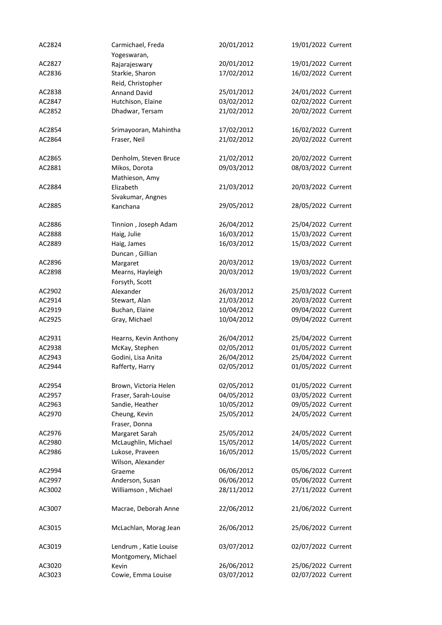| AC2824 | Carmichael, Freda           | 20/01/2012 | 19/01/2022 Current |
|--------|-----------------------------|------------|--------------------|
|        | Yogeswaran,                 |            |                    |
| AC2827 | Rajarajeswary               | 20/01/2012 | 19/01/2022 Current |
| AC2836 | Starkie, Sharon             | 17/02/2012 | 16/02/2022 Current |
|        | Reid, Christopher           |            |                    |
| AC2838 | <b>Annand David</b>         | 25/01/2012 | 24/01/2022 Current |
| AC2847 | Hutchison, Elaine           | 03/02/2012 | 02/02/2022 Current |
| AC2852 | Dhadwar, Tersam             | 21/02/2012 | 20/02/2022 Current |
|        |                             |            |                    |
| AC2854 | Srimayooran, Mahintha       | 17/02/2012 | 16/02/2022 Current |
| AC2864 | Fraser, Neil                | 21/02/2012 | 20/02/2022 Current |
|        |                             |            |                    |
| AC2865 | Denholm, Steven Bruce       | 21/02/2012 | 20/02/2022 Current |
| AC2881 | Mikos, Dorota               | 09/03/2012 | 08/03/2022 Current |
|        | Mathieson, Amy              |            |                    |
| AC2884 | Elizabeth                   | 21/03/2012 | 20/03/2022 Current |
|        | Sivakumar, Angnes           |            |                    |
| AC2885 | Kanchana                    | 29/05/2012 | 28/05/2022 Current |
|        |                             |            |                    |
| AC2886 | Tinnion, Joseph Adam        | 26/04/2012 | 25/04/2022 Current |
| AC2888 | Haig, Julie                 | 16/03/2012 | 15/03/2022 Current |
| AC2889 | Haig, James                 | 16/03/2012 | 15/03/2022 Current |
|        | Duncan, Gillian             |            |                    |
| AC2896 | Margaret                    | 20/03/2012 | 19/03/2022 Current |
| AC2898 | Mearns, Hayleigh            | 20/03/2012 | 19/03/2022 Current |
|        |                             |            |                    |
| AC2902 | Forsyth, Scott<br>Alexander | 26/03/2012 | 25/03/2022 Current |
| AC2914 |                             | 21/03/2012 | 20/03/2022 Current |
|        | Stewart, Alan               |            |                    |
| AC2919 | Buchan, Elaine              | 10/04/2012 | 09/04/2022 Current |
| AC2925 | Gray, Michael               | 10/04/2012 | 09/04/2022 Current |
| AC2931 | Hearns, Kevin Anthony       | 26/04/2012 | 25/04/2022 Current |
| AC2938 | McKay, Stephen              | 02/05/2012 | 01/05/2022 Current |
| AC2943 | Godini, Lisa Anita          | 26/04/2012 | 25/04/2022 Current |
| AC2944 | Rafferty, Harry             | 02/05/2012 | 01/05/2022 Current |
|        |                             |            |                    |
| AC2954 | Brown, Victoria Helen       | 02/05/2012 | 01/05/2022 Current |
| AC2957 | Fraser, Sarah-Louise        | 04/05/2012 | 03/05/2022 Current |
| AC2963 | Sandie, Heather             | 10/05/2012 | 09/05/2022 Current |
| AC2970 | Cheung, Kevin               | 25/05/2012 | 24/05/2022 Current |
|        | Fraser, Donna               |            |                    |
| AC2976 | Margaret Sarah              | 25/05/2012 | 24/05/2022 Current |
| AC2980 | McLaughlin, Michael         | 15/05/2012 | 14/05/2022 Current |
| AC2986 | Lukose, Praveen             | 16/05/2012 | 15/05/2022 Current |
|        | Wilson, Alexander           |            |                    |
| AC2994 | Graeme                      | 06/06/2012 | 05/06/2022 Current |
| AC2997 | Anderson, Susan             | 06/06/2012 | 05/06/2022 Current |
|        |                             |            | 27/11/2022 Current |
| AC3002 | Williamson, Michael         | 28/11/2012 |                    |
| AC3007 | Macrae, Deborah Anne        | 22/06/2012 | 21/06/2022 Current |
| AC3015 | McLachlan, Morag Jean       | 26/06/2012 | 25/06/2022 Current |
| AC3019 | Lendrum, Katie Louise       | 03/07/2012 | 02/07/2022 Current |
|        | Montgomery, Michael         |            |                    |
| AC3020 | Kevin                       | 26/06/2012 | 25/06/2022 Current |
| AC3023 | Cowie, Emma Louise          | 03/07/2012 | 02/07/2022 Current |
|        |                             |            |                    |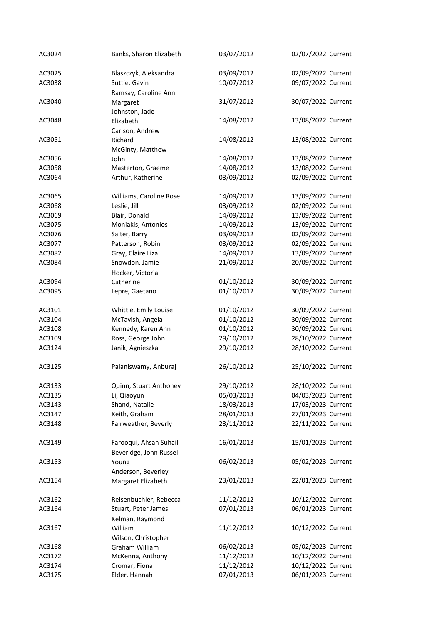| AC3024 | Banks, Sharon Elizabeth | 03/07/2012 | 02/07/2022 Current |
|--------|-------------------------|------------|--------------------|
| AC3025 | Blaszczyk, Aleksandra   | 03/09/2012 | 02/09/2022 Current |
| AC3038 | Suttie, Gavin           | 10/07/2012 | 09/07/2022 Current |
|        | Ramsay, Caroline Ann    |            |                    |
| AC3040 | Margaret                | 31/07/2012 | 30/07/2022 Current |
|        | Johnston, Jade          |            |                    |
| AC3048 | Elizabeth               | 14/08/2012 | 13/08/2022 Current |
|        | Carlson, Andrew         |            |                    |
| AC3051 | Richard                 | 14/08/2012 | 13/08/2022 Current |
|        | McGinty, Matthew        |            |                    |
| AC3056 | John                    | 14/08/2012 | 13/08/2022 Current |
| AC3058 | Masterton, Graeme       | 14/08/2012 | 13/08/2022 Current |
| AC3064 | Arthur, Katherine       | 03/09/2012 | 02/09/2022 Current |
|        |                         |            |                    |
| AC3065 | Williams, Caroline Rose | 14/09/2012 | 13/09/2022 Current |
| AC3068 | Leslie, Jill            | 03/09/2012 | 02/09/2022 Current |
| AC3069 | Blair, Donald           | 14/09/2012 | 13/09/2022 Current |
| AC3075 | Moniakis, Antonios      | 14/09/2012 | 13/09/2022 Current |
| AC3076 | Salter, Barry           | 03/09/2012 | 02/09/2022 Current |
| AC3077 | Patterson, Robin        | 03/09/2012 | 02/09/2022 Current |
| AC3082 | Gray, Claire Liza       | 14/09/2012 | 13/09/2022 Current |
| AC3084 | Snowdon, Jamie          | 21/09/2012 | 20/09/2022 Current |
|        | Hocker, Victoria        |            |                    |
| AC3094 | Catherine               | 01/10/2012 | 30/09/2022 Current |
| AC3095 | Lepre, Gaetano          | 01/10/2012 | 30/09/2022 Current |
|        |                         |            |                    |
| AC3101 | Whittle, Emily Louise   | 01/10/2012 | 30/09/2022 Current |
| AC3104 | McTavish, Angela        | 01/10/2012 | 30/09/2022 Current |
| AC3108 | Kennedy, Karen Ann      | 01/10/2012 | 30/09/2022 Current |
| AC3109 | Ross, George John       | 29/10/2012 | 28/10/2022 Current |
| AC3124 | Janik, Agnieszka        | 29/10/2012 | 28/10/2022 Current |
|        |                         |            |                    |
| AC3125 | Palaniswamy, Anburaj    | 26/10/2012 | 25/10/2022 Current |
|        |                         |            |                    |
| AC3133 | Quinn, Stuart Anthoney  | 29/10/2012 | 28/10/2022 Current |
| AC3135 | Li, Qiaoyun             | 05/03/2013 | 04/03/2023 Current |
| AC3143 | Shand, Natalie          | 18/03/2013 | 17/03/2023 Current |
| AC3147 | Keith, Graham           | 28/01/2013 | 27/01/2023 Current |
| AC3148 | Fairweather, Beverly    | 23/11/2012 | 22/11/2022 Current |
| AC3149 | Farooqui, Ahsan Suhail  | 16/01/2013 | 15/01/2023 Current |
|        | Beveridge, John Russell |            |                    |
| AC3153 | Young                   | 06/02/2013 | 05/02/2023 Current |
|        | Anderson, Beverley      |            |                    |
| AC3154 | Margaret Elizabeth      | 23/01/2013 | 22/01/2023 Current |
|        |                         |            |                    |
| AC3162 | Reisenbuchler, Rebecca  | 11/12/2012 | 10/12/2022 Current |
| AC3164 | Stuart, Peter James     | 07/01/2013 | 06/01/2023 Current |
|        | Kelman, Raymond         |            |                    |
| AC3167 | William                 | 11/12/2012 | 10/12/2022 Current |
|        | Wilson, Christopher     |            |                    |
| AC3168 | Graham William          | 06/02/2013 | 05/02/2023 Current |
| AC3172 | McKenna, Anthony        | 11/12/2012 | 10/12/2022 Current |
| AC3174 | Cromar, Fiona           | 11/12/2012 | 10/12/2022 Current |
| AC3175 | Elder, Hannah           | 07/01/2013 | 06/01/2023 Current |
|        |                         |            |                    |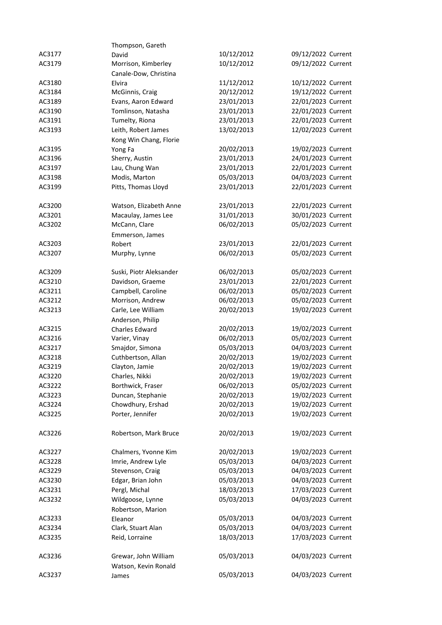|        | Thompson, Gareth        |            |                    |
|--------|-------------------------|------------|--------------------|
| AC3177 | David                   | 10/12/2012 | 09/12/2022 Current |
| AC3179 | Morrison, Kimberley     | 10/12/2012 | 09/12/2022 Current |
|        | Canale-Dow, Christina   |            |                    |
| AC3180 | Elvira                  | 11/12/2012 | 10/12/2022 Current |
| AC3184 | McGinnis, Craig         | 20/12/2012 | 19/12/2022 Current |
| AC3189 | Evans, Aaron Edward     | 23/01/2013 | 22/01/2023 Current |
| AC3190 | Tomlinson, Natasha      | 23/01/2013 | 22/01/2023 Current |
| AC3191 | Tumelty, Riona          | 23/01/2013 | 22/01/2023 Current |
| AC3193 | Leith, Robert James     | 13/02/2013 | 12/02/2023 Current |
|        | Kong Win Chang, Florie  |            |                    |
| AC3195 | Yong Fa                 | 20/02/2013 | 19/02/2023 Current |
| AC3196 | Sherry, Austin          | 23/01/2013 | 24/01/2023 Current |
| AC3197 | Lau, Chung Wan          | 23/01/2013 | 22/01/2023 Current |
| AC3198 | Modis, Marton           | 05/03/2013 | 04/03/2023 Current |
| AC3199 | Pitts, Thomas Lloyd     | 23/01/2013 | 22/01/2023 Current |
|        |                         |            |                    |
| AC3200 | Watson, Elizabeth Anne  | 23/01/2013 | 22/01/2023 Current |
| AC3201 | Macaulay, James Lee     | 31/01/2013 | 30/01/2023 Current |
| AC3202 | McCann, Clare           | 06/02/2013 | 05/02/2023 Current |
|        | Emmerson, James         |            |                    |
| AC3203 | Robert                  | 23/01/2013 | 22/01/2023 Current |
| AC3207 | Murphy, Lynne           | 06/02/2013 | 05/02/2023 Current |
|        |                         |            |                    |
| AC3209 | Suski, Piotr Aleksander | 06/02/2013 | 05/02/2023 Current |
| AC3210 | Davidson, Graeme        | 23/01/2013 | 22/01/2023 Current |
| AC3211 | Campbell, Caroline      | 06/02/2013 | 05/02/2023 Current |
| AC3212 | Morrison, Andrew        | 06/02/2013 | 05/02/2023 Current |
| AC3213 | Carle, Lee William      | 20/02/2013 | 19/02/2023 Current |
|        | Anderson, Philip        |            |                    |
| AC3215 | Charles Edward          | 20/02/2013 | 19/02/2023 Current |
| AC3216 | Varier, Vinay           | 06/02/2013 | 05/02/2023 Current |
| AC3217 | Smajdor, Simona         | 05/03/2013 | 04/03/2023 Current |
| AC3218 | Cuthbertson, Allan      | 20/02/2013 | 19/02/2023 Current |
| AC3219 | Clayton, Jamie          | 20/02/2013 | 19/02/2023 Current |
| AC3220 | Charles, Nikki          | 20/02/2013 | 19/02/2023 Current |
| AC3222 | Borthwick, Fraser       | 06/02/2013 | 05/02/2023 Current |
| AC3223 | Duncan, Stephanie       | 20/02/2013 | 19/02/2023 Current |
| AC3224 | Chowdhury, Ershad       | 20/02/2013 | 19/02/2023 Current |
| AC3225 | Porter, Jennifer        | 20/02/2013 | 19/02/2023 Current |
|        |                         |            |                    |
| AC3226 | Robertson, Mark Bruce   | 20/02/2013 | 19/02/2023 Current |
|        |                         |            |                    |
| AC3227 | Chalmers, Yvonne Kim    | 20/02/2013 | 19/02/2023 Current |
| AC3228 | Imrie, Andrew Lyle      | 05/03/2013 | 04/03/2023 Current |
| AC3229 | Stevenson, Craig        | 05/03/2013 | 04/03/2023 Current |
| AC3230 | Edgar, Brian John       | 05/03/2013 | 04/03/2023 Current |
| AC3231 | Pergl, Michal           | 18/03/2013 | 17/03/2023 Current |
| AC3232 | Wildgoose, Lynne        | 05/03/2013 | 04/03/2023 Current |
|        | Robertson, Marion       |            |                    |
| AC3233 | Eleanor                 | 05/03/2013 | 04/03/2023 Current |
| AC3234 | Clark, Stuart Alan      | 05/03/2013 | 04/03/2023 Current |
| AC3235 | Reid, Lorraine          | 18/03/2013 | 17/03/2023 Current |
|        |                         |            |                    |
| AC3236 | Grewar, John William    | 05/03/2013 | 04/03/2023 Current |
|        | Watson, Kevin Ronald    |            |                    |
| AC3237 |                         | 05/03/2013 | 04/03/2023 Current |
|        | James                   |            |                    |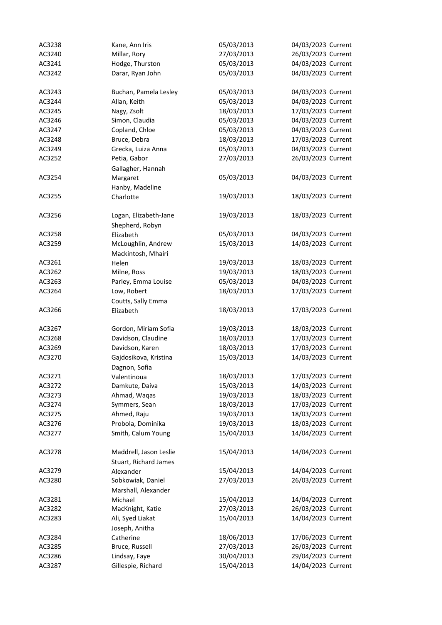| AC3238 | Kane, Ann Iris                    | 05/03/2013 | 04/03/2023 Current |
|--------|-----------------------------------|------------|--------------------|
| AC3240 | Millar, Rory                      | 27/03/2013 | 26/03/2023 Current |
| AC3241 | Hodge, Thurston                   | 05/03/2013 | 04/03/2023 Current |
| AC3242 | Darar, Ryan John                  | 05/03/2013 | 04/03/2023 Current |
|        |                                   |            |                    |
| AC3243 | Buchan, Pamela Lesley             | 05/03/2013 | 04/03/2023 Current |
| AC3244 | Allan, Keith                      | 05/03/2013 | 04/03/2023 Current |
| AC3245 | Nagy, Zsolt                       | 18/03/2013 | 17/03/2023 Current |
| AC3246 | Simon, Claudia                    | 05/03/2013 | 04/03/2023 Current |
| AC3247 | Copland, Chloe                    | 05/03/2013 | 04/03/2023 Current |
| AC3248 | Bruce, Debra                      | 18/03/2013 | 17/03/2023 Current |
| AC3249 | Grecka, Luiza Anna                | 05/03/2013 | 04/03/2023 Current |
| AC3252 | Petia, Gabor                      | 27/03/2013 | 26/03/2023 Current |
|        | Gallagher, Hannah                 |            |                    |
| AC3254 | Margaret                          | 05/03/2013 | 04/03/2023 Current |
|        | Hanby, Madeline                   |            |                    |
| AC3255 | Charlotte                         | 19/03/2013 | 18/03/2023 Current |
|        |                                   |            |                    |
| AC3256 | Logan, Elizabeth-Jane             | 19/03/2013 | 18/03/2023 Current |
|        | Shepherd, Robyn                   |            |                    |
| AC3258 | Elizabeth                         | 05/03/2013 | 04/03/2023 Current |
| AC3259 | McLoughlin, Andrew                | 15/03/2013 | 14/03/2023 Current |
|        | Mackintosh, Mhairi                |            |                    |
| AC3261 | Helen                             | 19/03/2013 | 18/03/2023 Current |
| AC3262 | Milne, Ross                       | 19/03/2013 | 18/03/2023 Current |
| AC3263 | Parley, Emma Louise               | 05/03/2013 | 04/03/2023 Current |
| AC3264 | Low, Robert<br>Coutts, Sally Emma | 18/03/2013 | 17/03/2023 Current |
| AC3266 | Elizabeth                         | 18/03/2013 | 17/03/2023 Current |
| AC3267 | Gordon, Miriam Sofia              | 19/03/2013 | 18/03/2023 Current |
| AC3268 | Davidson, Claudine                | 18/03/2013 | 17/03/2023 Current |
| AC3269 | Davidson, Karen                   | 18/03/2013 | 17/03/2023 Current |
| AC3270 | Gajdosikova, Kristina             | 15/03/2013 | 14/03/2023 Current |
|        | Dagnon, Sofia                     |            |                    |
| AC3271 | Valentinoua                       | 18/03/2013 | 17/03/2023 Current |
| AC3272 | Damkute, Daiva                    | 15/03/2013 | 14/03/2023 Current |
| AC3273 | Ahmad, Waqas                      | 19/03/2013 | 18/03/2023 Current |
| AC3274 | Symmers, Sean                     | 18/03/2013 | 17/03/2023 Current |
| AC3275 | Ahmed, Raju                       | 19/03/2013 | 18/03/2023 Current |
| AC3276 | Probola, Dominika                 | 19/03/2013 | 18/03/2023 Current |
| AC3277 | Smith, Calum Young                | 15/04/2013 | 14/04/2023 Current |
|        |                                   |            |                    |
| AC3278 | Maddrell, Jason Leslie            | 15/04/2013 | 14/04/2023 Current |
|        | Stuart, Richard James             |            |                    |
| AC3279 | Alexander                         | 15/04/2013 | 14/04/2023 Current |
| AC3280 | Sobkowiak, Daniel                 | 27/03/2013 | 26/03/2023 Current |
|        | Marshall, Alexander               |            |                    |
| AC3281 | Michael                           | 15/04/2013 | 14/04/2023 Current |
| AC3282 | MacKnight, Katie                  | 27/03/2013 | 26/03/2023 Current |
| AC3283 | Ali, Syed Liakat                  | 15/04/2013 | 14/04/2023 Current |
|        | Joseph, Anitha                    |            |                    |
| AC3284 | Catherine                         | 18/06/2013 | 17/06/2023 Current |
| AC3285 | Bruce, Russell                    | 27/03/2013 | 26/03/2023 Current |
| AC3286 | Lindsay, Faye                     | 30/04/2013 | 29/04/2023 Current |
| AC3287 | Gillespie, Richard                | 15/04/2013 | 14/04/2023 Current |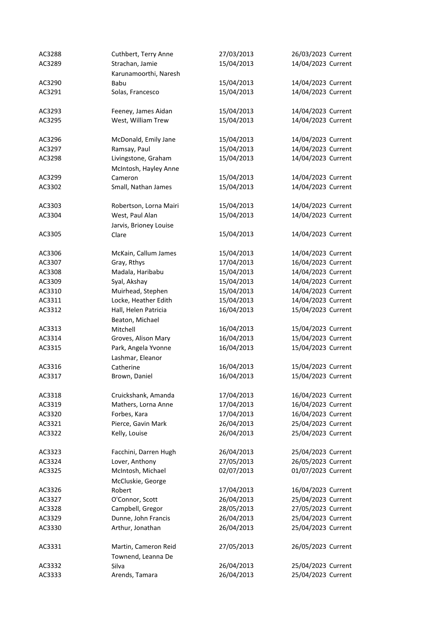| AC3288 | Cuthbert, Terry Anne    | 27/03/2013 | 26/03/2023 Current |
|--------|-------------------------|------------|--------------------|
| AC3289 | Strachan, Jamie         | 15/04/2013 | 14/04/2023 Current |
|        | Karunamoorthi, Naresh   |            |                    |
| AC3290 | Babu                    | 15/04/2013 | 14/04/2023 Current |
| AC3291 | Solas, Francesco        | 15/04/2013 | 14/04/2023 Current |
|        |                         |            |                    |
| AC3293 | Feeney, James Aidan     | 15/04/2013 | 14/04/2023 Current |
| AC3295 | West, William Trew      | 15/04/2013 | 14/04/2023 Current |
|        |                         |            |                    |
| AC3296 | McDonald, Emily Jane    | 15/04/2013 | 14/04/2023 Current |
| AC3297 | Ramsay, Paul            | 15/04/2013 | 14/04/2023 Current |
| AC3298 | Livingstone, Graham     | 15/04/2013 | 14/04/2023 Current |
|        | McIntosh, Hayley Anne   |            |                    |
| AC3299 | Cameron                 | 15/04/2013 | 14/04/2023 Current |
| AC3302 | Small, Nathan James     | 15/04/2013 | 14/04/2023 Current |
|        |                         |            |                    |
| AC3303 | Robertson, Lorna Mairi  | 15/04/2013 | 14/04/2023 Current |
| AC3304 | West, Paul Alan         | 15/04/2013 | 14/04/2023 Current |
|        | Jarvis, Brioney Louise  |            |                    |
| AC3305 | Clare                   | 15/04/2013 | 14/04/2023 Current |
|        |                         |            |                    |
| AC3306 | McKain, Callum James    | 15/04/2013 | 14/04/2023 Current |
| AC3307 | Gray, Rthys             | 17/04/2013 | 16/04/2023 Current |
| AC3308 | Madala, Haribabu        | 15/04/2013 | 14/04/2023 Current |
| AC3309 | Syal, Akshay            | 15/04/2013 | 14/04/2023 Current |
| AC3310 | Muirhead, Stephen       | 15/04/2013 | 14/04/2023 Current |
| AC3311 | Locke, Heather Edith    | 15/04/2013 | 14/04/2023 Current |
| AC3312 | Hall, Helen Patricia    | 16/04/2013 | 15/04/2023 Current |
|        | Beaton, Michael         |            |                    |
| AC3313 | Mitchell                | 16/04/2013 | 15/04/2023 Current |
| AC3314 | Groves, Alison Mary     | 16/04/2013 | 15/04/2023 Current |
| AC3315 | Park, Angela Yvonne     | 16/04/2013 | 15/04/2023 Current |
|        | Lashmar, Eleanor        |            |                    |
| AC3316 | Catherine               | 16/04/2013 | 15/04/2023 Current |
| AC3317 | Brown, Daniel           | 16/04/2013 | 15/04/2023 Current |
|        |                         |            |                    |
| AC3318 | Cruickshank, Amanda     | 17/04/2013 | 16/04/2023 Current |
| AC3319 | Mathers, Lorna Anne     | 17/04/2013 | 16/04/2023 Current |
| AC3320 | Forbes, Kara            | 17/04/2013 | 16/04/2023 Current |
| AC3321 | Pierce, Gavin Mark      | 26/04/2013 | 25/04/2023 Current |
| AC3322 | Kelly, Louise           | 26/04/2013 | 25/04/2023 Current |
|        |                         |            |                    |
| AC3323 | Facchini, Darren Hugh   | 26/04/2013 | 25/04/2023 Current |
| AC3324 | Lover, Anthony          | 27/05/2013 | 26/05/2023 Current |
| AC3325 | McIntosh, Michael       | 02/07/2013 | 01/07/2023 Current |
|        | McCluskie, George       |            |                    |
| AC3326 | Robert                  | 17/04/2013 | 16/04/2023 Current |
| AC3327 | O'Connor, Scott         | 26/04/2013 | 25/04/2023 Current |
| AC3328 | Campbell, Gregor        | 28/05/2013 | 27/05/2023 Current |
| AC3329 | Dunne, John Francis     | 26/04/2013 | 25/04/2023 Current |
| AC3330 | Arthur, Jonathan        | 26/04/2013 | 25/04/2023 Current |
|        |                         |            |                    |
| AC3331 | Martin, Cameron Reid    | 27/05/2013 | 26/05/2023 Current |
|        | Townend, Leanna De      |            |                    |
| AC3332 |                         | 26/04/2013 | 25/04/2023 Current |
| AC3333 | Silva<br>Arends, Tamara | 26/04/2013 | 25/04/2023 Current |
|        |                         |            |                    |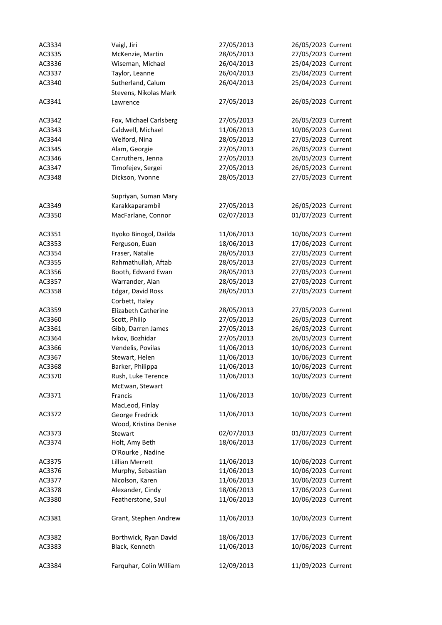| AC3334 | Vaigl, Jiri             | 27/05/2013 | 26/05/2023 Current |
|--------|-------------------------|------------|--------------------|
| AC3335 | McKenzie, Martin        | 28/05/2013 | 27/05/2023 Current |
| AC3336 | Wiseman, Michael        | 26/04/2013 | 25/04/2023 Current |
| AC3337 | Taylor, Leanne          | 26/04/2013 | 25/04/2023 Current |
| AC3340 | Sutherland, Calum       | 26/04/2013 | 25/04/2023 Current |
|        | Stevens, Nikolas Mark   |            |                    |
| AC3341 | Lawrence                | 27/05/2013 | 26/05/2023 Current |
| AC3342 | Fox, Michael Carlsberg  | 27/05/2013 | 26/05/2023 Current |
| AC3343 | Caldwell, Michael       | 11/06/2013 | 10/06/2023 Current |
| AC3344 | Welford, Nina           | 28/05/2013 | 27/05/2023 Current |
| AC3345 | Alam, Georgie           | 27/05/2013 | 26/05/2023 Current |
| AC3346 | Carruthers, Jenna       | 27/05/2013 | 26/05/2023 Current |
| AC3347 | Timofejev, Sergei       | 27/05/2013 | 26/05/2023 Current |
| AC3348 | Dickson, Yvonne         | 28/05/2013 | 27/05/2023 Current |
|        | Supriyan, Suman Mary    |            |                    |
| AC3349 | Karakkaparambil         | 27/05/2013 | 26/05/2023 Current |
| AC3350 | MacFarlane, Connor      | 02/07/2013 | 01/07/2023 Current |
|        |                         |            |                    |
| AC3351 | Ityoko Binogol, Dailda  | 11/06/2013 | 10/06/2023 Current |
| AC3353 | Ferguson, Euan          | 18/06/2013 | 17/06/2023 Current |
| AC3354 | Fraser, Natalie         | 28/05/2013 | 27/05/2023 Current |
| AC3355 | Rahmathullah, Aftab     | 28/05/2013 | 27/05/2023 Current |
| AC3356 | Booth, Edward Ewan      | 28/05/2013 | 27/05/2023 Current |
| AC3357 | Warrander, Alan         | 28/05/2013 | 27/05/2023 Current |
| AC3358 | Edgar, David Ross       | 28/05/2013 | 27/05/2023 Current |
|        | Corbett, Haley          |            |                    |
| AC3359 | Elizabeth Catherine     | 28/05/2013 | 27/05/2023 Current |
| AC3360 | Scott, Philip           | 27/05/2013 | 26/05/2023 Current |
| AC3361 | Gibb, Darren James      | 27/05/2013 | 26/05/2023 Current |
| AC3364 | Ivkov, Bozhidar         | 27/05/2013 | 26/05/2023 Current |
| AC3366 | Vendelis, Povilas       | 11/06/2013 | 10/06/2023 Current |
| AC3367 | Stewart, Helen          | 11/06/2013 | 10/06/2023 Current |
| AC3368 | Barker, Philippa        | 11/06/2013 | 10/06/2023 Current |
| AC3370 | Rush, Luke Terence      | 11/06/2013 | 10/06/2023 Current |
|        | McEwan, Stewart         |            |                    |
| AC3371 | Francis                 | 11/06/2013 | 10/06/2023 Current |
|        | MacLeod, Finlay         |            |                    |
| AC3372 | George Fredrick         | 11/06/2013 | 10/06/2023 Current |
|        | Wood, Kristina Denise   |            |                    |
| AC3373 | Stewart                 | 02/07/2013 | 01/07/2023 Current |
| AC3374 | Holt, Amy Beth          | 18/06/2013 | 17/06/2023 Current |
|        | O'Rourke, Nadine        |            |                    |
| AC3375 | <b>Lillian Merrett</b>  | 11/06/2013 | 10/06/2023 Current |
| AC3376 | Murphy, Sebastian       | 11/06/2013 | 10/06/2023 Current |
| AC3377 | Nicolson, Karen         | 11/06/2013 | 10/06/2023 Current |
| AC3378 | Alexander, Cindy        | 18/06/2013 | 17/06/2023 Current |
| AC3380 | Featherstone, Saul      | 11/06/2013 | 10/06/2023 Current |
| AC3381 | Grant, Stephen Andrew   | 11/06/2013 | 10/06/2023 Current |
| AC3382 | Borthwick, Ryan David   | 18/06/2013 | 17/06/2023 Current |
| AC3383 | Black, Kenneth          | 11/06/2013 | 10/06/2023 Current |
|        |                         |            |                    |
| AC3384 | Farquhar, Colin William | 12/09/2013 | 11/09/2023 Current |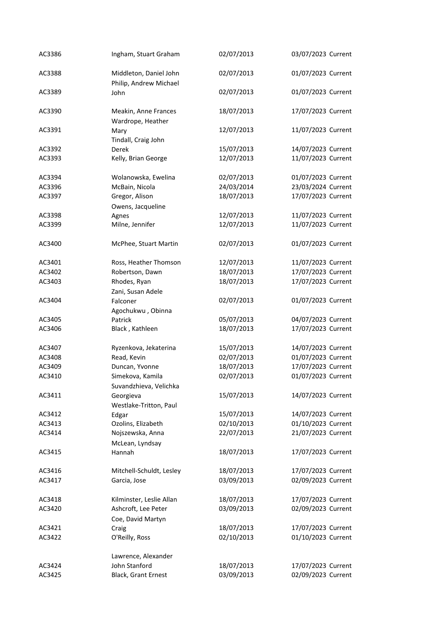| AC3386 | Ingham, Stuart Graham                            | 02/07/2013 | 03/07/2023 Current |
|--------|--------------------------------------------------|------------|--------------------|
| AC3388 | Middleton, Daniel John<br>Philip, Andrew Michael | 02/07/2013 | 01/07/2023 Current |
| AC3389 | John                                             | 02/07/2013 | 01/07/2023 Current |
| AC3390 | Meakin, Anne Frances<br>Wardrope, Heather        | 18/07/2013 | 17/07/2023 Current |
| AC3391 | Mary<br>Tindall, Craig John                      | 12/07/2013 | 11/07/2023 Current |
| AC3392 | <b>Derek</b>                                     | 15/07/2013 | 14/07/2023 Current |
| AC3393 | Kelly, Brian George                              | 12/07/2013 | 11/07/2023 Current |
| AC3394 | Wolanowska, Ewelina                              | 02/07/2013 | 01/07/2023 Current |
| AC3396 | McBain, Nicola                                   | 24/03/2014 | 23/03/2024 Current |
| AC3397 | Gregor, Alison<br>Owens, Jacqueline              | 18/07/2013 | 17/07/2023 Current |
| AC3398 | Agnes                                            | 12/07/2013 | 11/07/2023 Current |
| AC3399 | Milne, Jennifer                                  | 12/07/2013 | 11/07/2023 Current |
|        |                                                  |            |                    |
| AC3400 | McPhee, Stuart Martin                            | 02/07/2013 | 01/07/2023 Current |
| AC3401 | Ross, Heather Thomson                            | 12/07/2013 | 11/07/2023 Current |
| AC3402 | Robertson, Dawn                                  | 18/07/2013 | 17/07/2023 Current |
| AC3403 | Rhodes, Ryan                                     | 18/07/2013 | 17/07/2023 Current |
|        | Zani, Susan Adele                                |            |                    |
| AC3404 | Falconer<br>Agochukwu, Obinna                    | 02/07/2013 | 01/07/2023 Current |
| AC3405 | Patrick                                          | 05/07/2013 | 04/07/2023 Current |
| AC3406 | Black, Kathleen                                  | 18/07/2013 | 17/07/2023 Current |
|        |                                                  |            |                    |
| AC3407 | Ryzenkova, Jekaterina                            | 15/07/2013 | 14/07/2023 Current |
| AC3408 | Read, Kevin                                      | 02/07/2013 | 01/07/2023 Current |
| AC3409 | Duncan, Yvonne                                   | 18/07/2013 | 17/07/2023 Current |
| AC3410 | Simekova, Kamila                                 | 02/07/2013 | 01/07/2023 Current |
|        | Suvandzhieva, Velichka                           |            |                    |
| AC3411 | Georgieva                                        | 15/07/2013 | 14/07/2023 Current |
|        | Westlake-Tritton, Paul                           |            |                    |
| AC3412 | Edgar                                            | 15/07/2013 | 14/07/2023 Current |
| AC3413 | Ozolins, Elizabeth                               | 02/10/2013 | 01/10/2023 Current |
| AC3414 | Nojszewska, Anna                                 | 22/07/2013 | 21/07/2023 Current |
|        | McLean, Lyndsay                                  |            |                    |
| AC3415 | Hannah                                           | 18/07/2013 | 17/07/2023 Current |
| AC3416 | Mitchell-Schuldt, Lesley                         | 18/07/2013 | 17/07/2023 Current |
| AC3417 | Garcia, Jose                                     | 03/09/2013 | 02/09/2023 Current |
|        |                                                  |            |                    |
| AC3418 | Kilminster, Leslie Allan                         | 18/07/2013 | 17/07/2023 Current |
| AC3420 | Ashcroft, Lee Peter<br>Coe, David Martyn         | 03/09/2013 | 02/09/2023 Current |
| AC3421 | Craig                                            | 18/07/2013 | 17/07/2023 Current |
| AC3422 | O'Reilly, Ross                                   | 02/10/2013 | 01/10/2023 Current |
|        |                                                  |            |                    |
|        | Lawrence, Alexander                              |            |                    |
| AC3424 | John Stanford                                    | 18/07/2013 | 17/07/2023 Current |
| AC3425 | Black, Grant Ernest                              | 03/09/2013 | 02/09/2023 Current |
|        |                                                  |            |                    |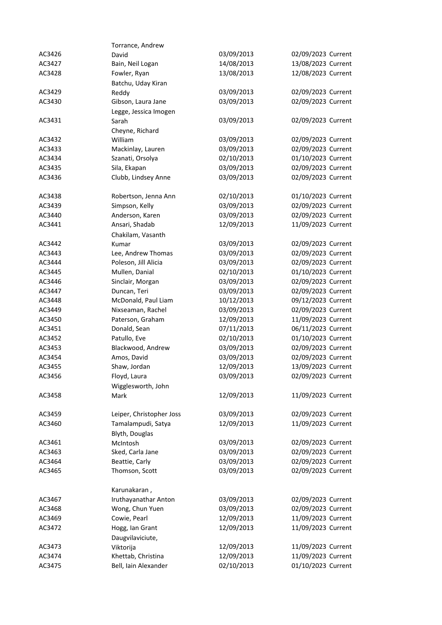|        | Torrance, Andrew         |            |                    |
|--------|--------------------------|------------|--------------------|
| AC3426 | David                    | 03/09/2013 | 02/09/2023 Current |
| AC3427 | Bain, Neil Logan         | 14/08/2013 | 13/08/2023 Current |
| AC3428 | Fowler, Ryan             | 13/08/2013 | 12/08/2023 Current |
|        | Batchu, Uday Kiran       |            |                    |
| AC3429 | Reddy                    | 03/09/2013 | 02/09/2023 Current |
| AC3430 | Gibson, Laura Jane       | 03/09/2013 | 02/09/2023 Current |
|        | Legge, Jessica Imogen    |            |                    |
| AC3431 | Sarah                    | 03/09/2013 | 02/09/2023 Current |
|        | Cheyne, Richard          |            |                    |
| AC3432 | William                  | 03/09/2013 | 02/09/2023 Current |
| AC3433 | Mackinlay, Lauren        | 03/09/2013 | 02/09/2023 Current |
| AC3434 | Szanati, Orsolya         | 02/10/2013 | 01/10/2023 Current |
| AC3435 | Sila, Ekapan             | 03/09/2013 | 02/09/2023 Current |
| AC3436 | Clubb, Lindsey Anne      | 03/09/2013 | 02/09/2023 Current |
|        |                          |            |                    |
| AC3438 | Robertson, Jenna Ann     | 02/10/2013 | 01/10/2023 Current |
| AC3439 | Simpson, Kelly           | 03/09/2013 | 02/09/2023 Current |
| AC3440 | Anderson, Karen          | 03/09/2013 | 02/09/2023 Current |
| AC3441 | Ansari, Shadab           | 12/09/2013 | 11/09/2023 Current |
|        | Chakilam, Vasanth        |            |                    |
| AC3442 | Kumar                    | 03/09/2013 | 02/09/2023 Current |
| AC3443 | Lee, Andrew Thomas       | 03/09/2013 | 02/09/2023 Current |
| AC3444 | Poleson, Jill Alicia     | 03/09/2013 | 02/09/2023 Current |
| AC3445 | Mullen, Danial           | 02/10/2013 | 01/10/2023 Current |
| AC3446 | Sinclair, Morgan         | 03/09/2013 | 02/09/2023 Current |
| AC3447 | Duncan, Teri             | 03/09/2013 | 02/09/2023 Current |
| AC3448 | McDonald, Paul Liam      | 10/12/2013 | 09/12/2023 Current |
| AC3449 | Nixseaman, Rachel        | 03/09/2013 | 02/09/2023 Current |
| AC3450 | Paterson, Graham         | 12/09/2013 | 11/09/2023 Current |
| AC3451 | Donald, Sean             | 07/11/2013 | 06/11/2023 Current |
| AC3452 | Patullo, Eve             | 02/10/2013 | 01/10/2023 Current |
| AC3453 | Blackwood, Andrew        | 03/09/2013 | 02/09/2023 Current |
| AC3454 | Amos, David              | 03/09/2013 | 02/09/2023 Current |
| AC3455 | Shaw, Jordan             | 12/09/2013 | 13/09/2023 Current |
| AC3456 | Floyd, Laura             | 03/09/2013 | 02/09/2023 Current |
|        |                          |            |                    |
| AC3458 | Wigglesworth, John       | 12/09/2013 | 11/09/2023 Current |
|        | Mark                     |            |                    |
| AC3459 | Leiper, Christopher Joss | 03/09/2013 | 02/09/2023 Current |
| AC3460 | Tamalampudi, Satya       | 12/09/2013 | 11/09/2023 Current |
|        | Blyth, Douglas           |            |                    |
| AC3461 |                          | 03/09/2013 | 02/09/2023 Current |
|        | McIntosh                 |            |                    |
| AC3463 | Sked, Carla Jane         | 03/09/2013 | 02/09/2023 Current |
| AC3464 | Beattie, Carly           | 03/09/2013 | 02/09/2023 Current |
| AC3465 | Thomson, Scott           | 03/09/2013 | 02/09/2023 Current |
|        |                          |            |                    |
|        | Karunakaran,             |            |                    |
| AC3467 | Iruthayanathar Anton     | 03/09/2013 | 02/09/2023 Current |
| AC3468 | Wong, Chun Yuen          | 03/09/2013 | 02/09/2023 Current |
| AC3469 | Cowie, Pearl             | 12/09/2013 | 11/09/2023 Current |
| AC3472 | Hogg, Ian Grant          | 12/09/2013 | 11/09/2023 Current |
|        | Daugvilaviciute,         |            |                    |
| AC3473 | Viktorija                | 12/09/2013 | 11/09/2023 Current |
| AC3474 | Khettab, Christina       | 12/09/2013 | 11/09/2023 Current |
| AC3475 | Bell, Iain Alexander     | 02/10/2013 | 01/10/2023 Current |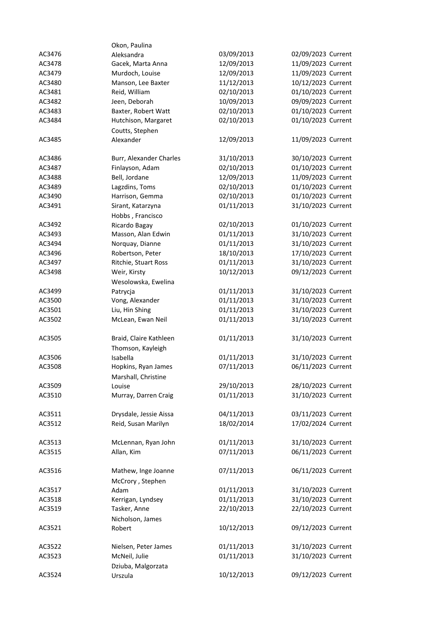|        | Okon, Paulina           |            |                    |
|--------|-------------------------|------------|--------------------|
| AC3476 | Aleksandra              | 03/09/2013 | 02/09/2023 Current |
| AC3478 | Gacek, Marta Anna       | 12/09/2013 | 11/09/2023 Current |
| AC3479 | Murdoch, Louise         | 12/09/2013 | 11/09/2023 Current |
| AC3480 | Manson, Lee Baxter      | 11/12/2013 | 10/12/2023 Current |
| AC3481 | Reid, William           | 02/10/2013 | 01/10/2023 Current |
| AC3482 | Jeen, Deborah           | 10/09/2013 | 09/09/2023 Current |
| AC3483 | Baxter, Robert Watt     | 02/10/2013 | 01/10/2023 Current |
| AC3484 | Hutchison, Margaret     | 02/10/2013 | 01/10/2023 Current |
|        | Coutts, Stephen         |            |                    |
| AC3485 | Alexander               | 12/09/2013 | 11/09/2023 Current |
|        |                         |            |                    |
| AC3486 | Burr, Alexander Charles | 31/10/2013 | 30/10/2023 Current |
| AC3487 | Finlayson, Adam         | 02/10/2013 | 01/10/2023 Current |
| AC3488 | Bell, Jordane           | 12/09/2013 | 11/09/2023 Current |
| AC3489 | Lagzdins, Toms          | 02/10/2013 | 01/10/2023 Current |
| AC3490 | Harrison, Gemma         | 02/10/2013 | 01/10/2023 Current |
| AC3491 | Sirant, Katarzyna       | 01/11/2013 | 31/10/2023 Current |
|        | Hobbs, Francisco        |            |                    |
| AC3492 | Ricardo Bagay           | 02/10/2013 | 01/10/2023 Current |
| AC3493 | Masson, Alan Edwin      | 01/11/2013 | 31/10/2023 Current |
| AC3494 | Norquay, Dianne         | 01/11/2013 | 31/10/2023 Current |
| AC3496 | Robertson, Peter        | 18/10/2013 | 17/10/2023 Current |
| AC3497 | Ritchie, Stuart Ross    | 01/11/2013 | 31/10/2023 Current |
| AC3498 | Weir, Kirsty            | 10/12/2013 | 09/12/2023 Current |
|        | Wesolowska, Ewelina     |            |                    |
| AC3499 | Patrycja                | 01/11/2013 | 31/10/2023 Current |
| AC3500 | Vong, Alexander         | 01/11/2013 | 31/10/2023 Current |
| AC3501 | Liu, Hin Shing          | 01/11/2013 | 31/10/2023 Current |
| AC3502 | McLean, Ewan Neil       | 01/11/2013 | 31/10/2023 Current |
| AC3505 | Braid, Claire Kathleen  | 01/11/2013 | 31/10/2023 Current |
|        | Thomson, Kayleigh       |            |                    |
| AC3506 | Isabella                | 01/11/2013 | 31/10/2023 Current |
| AC3508 | Hopkins, Ryan James     | 07/11/2013 | 06/11/2023 Current |
|        | Marshall, Christine     |            |                    |
| AC3509 | Louise                  | 29/10/2013 | 28/10/2023 Current |
| AC3510 | Murray, Darren Craig    | 01/11/2013 | 31/10/2023 Current |
| AC3511 | Drysdale, Jessie Aissa  | 04/11/2013 | 03/11/2023 Current |
| AC3512 | Reid, Susan Marilyn     | 18/02/2014 | 17/02/2024 Current |
|        |                         |            |                    |
| AC3513 | McLennan, Ryan John     | 01/11/2013 | 31/10/2023 Current |
| AC3515 | Allan, Kim              | 07/11/2013 | 06/11/2023 Current |
|        |                         |            |                    |
| AC3516 | Mathew, Inge Joanne     | 07/11/2013 | 06/11/2023 Current |
|        | McCrory, Stephen        |            |                    |
| AC3517 | Adam                    | 01/11/2013 | 31/10/2023 Current |
| AC3518 | Kerrigan, Lyndsey       | 01/11/2013 | 31/10/2023 Current |
| AC3519 | Tasker, Anne            | 22/10/2013 | 22/10/2023 Current |
|        | Nicholson, James        |            |                    |
| AC3521 | Robert                  | 10/12/2013 | 09/12/2023 Current |
|        |                         |            |                    |
| AC3522 | Nielsen, Peter James    | 01/11/2013 | 31/10/2023 Current |
| AC3523 | McNeil, Julie           | 01/11/2013 | 31/10/2023 Current |
|        | Dziuba, Malgorzata      |            |                    |
| AC3524 | Urszula                 | 10/12/2013 | 09/12/2023 Current |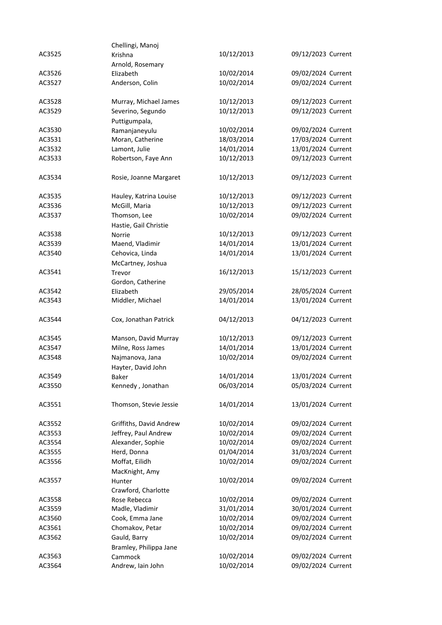|        | Chellingi, Manoj           |            |                    |
|--------|----------------------------|------------|--------------------|
| AC3525 | Krishna                    | 10/12/2013 | 09/12/2023 Current |
|        | Arnold, Rosemary           |            |                    |
| AC3526 | Elizabeth                  | 10/02/2014 | 09/02/2024 Current |
| AC3527 | Anderson, Colin            | 10/02/2014 | 09/02/2024 Current |
|        |                            |            |                    |
| AC3528 | Murray, Michael James      | 10/12/2013 | 09/12/2023 Current |
| AC3529 | Severino, Segundo          | 10/12/2013 | 09/12/2023 Current |
|        | Puttigumpala,              |            |                    |
| AC3530 | Ramanjaneyulu              | 10/02/2014 | 09/02/2024 Current |
| AC3531 | Moran, Catherine           | 18/03/2014 | 17/03/2024 Current |
| AC3532 | Lamont, Julie              | 14/01/2014 | 13/01/2024 Current |
| AC3533 | Robertson, Faye Ann        | 10/12/2013 | 09/12/2023 Current |
|        |                            |            |                    |
| AC3534 | Rosie, Joanne Margaret     | 10/12/2013 | 09/12/2023 Current |
| AC3535 | Hauley, Katrina Louise     | 10/12/2013 | 09/12/2023 Current |
| AC3536 | McGill, Maria              | 10/12/2013 | 09/12/2023 Current |
|        | Thomson, Lee               | 10/02/2014 | 09/02/2024 Current |
| AC3537 |                            |            |                    |
|        | Hastie, Gail Christie      |            |                    |
| AC3538 | Norrie                     | 10/12/2013 | 09/12/2023 Current |
| AC3539 | Maend, Vladimir            | 14/01/2014 | 13/01/2024 Current |
| AC3540 | Cehovica, Linda            | 14/01/2014 | 13/01/2024 Current |
|        | McCartney, Joshua          |            |                    |
| AC3541 | Trevor                     | 16/12/2013 | 15/12/2023 Current |
|        | Gordon, Catherine          |            |                    |
| AC3542 | Elizabeth                  | 29/05/2014 | 28/05/2024 Current |
| AC3543 | Middler, Michael           | 14/01/2014 | 13/01/2024 Current |
| AC3544 | Cox, Jonathan Patrick      | 04/12/2013 | 04/12/2023 Current |
| AC3545 | Manson, David Murray       | 10/12/2013 | 09/12/2023 Current |
| AC3547 | Milne, Ross James          | 14/01/2014 | 13/01/2024 Current |
| AC3548 | Najmanova, Jana            | 10/02/2014 | 09/02/2024 Current |
|        |                            |            |                    |
| AC3549 | Hayter, David John         | 14/01/2014 | 13/01/2024 Current |
| AC3550 | Baker<br>Kennedy, Jonathan | 06/03/2014 | 05/03/2024 Current |
|        |                            |            |                    |
| AC3551 | Thomson, Stevie Jessie     | 14/01/2014 | 13/01/2024 Current |
| AC3552 | Griffiths, David Andrew    | 10/02/2014 | 09/02/2024 Current |
| AC3553 | Jeffrey, Paul Andrew       | 10/02/2014 | 09/02/2024 Current |
| AC3554 | Alexander, Sophie          | 10/02/2014 | 09/02/2024 Current |
| AC3555 | Herd, Donna                | 01/04/2014 | 31/03/2024 Current |
| AC3556 | Moffat, Eilidh             | 10/02/2014 | 09/02/2024 Current |
|        | MacKnight, Amy             |            |                    |
| AC3557 | Hunter                     | 10/02/2014 | 09/02/2024 Current |
|        | Crawford, Charlotte        |            |                    |
| AC3558 | Rose Rebecca               | 10/02/2014 | 09/02/2024 Current |
| AC3559 | Madle, Vladimir            | 31/01/2014 | 30/01/2024 Current |
| AC3560 | Cook, Emma Jane            | 10/02/2014 | 09/02/2024 Current |
| AC3561 | Chomakov, Petar            | 10/02/2014 | 09/02/2024 Current |
| AC3562 | Gauld, Barry               | 10/02/2014 | 09/02/2024 Current |
|        | Bramley, Philippa Jane     |            |                    |
| AC3563 | Cammock                    | 10/02/2014 | 09/02/2024 Current |
| AC3564 | Andrew, Iain John          | 10/02/2014 | 09/02/2024 Current |
|        |                            |            |                    |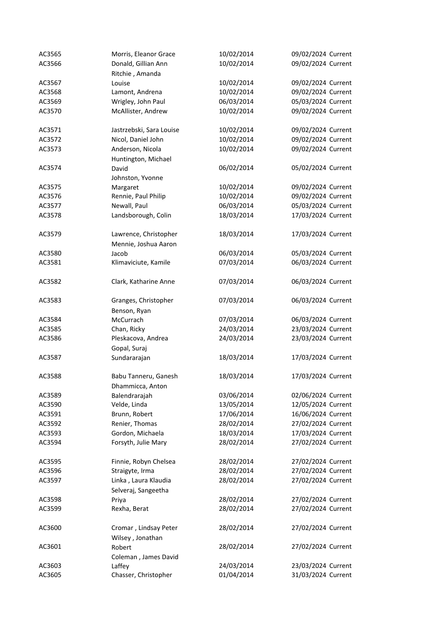| AC3565 | Morris, Eleanor Grace                | 10/02/2014 | 09/02/2024 Current |
|--------|--------------------------------------|------------|--------------------|
| AC3566 | Donald, Gillian Ann                  | 10/02/2014 | 09/02/2024 Current |
|        | Ritchie, Amanda                      |            |                    |
| AC3567 | Louise                               | 10/02/2014 | 09/02/2024 Current |
| AC3568 | Lamont, Andrena                      | 10/02/2014 | 09/02/2024 Current |
| AC3569 | Wrigley, John Paul                   | 06/03/2014 | 05/03/2024 Current |
| AC3570 | McAllister, Andrew                   | 10/02/2014 | 09/02/2024 Current |
| AC3571 | Jastrzebski, Sara Louise             | 10/02/2014 | 09/02/2024 Current |
| AC3572 | Nicol, Daniel John                   | 10/02/2014 | 09/02/2024 Current |
| AC3573 | Anderson, Nicola                     | 10/02/2014 | 09/02/2024 Current |
|        | Huntington, Michael                  |            |                    |
| AC3574 | David                                | 06/02/2014 | 05/02/2024 Current |
|        | Johnston, Yvonne                     |            |                    |
| AC3575 | Margaret                             | 10/02/2014 | 09/02/2024 Current |
| AC3576 | Rennie, Paul Philip                  | 10/02/2014 | 09/02/2024 Current |
| AC3577 | Newall, Paul                         | 06/03/2014 | 05/03/2024 Current |
| AC3578 | Landsborough, Colin                  | 18/03/2014 | 17/03/2024 Current |
| AC3579 | Lawrence, Christopher                | 18/03/2014 | 17/03/2024 Current |
|        | Mennie, Joshua Aaron                 |            |                    |
| AC3580 | Jacob                                | 06/03/2014 | 05/03/2024 Current |
| AC3581 | Klimaviciute, Kamile                 | 07/03/2014 | 06/03/2024 Current |
| AC3582 | Clark, Katharine Anne                | 07/03/2014 | 06/03/2024 Current |
| AC3583 | Granges, Christopher<br>Benson, Ryan | 07/03/2014 | 06/03/2024 Current |
| AC3584 | McCurrach                            | 07/03/2014 | 06/03/2024 Current |
| AC3585 | Chan, Ricky                          | 24/03/2014 | 23/03/2024 Current |
| AC3586 | Pleskacova, Andrea                   | 24/03/2014 | 23/03/2024 Current |
|        | Gopal, Suraj                         |            |                    |
| AC3587 | Sundararajan                         | 18/03/2014 | 17/03/2024 Current |
| AC3588 | Babu Tanneru, Ganesh                 | 18/03/2014 | 17/03/2024 Current |
|        | Dhammicca, Anton                     |            |                    |
| AC3589 | Balendrarajah                        | 03/06/2014 | 02/06/2024 Current |
| AC3590 | Velde, Linda                         | 13/05/2014 | 12/05/2024 Current |
| AC3591 | Brunn, Robert                        | 17/06/2014 | 16/06/2024 Current |
| AC3592 | Renier, Thomas                       | 28/02/2014 | 27/02/2024 Current |
| AC3593 | Gordon, Michaela                     | 18/03/2014 | 17/03/2024 Current |
| AC3594 | Forsyth, Julie Mary                  | 28/02/2014 | 27/02/2024 Current |
| AC3595 | Finnie, Robyn Chelsea                | 28/02/2014 | 27/02/2024 Current |
| AC3596 | Straigyte, Irma                      | 28/02/2014 | 27/02/2024 Current |
| AC3597 | Linka, Laura Klaudia                 | 28/02/2014 | 27/02/2024 Current |
|        | Selveraj, Sangeetha                  |            |                    |
| AC3598 | Priya                                | 28/02/2014 | 27/02/2024 Current |
| AC3599 | Rexha, Berat                         | 28/02/2014 | 27/02/2024 Current |
| AC3600 | Cromar, Lindsay Peter                | 28/02/2014 | 27/02/2024 Current |
|        | Wilsey, Jonathan                     |            |                    |
| AC3601 | Robert                               | 28/02/2014 | 27/02/2024 Current |
|        | Coleman, James David                 |            |                    |
| AC3603 | Laffey                               | 24/03/2014 | 23/03/2024 Current |
| AC3605 | Chasser, Christopher                 | 01/04/2014 | 31/03/2024 Current |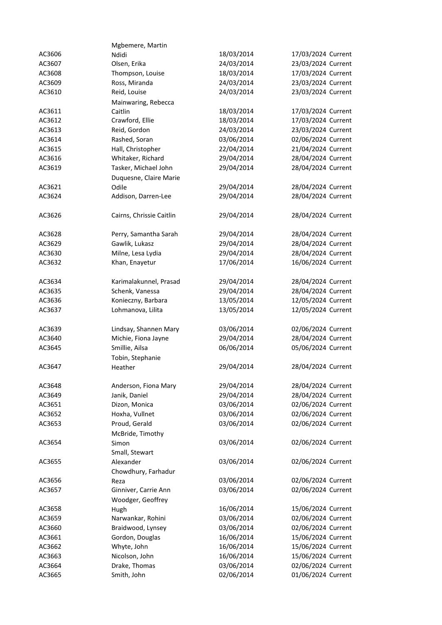|        | Mgbemere, Martin         |            |                    |
|--------|--------------------------|------------|--------------------|
| AC3606 | Ndidi                    | 18/03/2014 | 17/03/2024 Current |
| AC3607 | Olsen, Erika             | 24/03/2014 | 23/03/2024 Current |
| AC3608 | Thompson, Louise         | 18/03/2014 | 17/03/2024 Current |
| AC3609 | Ross, Miranda            | 24/03/2014 | 23/03/2024 Current |
| AC3610 | Reid, Louise             | 24/03/2014 | 23/03/2024 Current |
|        | Mainwaring, Rebecca      |            |                    |
| AC3611 | Caitlin                  | 18/03/2014 | 17/03/2024 Current |
| AC3612 | Crawford, Ellie          | 18/03/2014 | 17/03/2024 Current |
| AC3613 | Reid, Gordon             | 24/03/2014 | 23/03/2024 Current |
| AC3614 | Rashed, Soran            | 03/06/2014 | 02/06/2024 Current |
| AC3615 | Hall, Christopher        | 22/04/2014 | 21/04/2024 Current |
| AC3616 | Whitaker, Richard        | 29/04/2014 | 28/04/2024 Current |
| AC3619 | Tasker, Michael John     | 29/04/2014 | 28/04/2024 Current |
|        | Duquesne, Claire Marie   |            |                    |
| AC3621 | Odile                    | 29/04/2014 | 28/04/2024 Current |
| AC3624 | Addison, Darren-Lee      | 29/04/2014 | 28/04/2024 Current |
|        |                          |            |                    |
| AC3626 | Cairns, Chrissie Caitlin | 29/04/2014 | 28/04/2024 Current |
| AC3628 | Perry, Samantha Sarah    | 29/04/2014 | 28/04/2024 Current |
| AC3629 | Gawlik, Lukasz           | 29/04/2014 | 28/04/2024 Current |
| AC3630 | Milne, Lesa Lydia        | 29/04/2014 | 28/04/2024 Current |
| AC3632 | Khan, Enayetur           | 17/06/2014 | 16/06/2024 Current |
|        |                          |            |                    |
| AC3634 | Karimalakunnel, Prasad   | 29/04/2014 | 28/04/2024 Current |
| AC3635 | Schenk, Vanessa          | 29/04/2014 | 28/04/2024 Current |
| AC3636 | Konieczny, Barbara       | 13/05/2014 | 12/05/2024 Current |
| AC3637 | Lohmanova, Lilita        | 13/05/2014 | 12/05/2024 Current |
| AC3639 | Lindsay, Shannen Mary    | 03/06/2014 | 02/06/2024 Current |
| AC3640 | Michie, Fiona Jayne      | 29/04/2014 | 28/04/2024 Current |
| AC3645 | Smillie, Ailsa           | 06/06/2014 | 05/06/2024 Current |
|        | Tobin, Stephanie         |            |                    |
| AC3647 | Heather                  | 29/04/2014 | 28/04/2024 Current |
|        |                          |            |                    |
| AC3648 | Anderson, Fiona Mary     | 29/04/2014 | 28/04/2024 Current |
| AC3649 | Janik, Daniel            | 29/04/2014 | 28/04/2024 Current |
| AC3651 | Dizon, Monica            | 03/06/2014 | 02/06/2024 Current |
| AC3652 | Hoxha, Vullnet           | 03/06/2014 | 02/06/2024 Current |
| AC3653 | Proud, Gerald            | 03/06/2014 | 02/06/2024 Current |
|        | McBride, Timothy         |            |                    |
| AC3654 | Simon                    | 03/06/2014 | 02/06/2024 Current |
|        | Small, Stewart           |            |                    |
| AC3655 | Alexander                | 03/06/2014 | 02/06/2024 Current |
|        | Chowdhury, Farhadur      |            |                    |
| AC3656 | Reza                     | 03/06/2014 | 02/06/2024 Current |
| AC3657 | Ginniver, Carrie Ann     | 03/06/2014 | 02/06/2024 Current |
|        | Woodger, Geoffrey        |            |                    |
| AC3658 | Hugh                     | 16/06/2014 | 15/06/2024 Current |
| AC3659 | Narwankar, Rohini        | 03/06/2014 | 02/06/2024 Current |
| AC3660 | Braidwood, Lynsey        | 03/06/2014 | 02/06/2024 Current |
| AC3661 | Gordon, Douglas          | 16/06/2014 | 15/06/2024 Current |
| AC3662 | Whyte, John              | 16/06/2014 | 15/06/2024 Current |
| AC3663 | Nicolson, John           | 16/06/2014 | 15/06/2024 Current |
| AC3664 | Drake, Thomas            | 03/06/2014 | 02/06/2024 Current |
| AC3665 | Smith, John              | 02/06/2014 | 01/06/2024 Current |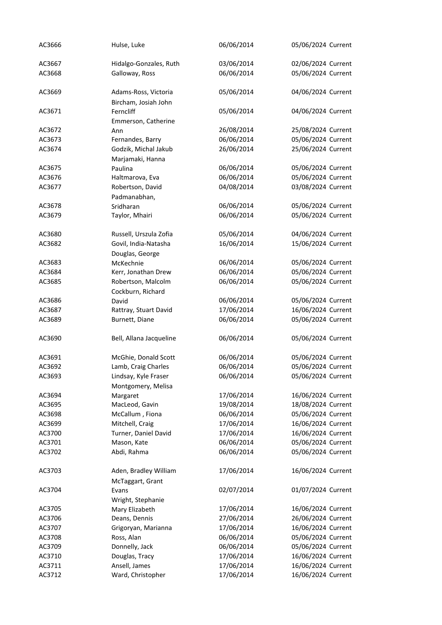| AC3666 | Hulse, Luke                                  | 06/06/2014 | 05/06/2024 Current |
|--------|----------------------------------------------|------------|--------------------|
| AC3667 | Hidalgo-Gonzales, Ruth                       | 03/06/2014 | 02/06/2024 Current |
| AC3668 | Galloway, Ross                               | 06/06/2014 | 05/06/2024 Current |
| AC3669 | Adams-Ross, Victoria<br>Bircham, Josiah John | 05/06/2014 | 04/06/2024 Current |
| AC3671 | Ferncliff<br>Emmerson, Catherine             | 05/06/2014 | 04/06/2024 Current |
| AC3672 | Ann                                          | 26/08/2014 | 25/08/2024 Current |
| AC3673 | Fernandes, Barry                             | 06/06/2014 | 05/06/2024 Current |
| AC3674 | Godzik, Michal Jakub<br>Marjamaki, Hanna     | 26/06/2014 | 25/06/2024 Current |
| AC3675 | Paulina                                      | 06/06/2014 | 05/06/2024 Current |
| AC3676 | Haltmarova, Eva                              | 06/06/2014 | 05/06/2024 Current |
| AC3677 | Robertson, David<br>Padmanabhan,             | 04/08/2014 | 03/08/2024 Current |
| AC3678 | Sridharan                                    | 06/06/2014 | 05/06/2024 Current |
| AC3679 | Taylor, Mhairi                               | 06/06/2014 | 05/06/2024 Current |
| AC3680 | Russell, Urszula Zofia                       | 05/06/2014 | 04/06/2024 Current |
| AC3682 | Govil, India-Natasha                         | 16/06/2014 | 15/06/2024 Current |
|        | Douglas, George                              |            |                    |
| AC3683 | McKechnie                                    | 06/06/2014 | 05/06/2024 Current |
| AC3684 | Kerr, Jonathan Drew                          | 06/06/2014 | 05/06/2024 Current |
| AC3685 | Robertson, Malcolm<br>Cockburn, Richard      | 06/06/2014 | 05/06/2024 Current |
| AC3686 | David                                        | 06/06/2014 | 05/06/2024 Current |
| AC3687 | Rattray, Stuart David                        | 17/06/2014 | 16/06/2024 Current |
| AC3689 | Burnett, Diane                               | 06/06/2014 | 05/06/2024 Current |
| AC3690 | Bell, Allana Jacqueline                      | 06/06/2014 | 05/06/2024 Current |
| AC3691 | McGhie, Donald Scott                         | 06/06/2014 | 05/06/2024 Current |
| AC3692 | Lamb, Craig Charles                          | 06/06/2014 | 05/06/2024 Current |
| AC3693 | Lindsay, Kyle Fraser                         | 06/06/2014 | 05/06/2024 Current |
|        | Montgomery, Melisa                           |            |                    |
| AC3694 | Margaret                                     | 17/06/2014 | 16/06/2024 Current |
| AC3695 | MacLeod, Gavin                               | 19/08/2014 | 18/08/2024 Current |
| AC3698 | McCallum, Fiona                              | 06/06/2014 | 05/06/2024 Current |
| AC3699 | Mitchell, Craig                              | 17/06/2014 | 16/06/2024 Current |
| AC3700 | Turner, Daniel David                         | 17/06/2014 | 16/06/2024 Current |
| AC3701 | Mason, Kate                                  | 06/06/2014 | 05/06/2024 Current |
| AC3702 | Abdi, Rahma                                  | 06/06/2014 | 05/06/2024 Current |
| AC3703 | Aden, Bradley William<br>McTaggart, Grant    | 17/06/2014 | 16/06/2024 Current |
| AC3704 | Evans                                        | 02/07/2014 | 01/07/2024 Current |
|        | Wright, Stephanie                            |            |                    |
| AC3705 | Mary Elizabeth                               | 17/06/2014 | 16/06/2024 Current |
| AC3706 | Deans, Dennis                                | 27/06/2014 | 26/06/2024 Current |
| AC3707 | Grigoryan, Marianna                          | 17/06/2014 | 16/06/2024 Current |
| AC3708 | Ross, Alan                                   | 06/06/2014 | 05/06/2024 Current |
| AC3709 | Donnelly, Jack                               | 06/06/2014 | 05/06/2024 Current |
| AC3710 | Douglas, Tracy                               | 17/06/2014 | 16/06/2024 Current |
| AC3711 | Ansell, James                                | 17/06/2014 | 16/06/2024 Current |
| AC3712 | Ward, Christopher                            | 17/06/2014 | 16/06/2024 Current |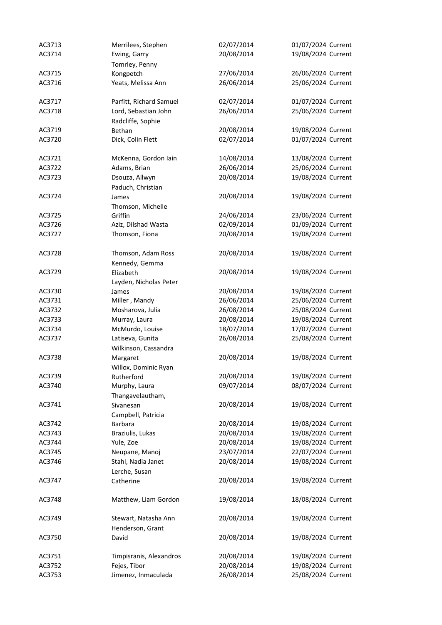| AC3713 | Merrilees, Stephen      | 02/07/2014 | 01/07/2024 Current |
|--------|-------------------------|------------|--------------------|
| AC3714 | Ewing, Garry            | 20/08/2014 | 19/08/2024 Current |
|        | Tomrley, Penny          |            |                    |
| AC3715 | Kongpetch               | 27/06/2014 | 26/06/2024 Current |
| AC3716 | Yeats, Melissa Ann      | 26/06/2014 | 25/06/2024 Current |
|        |                         |            |                    |
| AC3717 | Parfitt, Richard Samuel | 02/07/2014 | 01/07/2024 Current |
| AC3718 | Lord, Sebastian John    | 26/06/2014 | 25/06/2024 Current |
|        | Radcliffe, Sophie       |            |                    |
| AC3719 | Bethan                  | 20/08/2014 | 19/08/2024 Current |
| AC3720 | Dick, Colin Flett       | 02/07/2014 | 01/07/2024 Current |
|        |                         |            |                    |
| AC3721 | McKenna, Gordon Iain    | 14/08/2014 | 13/08/2024 Current |
| AC3722 | Adams, Brian            | 26/06/2014 | 25/06/2024 Current |
| AC3723 | Dsouza, Allwyn          | 20/08/2014 | 19/08/2024 Current |
|        | Paduch, Christian       |            |                    |
| AC3724 | James                   | 20/08/2014 | 19/08/2024 Current |
|        | Thomson, Michelle       |            |                    |
| AC3725 | Griffin                 | 24/06/2014 | 23/06/2024 Current |
| AC3726 | Aziz, Dilshad Wasta     | 02/09/2014 | 01/09/2024 Current |
| AC3727 | Thomson, Fiona          | 20/08/2014 | 19/08/2024 Current |
|        |                         |            |                    |
| AC3728 | Thomson, Adam Ross      | 20/08/2014 | 19/08/2024 Current |
|        | Kennedy, Gemma          |            |                    |
| AC3729 | Elizabeth               | 20/08/2014 | 19/08/2024 Current |
|        | Layden, Nicholas Peter  |            |                    |
| AC3730 | James                   | 20/08/2014 | 19/08/2024 Current |
| AC3731 | Miller, Mandy           | 26/06/2014 | 25/06/2024 Current |
| AC3732 | Mosharova, Julia        | 26/08/2014 | 25/08/2024 Current |
| AC3733 | Murray, Laura           | 20/08/2014 | 19/08/2024 Current |
| AC3734 | McMurdo, Louise         | 18/07/2014 | 17/07/2024 Current |
| AC3737 | Latiseva, Gunita        | 26/08/2014 | 25/08/2024 Current |
|        | Wilkinson, Cassandra    |            |                    |
| AC3738 | Margaret                | 20/08/2014 | 19/08/2024 Current |
|        | Willox, Dominic Ryan    |            |                    |
| AC3739 | Rutherford              | 20/08/2014 | 19/08/2024 Current |
| AC3740 | Murphy, Laura           | 09/07/2014 | 08/07/2024 Current |
|        | Thangavelautham,        |            |                    |
| AC3741 | Sivanesan               | 20/08/2014 | 19/08/2024 Current |
|        | Campbell, Patricia      |            |                    |
| AC3742 | Barbara                 | 20/08/2014 | 19/08/2024 Current |
| AC3743 | Braziulis, Lukas        | 20/08/2014 | 19/08/2024 Current |
| AC3744 | Yule, Zoe               | 20/08/2014 | 19/08/2024 Current |
| AC3745 | Neupane, Manoj          | 23/07/2014 | 22/07/2024 Current |
| AC3746 | Stahl, Nadia Janet      | 20/08/2014 | 19/08/2024 Current |
|        | Lerche, Susan           |            |                    |
| AC3747 | Catherine               | 20/08/2014 | 19/08/2024 Current |
|        |                         |            |                    |
| AC3748 | Matthew, Liam Gordon    | 19/08/2014 | 18/08/2024 Current |
|        |                         |            |                    |
| AC3749 | Stewart, Natasha Ann    | 20/08/2014 | 19/08/2024 Current |
|        | Henderson, Grant        |            |                    |
| AC3750 | David                   | 20/08/2014 | 19/08/2024 Current |
|        |                         |            |                    |
| AC3751 | Timpisranis, Alexandros | 20/08/2014 | 19/08/2024 Current |
| AC3752 | Fejes, Tibor            | 20/08/2014 | 19/08/2024 Current |
| AC3753 | Jimenez, Inmaculada     | 26/08/2014 | 25/08/2024 Current |
|        |                         |            |                    |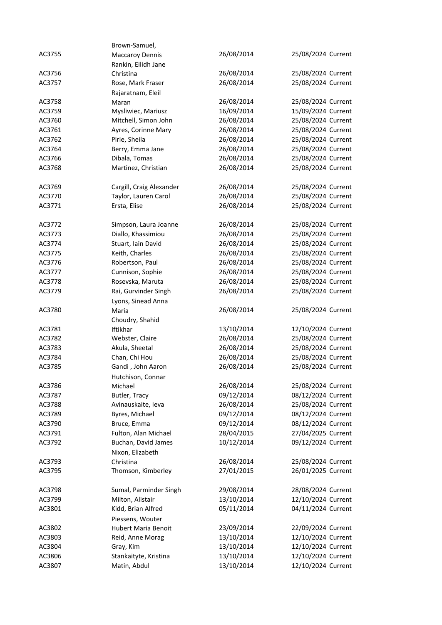|        | Brown-Samuel,              |            |                    |
|--------|----------------------------|------------|--------------------|
| AC3755 | <b>Maccaroy Dennis</b>     | 26/08/2014 | 25/08/2024 Current |
|        | Rankin, Eilidh Jane        |            |                    |
| AC3756 | Christina                  | 26/08/2014 | 25/08/2024 Current |
| AC3757 | Rose, Mark Fraser          | 26/08/2014 | 25/08/2024 Current |
|        | Rajaratnam, Eleil          |            |                    |
| AC3758 | Maran                      | 26/08/2014 | 25/08/2024 Current |
| AC3759 | Mysliwiec, Mariusz         | 16/09/2014 | 15/09/2024 Current |
| AC3760 | Mitchell, Simon John       | 26/08/2014 | 25/08/2024 Current |
| AC3761 | Ayres, Corinne Mary        | 26/08/2014 | 25/08/2024 Current |
| AC3762 | Pirie, Sheila              | 26/08/2014 | 25/08/2024 Current |
| AC3764 | Berry, Emma Jane           | 26/08/2014 | 25/08/2024 Current |
| AC3766 | Dibala, Tomas              | 26/08/2014 | 25/08/2024 Current |
| AC3768 | Martinez, Christian        | 26/08/2014 | 25/08/2024 Current |
|        |                            |            |                    |
| AC3769 | Cargill, Craig Alexander   | 26/08/2014 | 25/08/2024 Current |
| AC3770 | Taylor, Lauren Carol       | 26/08/2014 | 25/08/2024 Current |
| AC3771 | Ersta, Elise               | 26/08/2014 | 25/08/2024 Current |
|        |                            |            |                    |
| AC3772 | Simpson, Laura Joanne      | 26/08/2014 | 25/08/2024 Current |
| AC3773 | Diallo, Khassimiou         | 26/08/2014 | 25/08/2024 Current |
| AC3774 | Stuart, Iain David         | 26/08/2014 | 25/08/2024 Current |
| AC3775 | Keith, Charles             | 26/08/2014 | 25/08/2024 Current |
| AC3776 | Robertson, Paul            | 26/08/2014 | 25/08/2024 Current |
| AC3777 | Cunnison, Sophie           | 26/08/2014 | 25/08/2024 Current |
| AC3778 | Rosevska, Maruta           | 26/08/2014 | 25/08/2024 Current |
| AC3779 | Rai, Gurvinder Singh       | 26/08/2014 | 25/08/2024 Current |
|        | Lyons, Sinead Anna         |            |                    |
| AC3780 | Maria                      | 26/08/2014 | 25/08/2024 Current |
|        | Choudry, Shahid            |            |                    |
| AC3781 | Iftikhar                   | 13/10/2014 | 12/10/2024 Current |
| AC3782 | Webster, Claire            | 26/08/2014 | 25/08/2024 Current |
| AC3783 | Akula, Sheetal             | 26/08/2014 | 25/08/2024 Current |
| AC3784 | Chan, Chi Hou              | 26/08/2014 | 25/08/2024 Current |
| AC3785 | Gandi, John Aaron          | 26/08/2014 | 25/08/2024 Current |
|        | Hutchison, Connar          |            |                    |
| AC3786 | Michael                    | 26/08/2014 | 25/08/2024 Current |
| AC3787 | Butler, Tracy              | 09/12/2014 | 08/12/2024 Current |
| AC3788 | Avinauskaite, Ieva         | 26/08/2014 | 25/08/2024 Current |
| AC3789 | Byres, Michael             | 09/12/2014 | 08/12/2024 Current |
| AC3790 | Bruce, Emma                | 09/12/2014 | 08/12/2024 Current |
| AC3791 | Fulton, Alan Michael       | 28/04/2015 | 27/04/2025 Current |
| AC3792 | Buchan, David James        | 10/12/2014 | 09/12/2024 Current |
|        | Nixon, Elizabeth           |            |                    |
| AC3793 | Christina                  | 26/08/2014 | 25/08/2024 Current |
| AC3795 | Thomson, Kimberley         | 27/01/2015 | 26/01/2025 Current |
|        |                            |            |                    |
| AC3798 | Sumal, Parminder Singh     | 29/08/2014 | 28/08/2024 Current |
| AC3799 | Milton, Alistair           | 13/10/2014 | 12/10/2024 Current |
| AC3801 | Kidd, Brian Alfred         | 05/11/2014 | 04/11/2024 Current |
|        | Piessens, Wouter           |            |                    |
| AC3802 | <b>Hubert Maria Benoit</b> | 23/09/2014 | 22/09/2024 Current |
| AC3803 | Reid, Anne Morag           | 13/10/2014 | 12/10/2024 Current |
| AC3804 | Gray, Kim                  | 13/10/2014 | 12/10/2024 Current |
| AC3806 | Stankaityte, Kristina      | 13/10/2014 | 12/10/2024 Current |
| AC3807 | Matin, Abdul               | 13/10/2014 | 12/10/2024 Current |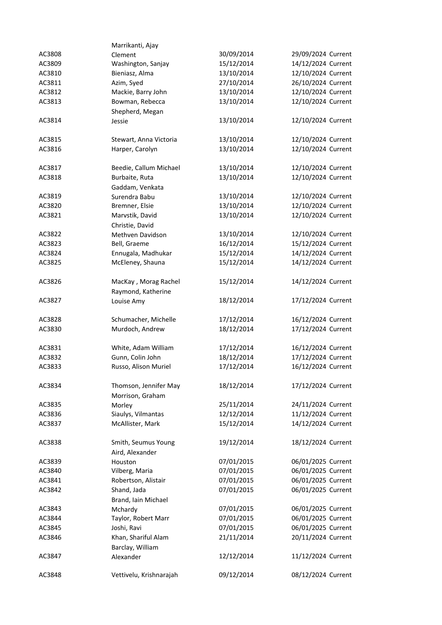|                  | Marrikanti, Ajay                   |                          |                                          |
|------------------|------------------------------------|--------------------------|------------------------------------------|
| AC3808           | Clement                            | 30/09/2014               | 29/09/2024 Current                       |
| AC3809           | Washington, Sanjay                 | 15/12/2014               | 14/12/2024 Current                       |
| AC3810           | Bieniasz, Alma                     | 13/10/2014               | 12/10/2024 Current                       |
| AC3811           | Azim, Syed                         | 27/10/2014               | 26/10/2024 Current                       |
| AC3812           | Mackie, Barry John                 | 13/10/2014               | 12/10/2024 Current                       |
| AC3813           | Bowman, Rebecca                    | 13/10/2014               | 12/10/2024 Current                       |
|                  | Shepherd, Megan                    |                          |                                          |
| AC3814           | Jessie                             | 13/10/2014               | 12/10/2024 Current                       |
|                  |                                    |                          |                                          |
| AC3815           | Stewart, Anna Victoria             | 13/10/2014               | 12/10/2024 Current                       |
| AC3816           | Harper, Carolyn                    | 13/10/2014               | 12/10/2024 Current                       |
|                  |                                    |                          |                                          |
| AC3817           | Beedie, Callum Michael             | 13/10/2014               | 12/10/2024 Current                       |
| AC3818           | Burbaite, Ruta                     | 13/10/2014               | 12/10/2024 Current                       |
| AC3819           | Gaddam, Venkata<br>Surendra Babu   | 13/10/2014               | 12/10/2024 Current                       |
| AC3820           | Bremner, Elsie                     | 13/10/2014               | 12/10/2024 Current                       |
| AC3821           | Marvstik, David                    | 13/10/2014               | 12/10/2024 Current                       |
|                  | Christie, David                    |                          |                                          |
| AC3822           | Methven Davidson                   | 13/10/2014               | 12/10/2024 Current                       |
| AC3823           | Bell, Graeme                       | 16/12/2014               | 15/12/2024 Current                       |
| AC3824           | Ennugala, Madhukar                 | 15/12/2014               | 14/12/2024 Current                       |
| AC3825           | McEleney, Shauna                   | 15/12/2014               | 14/12/2024 Current                       |
|                  |                                    |                          |                                          |
| AC3826           | MacKay, Morag Rachel               | 15/12/2014               | 14/12/2024 Current                       |
|                  | Raymond, Katherine                 |                          |                                          |
| AC3827           | Louise Amy                         | 18/12/2014               | 17/12/2024 Current                       |
|                  |                                    |                          |                                          |
| AC3828           | Schumacher, Michelle               | 17/12/2014               | 16/12/2024 Current                       |
| AC3830           | Murdoch, Andrew                    | 18/12/2014               | 17/12/2024 Current                       |
|                  |                                    |                          |                                          |
| AC3831           | White, Adam William                | 17/12/2014               | 16/12/2024 Current                       |
| AC3832           | Gunn, Colin John                   | 18/12/2014               | 17/12/2024 Current                       |
| AC3833           | Russo, Alison Muriel               | 17/12/2014               | 16/12/2024 Current                       |
|                  |                                    |                          |                                          |
| AC3834           | Thomson, Jennifer May              | 18/12/2014               | 17/12/2024 Current                       |
|                  | Morrison, Graham                   |                          |                                          |
| AC3835           | Morley                             | 25/11/2014               | 24/11/2024 Current                       |
| AC3836           | Siaulys, Vilmantas                 | 12/12/2014               | 11/12/2024 Current                       |
| AC3837           | McAllister, Mark                   | 15/12/2014               | 14/12/2024 Current                       |
|                  |                                    |                          |                                          |
| AC3838           | Smith, Seumus Young                | 19/12/2014               | 18/12/2024 Current                       |
|                  | Aird, Alexander                    |                          |                                          |
| AC3839           | Houston                            | 07/01/2015               | 06/01/2025 Current                       |
| AC3840<br>AC3841 | Vilberg, Maria                     | 07/01/2015<br>07/01/2015 | 06/01/2025 Current<br>06/01/2025 Current |
| AC3842           | Robertson, Alistair<br>Shand, Jada | 07/01/2015               | 06/01/2025 Current                       |
|                  | Brand, Iain Michael                |                          |                                          |
| AC3843           | Mchardy                            | 07/01/2015               | 06/01/2025 Current                       |
| AC3844           | Taylor, Robert Marr                | 07/01/2015               | 06/01/2025 Current                       |
| AC3845           | Joshi, Ravi                        | 07/01/2015               | 06/01/2025 Current                       |
| AC3846           | Khan, Shariful Alam                | 21/11/2014               | 20/11/2024 Current                       |
|                  | Barclay, William                   |                          |                                          |
| AC3847           | Alexander                          | 12/12/2014               | 11/12/2024 Current                       |
|                  |                                    |                          |                                          |
| AC3848           | Vettivelu, Krishnarajah            | 09/12/2014               | 08/12/2024 Current                       |
|                  |                                    |                          |                                          |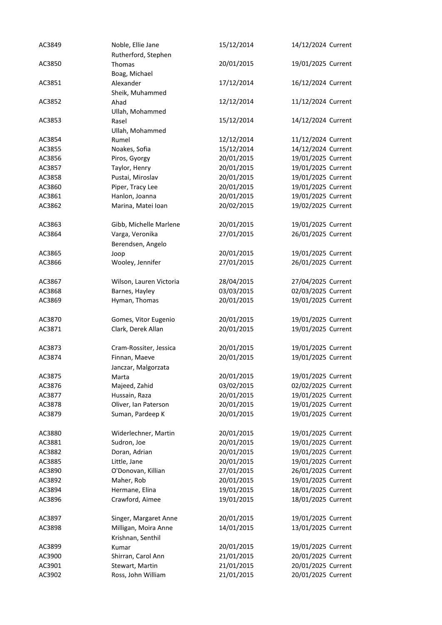| AC3849 | Noble, Ellie Jane       | 15/12/2014 | 14/12/2024 Current |
|--------|-------------------------|------------|--------------------|
|        | Rutherford, Stephen     |            |                    |
| AC3850 | Thomas                  | 20/01/2015 | 19/01/2025 Current |
|        | Boag, Michael           |            |                    |
| AC3851 | Alexander               | 17/12/2014 | 16/12/2024 Current |
|        | Sheik, Muhammed         |            |                    |
| AC3852 | Ahad                    | 12/12/2014 | 11/12/2024 Current |
|        | Ullah, Mohammed         |            |                    |
| AC3853 | Rasel                   | 15/12/2014 | 14/12/2024 Current |
|        | Ullah, Mohammed         |            |                    |
| AC3854 | Rumel                   | 12/12/2014 | 11/12/2024 Current |
| AC3855 | Noakes, Sofia           | 15/12/2014 | 14/12/2024 Current |
| AC3856 | Piros, Gyorgy           | 20/01/2015 | 19/01/2025 Current |
| AC3857 | Taylor, Henry           | 20/01/2015 | 19/01/2025 Current |
| AC3858 | Pustai, Miroslav        | 20/01/2015 | 19/01/2025 Current |
| AC3860 | Piper, Tracy Lee        | 20/01/2015 | 19/01/2025 Current |
| AC3861 | Hanlon, Joanna          | 20/01/2015 | 19/01/2025 Current |
| AC3862 | Marina, Matei Ioan      | 20/02/2015 | 19/02/2025 Current |
|        |                         |            |                    |
| AC3863 | Gibb, Michelle Marlene  | 20/01/2015 | 19/01/2025 Current |
| AC3864 | Varga, Veronika         | 27/01/2015 | 26/01/2025 Current |
|        |                         |            |                    |
| AC3865 | Berendsen, Angelo       |            |                    |
|        | Joop                    | 20/01/2015 | 19/01/2025 Current |
| AC3866 | Wooley, Jennifer        | 27/01/2015 | 26/01/2025 Current |
| AC3867 | Wilson, Lauren Victoria | 28/04/2015 | 27/04/2025 Current |
| AC3868 |                         | 03/03/2015 | 02/03/2025 Current |
|        | Barnes, Hayley          |            |                    |
| AC3869 | Hyman, Thomas           | 20/01/2015 | 19/01/2025 Current |
| AC3870 | Gomes, Vitor Eugenio    | 20/01/2015 | 19/01/2025 Current |
| AC3871 | Clark, Derek Allan      | 20/01/2015 | 19/01/2025 Current |
|        |                         |            |                    |
| AC3873 | Cram-Rossiter, Jessica  | 20/01/2015 | 19/01/2025 Current |
| AC3874 | Finnan, Maeve           | 20/01/2015 | 19/01/2025 Current |
|        | Janczar, Malgorzata     |            |                    |
| AC3875 | Marta                   | 20/01/2015 | 19/01/2025 Current |
| AC3876 | Majeed, Zahid           | 03/02/2015 | 02/02/2025 Current |
| AC3877 | Hussain, Raza           | 20/01/2015 | 19/01/2025 Current |
| AC3878 | Oliver, Ian Paterson    | 20/01/2015 | 19/01/2025 Current |
| AC3879 | Suman, Pardeep K        | 20/01/2015 | 19/01/2025 Current |
|        |                         |            |                    |
| AC3880 | Widerlechner, Martin    | 20/01/2015 | 19/01/2025 Current |
| AC3881 | Sudron, Joe             | 20/01/2015 | 19/01/2025 Current |
| AC3882 | Doran, Adrian           | 20/01/2015 | 19/01/2025 Current |
| AC3885 | Little, Jane            | 20/01/2015 | 19/01/2025 Current |
| AC3890 | O'Donovan, Killian      | 27/01/2015 | 26/01/2025 Current |
| AC3892 | Maher, Rob              | 20/01/2015 | 19/01/2025 Current |
| AC3894 | Hermane, Elina          | 19/01/2015 | 18/01/2025 Current |
|        | Crawford, Aimee         | 19/01/2015 | 18/01/2025 Current |
| AC3896 |                         |            |                    |
| AC3897 | Singer, Margaret Anne   | 20/01/2015 | 19/01/2025 Current |
| AC3898 | Milligan, Moira Anne    | 14/01/2015 | 13/01/2025 Current |
|        | Krishnan, Senthil       |            |                    |
| AC3899 | Kumar                   | 20/01/2015 | 19/01/2025 Current |
| AC3900 | Shirran, Carol Ann      | 21/01/2015 | 20/01/2025 Current |
| AC3901 | Stewart, Martin         | 21/01/2015 | 20/01/2025 Current |
| AC3902 | Ross, John William      | 21/01/2015 | 20/01/2025 Current |
|        |                         |            |                    |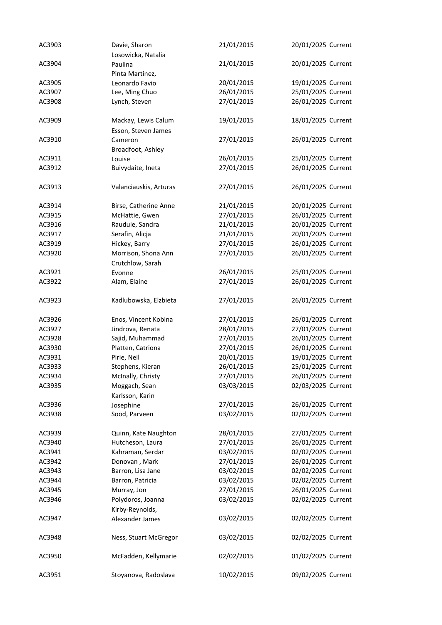| AC3903 | Davie, Sharon                    | 21/01/2015 | 20/01/2025 Current |
|--------|----------------------------------|------------|--------------------|
|        | Losowicka, Natalia               |            |                    |
| AC3904 | Paulina                          | 21/01/2015 | 20/01/2025 Current |
|        | Pinta Martinez,                  |            |                    |
| AC3905 | Leonardo Favio                   | 20/01/2015 | 19/01/2025 Current |
| AC3907 | Lee, Ming Chuo                   | 26/01/2015 | 25/01/2025 Current |
| AC3908 | Lynch, Steven                    | 27/01/2015 | 26/01/2025 Current |
| AC3909 | Mackay, Lewis Calum              | 19/01/2015 | 18/01/2025 Current |
|        | Esson, Steven James              |            |                    |
| AC3910 | Cameron                          | 27/01/2015 | 26/01/2025 Current |
|        | Broadfoot, Ashley                |            |                    |
| AC3911 | Louise                           | 26/01/2015 | 25/01/2025 Current |
| AC3912 | Buivydaite, Ineta                | 27/01/2015 | 26/01/2025 Current |
| AC3913 | Valanciauskis, Arturas           | 27/01/2015 | 26/01/2025 Current |
| AC3914 | Birse, Catherine Anne            | 21/01/2015 | 20/01/2025 Current |
| AC3915 | McHattie, Gwen                   | 27/01/2015 | 26/01/2025 Current |
| AC3916 | Raudule, Sandra                  | 21/01/2015 | 20/01/2025 Current |
| AC3917 | Serafin, Alicja                  | 21/01/2015 | 20/01/2025 Current |
| AC3919 | Hickey, Barry                    | 27/01/2015 | 26/01/2025 Current |
| AC3920 | Morrison, Shona Ann              | 27/01/2015 | 26/01/2025 Current |
|        | Crutchlow, Sarah                 |            |                    |
| AC3921 | Evonne                           | 26/01/2015 | 25/01/2025 Current |
| AC3922 | Alam, Elaine                     | 27/01/2015 | 26/01/2025 Current |
| AC3923 | Kadlubowska, Elzbieta            | 27/01/2015 | 26/01/2025 Current |
| AC3926 | Enos, Vincent Kobina             | 27/01/2015 | 26/01/2025 Current |
| AC3927 | Jindrova, Renata                 | 28/01/2015 | 27/01/2025 Current |
| AC3928 | Sajid, Muhammad                  | 27/01/2015 | 26/01/2025 Current |
| AC3930 | Platten, Catriona                | 27/01/2015 | 26/01/2025 Current |
| AC3931 | Pirie, Neil                      | 20/01/2015 | 19/01/2025 Current |
| AC3933 | Stephens, Kieran                 | 26/01/2015 | 25/01/2025 Current |
| AC3934 | McInally, Christy                | 27/01/2015 | 26/01/2025 Current |
| AC3935 | Moggach, Sean<br>Karlsson, Karin | 03/03/2015 | 02/03/2025 Current |
| AC3936 | Josephine                        | 27/01/2015 | 26/01/2025 Current |
| AC3938 | Sood, Parveen                    | 03/02/2015 | 02/02/2025 Current |
| AC3939 | Quinn, Kate Naughton             | 28/01/2015 | 27/01/2025 Current |
| AC3940 | Hutcheson, Laura                 | 27/01/2015 | 26/01/2025 Current |
| AC3941 | Kahraman, Serdar                 | 03/02/2015 | 02/02/2025 Current |
| AC3942 | Donovan, Mark                    | 27/01/2015 | 26/01/2025 Current |
| AC3943 | Barron, Lisa Jane                | 03/02/2015 | 02/02/2025 Current |
| AC3944 | Barron, Patricia                 | 03/02/2015 | 02/02/2025 Current |
| AC3945 | Murray, Jon                      | 27/01/2015 | 26/01/2025 Current |
| AC3946 | Polydoros, Joanna                | 03/02/2015 | 02/02/2025 Current |
|        | Kirby-Reynolds,                  |            |                    |
| AC3947 | Alexander James                  | 03/02/2015 | 02/02/2025 Current |
| AC3948 | Ness, Stuart McGregor            | 03/02/2015 | 02/02/2025 Current |
| AC3950 | McFadden, Kellymarie             | 02/02/2015 | 01/02/2025 Current |
| AC3951 | Stoyanova, Radoslava             | 10/02/2015 | 09/02/2025 Current |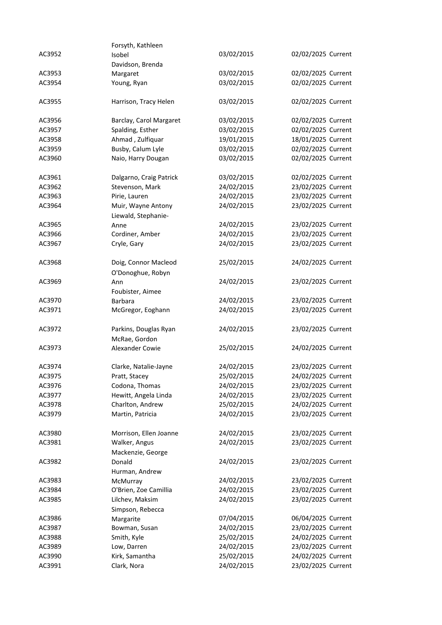|        | Forsyth, Kathleen                         |            |                    |
|--------|-------------------------------------------|------------|--------------------|
| AC3952 | Isobel                                    | 03/02/2015 | 02/02/2025 Current |
|        | Davidson, Brenda                          |            |                    |
| AC3953 | Margaret                                  | 03/02/2015 | 02/02/2025 Current |
| AC3954 | Young, Ryan                               | 03/02/2015 | 02/02/2025 Current |
| AC3955 | Harrison, Tracy Helen                     | 03/02/2015 | 02/02/2025 Current |
| AC3956 | Barclay, Carol Margaret                   | 03/02/2015 | 02/02/2025 Current |
| AC3957 | Spalding, Esther                          | 03/02/2015 | 02/02/2025 Current |
| AC3958 | Ahmad, Zulfiquar                          | 19/01/2015 | 18/01/2025 Current |
| AC3959 | Busby, Calum Lyle                         | 03/02/2015 | 02/02/2025 Current |
| AC3960 | Naio, Harry Dougan                        | 03/02/2015 | 02/02/2025 Current |
| AC3961 | Dalgarno, Craig Patrick                   | 03/02/2015 | 02/02/2025 Current |
| AC3962 | Stevenson, Mark                           | 24/02/2015 | 23/02/2025 Current |
| AC3963 | Pirie, Lauren                             | 24/02/2015 | 23/02/2025 Current |
| AC3964 | Muir, Wayne Antony                        | 24/02/2015 | 23/02/2025 Current |
|        | Liewald, Stephanie-                       |            |                    |
| AC3965 | Anne                                      | 24/02/2015 | 23/02/2025 Current |
| AC3966 | Cordiner, Amber                           | 24/02/2015 | 23/02/2025 Current |
| AC3967 | Cryle, Gary                               | 24/02/2015 | 23/02/2025 Current |
| AC3968 | Doig, Connor Macleod<br>O'Donoghue, Robyn | 25/02/2015 | 24/02/2025 Current |
| AC3969 | Ann                                       | 24/02/2015 | 23/02/2025 Current |
|        | Foubister, Aimee                          |            |                    |
| AC3970 | Barbara                                   | 24/02/2015 | 23/02/2025 Current |
| AC3971 | McGregor, Eoghann                         | 24/02/2015 | 23/02/2025 Current |
| AC3972 | Parkins, Douglas Ryan<br>McRae, Gordon    | 24/02/2015 | 23/02/2025 Current |
| AC3973 | Alexander Cowie                           | 25/02/2015 | 24/02/2025 Current |
| AC3974 | Clarke, Natalie-Jayne                     | 24/02/2015 | 23/02/2025 Current |
| AC3975 | Pratt, Stacey                             | 25/02/2015 | 24/02/2025 Current |
| AC3976 | Codona, Thomas                            | 24/02/2015 | 23/02/2025 Current |
| AC3977 | Hewitt, Angela Linda                      | 24/02/2015 | 23/02/2025 Current |
| AC3978 | Charlton, Andrew                          | 25/02/2015 | 24/02/2025 Current |
| AC3979 | Martin, Patricia                          | 24/02/2015 | 23/02/2025 Current |
| AC3980 | Morrison, Ellen Joanne                    | 24/02/2015 | 23/02/2025 Current |
| AC3981 | Walker, Angus                             | 24/02/2015 | 23/02/2025 Current |
|        | Mackenzie, George                         |            |                    |
| AC3982 | Donald                                    | 24/02/2015 | 23/02/2025 Current |
|        | Hurman, Andrew                            |            |                    |
| AC3983 | McMurray                                  | 24/02/2015 | 23/02/2025 Current |
| AC3984 | O'Brien, Zoe Camillia                     | 24/02/2015 | 23/02/2025 Current |
| AC3985 | Lilchev, Maksim<br>Simpson, Rebecca       | 24/02/2015 | 23/02/2025 Current |
| AC3986 | Margarite                                 | 07/04/2015 | 06/04/2025 Current |
| AC3987 | Bowman, Susan                             | 24/02/2015 | 23/02/2025 Current |
| AC3988 | Smith, Kyle                               | 25/02/2015 | 24/02/2025 Current |
| AC3989 | Low, Darren                               | 24/02/2015 | 23/02/2025 Current |
| AC3990 | Kirk, Samantha                            | 25/02/2015 | 24/02/2025 Current |
| AC3991 | Clark, Nora                               | 24/02/2015 | 23/02/2025 Current |
|        |                                           |            |                    |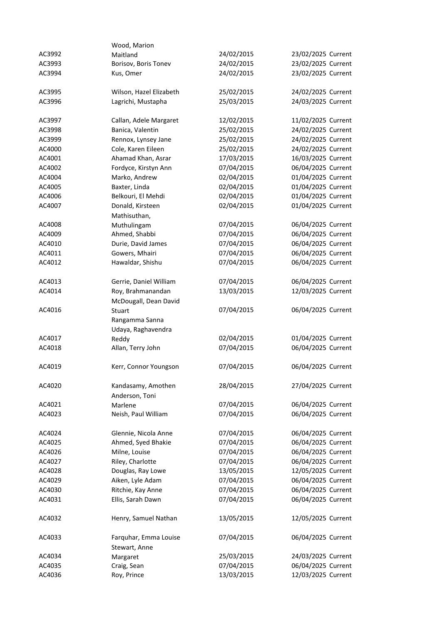|        | Wood, Marion            |            |                    |
|--------|-------------------------|------------|--------------------|
| AC3992 | Maitland                | 24/02/2015 | 23/02/2025 Current |
| AC3993 | Borisov, Boris Tonev    | 24/02/2015 | 23/02/2025 Current |
| AC3994 | Kus, Omer               | 24/02/2015 | 23/02/2025 Current |
|        |                         |            |                    |
| AC3995 | Wilson, Hazel Elizabeth | 25/02/2015 | 24/02/2025 Current |
| AC3996 | Lagrichi, Mustapha      | 25/03/2015 | 24/03/2025 Current |
|        |                         |            |                    |
| AC3997 | Callan, Adele Margaret  | 12/02/2015 | 11/02/2025 Current |
| AC3998 | Banica, Valentin        | 25/02/2015 | 24/02/2025 Current |
| AC3999 | Rennox, Lynsey Jane     | 25/02/2015 | 24/02/2025 Current |
| AC4000 | Cole, Karen Eileen      | 25/02/2015 | 24/02/2025 Current |
| AC4001 | Ahamad Khan, Asrar      | 17/03/2015 | 16/03/2025 Current |
| AC4002 | Fordyce, Kirstyn Ann    | 07/04/2015 | 06/04/2025 Current |
| AC4004 | Marko, Andrew           | 02/04/2015 | 01/04/2025 Current |
| AC4005 | Baxter, Linda           | 02/04/2015 | 01/04/2025 Current |
| AC4006 | Belkouri, El Mehdi      | 02/04/2015 | 01/04/2025 Current |
| AC4007 | Donald, Kirsteen        | 02/04/2015 | 01/04/2025 Current |
|        | Mathisuthan,            |            |                    |
| AC4008 | Muthulingam             | 07/04/2015 | 06/04/2025 Current |
| AC4009 | Ahmed, Shabbi           | 07/04/2015 | 06/04/2025 Current |
| AC4010 | Durie, David James      | 07/04/2015 | 06/04/2025 Current |
| AC4011 | Gowers, Mhairi          | 07/04/2015 | 06/04/2025 Current |
| AC4012 | Hawaldar, Shishu        | 07/04/2015 | 06/04/2025 Current |
|        |                         |            |                    |
| AC4013 | Gerrie, Daniel William  | 07/04/2015 | 06/04/2025 Current |
| AC4014 | Roy, Brahmanandan       | 13/03/2015 | 12/03/2025 Current |
|        | McDougall, Dean David   |            |                    |
| AC4016 | Stuart                  | 07/04/2015 | 06/04/2025 Current |
|        | Rangamma Sanna          |            |                    |
|        | Udaya, Raghavendra      |            |                    |
| AC4017 | Reddy                   | 02/04/2015 | 01/04/2025 Current |
| AC4018 | Allan, Terry John       | 07/04/2015 | 06/04/2025 Current |
|        |                         |            |                    |
| AC4019 | Kerr, Connor Youngson   | 07/04/2015 | 06/04/2025 Current |
|        |                         |            |                    |
| AC4020 | Kandasamy, Amothen      | 28/04/2015 | 27/04/2025 Current |
|        | Anderson, Toni          |            |                    |
| AC4021 | Marlene                 | 07/04/2015 | 06/04/2025 Current |
| AC4023 | Neish, Paul William     | 07/04/2015 | 06/04/2025 Current |
|        |                         |            |                    |
| AC4024 | Glennie, Nicola Anne    | 07/04/2015 | 06/04/2025 Current |
| AC4025 | Ahmed, Syed Bhakie      | 07/04/2015 | 06/04/2025 Current |
| AC4026 | Milne, Louise           | 07/04/2015 | 06/04/2025 Current |
| AC4027 | Riley, Charlotte        | 07/04/2015 | 06/04/2025 Current |
| AC4028 | Douglas, Ray Lowe       | 13/05/2015 | 12/05/2025 Current |
| AC4029 | Aiken, Lyle Adam        | 07/04/2015 | 06/04/2025 Current |
| AC4030 | Ritchie, Kay Anne       | 07/04/2015 | 06/04/2025 Current |
| AC4031 | Ellis, Sarah Dawn       | 07/04/2015 | 06/04/2025 Current |
|        |                         |            |                    |
| AC4032 | Henry, Samuel Nathan    | 13/05/2015 | 12/05/2025 Current |
|        |                         |            |                    |
| AC4033 | Farquhar, Emma Louise   | 07/04/2015 | 06/04/2025 Current |
|        | Stewart, Anne           |            |                    |
| AC4034 | Margaret                | 25/03/2015 | 24/03/2025 Current |
| AC4035 | Craig, Sean             | 07/04/2015 | 06/04/2025 Current |
| AC4036 | Roy, Prince             | 13/03/2015 | 12/03/2025 Current |
|        |                         |            |                    |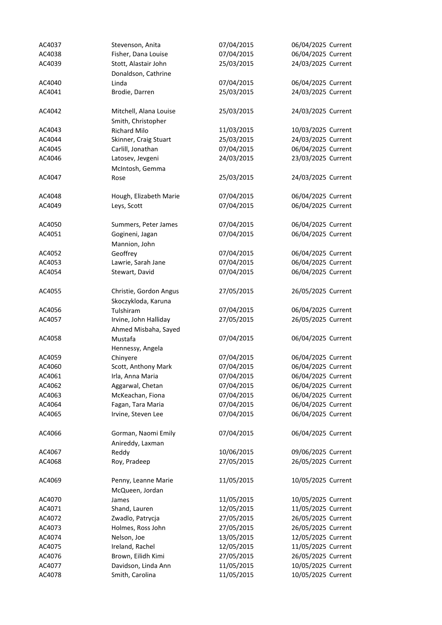| AC4037 | Stevenson, Anita       | 07/04/2015 | 06/04/2025 Current |
|--------|------------------------|------------|--------------------|
| AC4038 | Fisher, Dana Louise    | 07/04/2015 | 06/04/2025 Current |
| AC4039 | Stott, Alastair John   | 25/03/2015 | 24/03/2025 Current |
|        | Donaldson, Cathrine    |            |                    |
| AC4040 | Linda                  | 07/04/2015 | 06/04/2025 Current |
| AC4041 | Brodie, Darren         | 25/03/2015 | 24/03/2025 Current |
|        |                        |            |                    |
| AC4042 | Mitchell, Alana Louise | 25/03/2015 | 24/03/2025 Current |
|        | Smith, Christopher     |            |                    |
| AC4043 | <b>Richard Milo</b>    | 11/03/2015 | 10/03/2025 Current |
| AC4044 | Skinner, Craig Stuart  | 25/03/2015 | 24/03/2025 Current |
| AC4045 | Carlill, Jonathan      | 07/04/2015 | 06/04/2025 Current |
| AC4046 | Latosev, Jevgeni       | 24/03/2015 | 23/03/2025 Current |
|        | McIntosh, Gemma        |            |                    |
| AC4047 | Rose                   | 25/03/2015 | 24/03/2025 Current |
| AC4048 | Hough, Elizabeth Marie | 07/04/2015 | 06/04/2025 Current |
| AC4049 | Leys, Scott            | 07/04/2015 | 06/04/2025 Current |
|        |                        |            |                    |
| AC4050 | Summers, Peter James   | 07/04/2015 | 06/04/2025 Current |
| AC4051 | Gogineni, Jagan        | 07/04/2015 | 06/04/2025 Current |
|        | Mannion, John          |            |                    |
| AC4052 | Geoffrey               | 07/04/2015 | 06/04/2025 Current |
| AC4053 | Lawrie, Sarah Jane     | 07/04/2015 | 06/04/2025 Current |
| AC4054 | Stewart, David         | 07/04/2015 | 06/04/2025 Current |
| AC4055 | Christie, Gordon Angus | 27/05/2015 | 26/05/2025 Current |
|        | Skoczykloda, Karuna    |            |                    |
| AC4056 | Tulshiram              | 07/04/2015 | 06/04/2025 Current |
| AC4057 | Irvine, John Halliday  | 27/05/2015 | 26/05/2025 Current |
|        | Ahmed Misbaha, Sayed   |            |                    |
| AC4058 | Mustafa                | 07/04/2015 | 06/04/2025 Current |
|        | Hennessy, Angela       |            |                    |
| AC4059 | Chinyere               | 07/04/2015 | 06/04/2025 Current |
| AC4060 | Scott, Anthony Mark    | 07/04/2015 | 06/04/2025 Current |
| AC4061 | Irla, Anna Maria       | 07/04/2015 | 06/04/2025 Current |
| AC4062 | Aggarwal, Chetan       | 07/04/2015 | 06/04/2025 Current |
| AC4063 | McKeachan, Fiona       | 07/04/2015 | 06/04/2025 Current |
| AC4064 | Fagan, Tara Maria      | 07/04/2015 | 06/04/2025 Current |
| AC4065 | Irvine, Steven Lee     | 07/04/2015 | 06/04/2025 Current |
|        |                        |            |                    |
| AC4066 | Gorman, Naomi Emily    | 07/04/2015 | 06/04/2025 Current |
|        | Anireddy, Laxman       |            |                    |
| AC4067 | Reddy                  | 10/06/2015 | 09/06/2025 Current |
| AC4068 | Roy, Pradeep           | 27/05/2015 | 26/05/2025 Current |
| AC4069 | Penny, Leanne Marie    | 11/05/2015 | 10/05/2025 Current |
|        | McQueen, Jordan        |            |                    |
| AC4070 | James                  | 11/05/2015 | 10/05/2025 Current |
| AC4071 | Shand, Lauren          | 12/05/2015 | 11/05/2025 Current |
| AC4072 | Zwadlo, Patrycja       | 27/05/2015 | 26/05/2025 Current |
| AC4073 | Holmes, Ross John      | 27/05/2015 | 26/05/2025 Current |
| AC4074 | Nelson, Joe            | 13/05/2015 | 12/05/2025 Current |
| AC4075 | Ireland, Rachel        | 12/05/2015 | 11/05/2025 Current |
| AC4076 | Brown, Eilidh Kimi     | 27/05/2015 | 26/05/2025 Current |
| AC4077 | Davidson, Linda Ann    | 11/05/2015 | 10/05/2025 Current |
| AC4078 | Smith, Carolina        | 11/05/2015 | 10/05/2025 Current |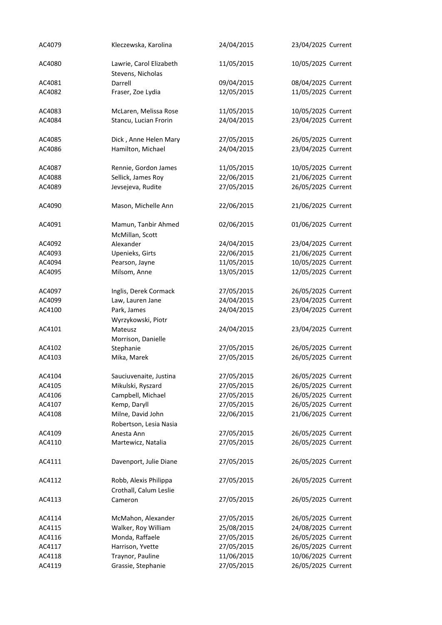| AC4079 | Kleczewska, Karolina                            | 24/04/2015 | 23/04/2025 Current |
|--------|-------------------------------------------------|------------|--------------------|
| AC4080 | Lawrie, Carol Elizabeth<br>Stevens, Nicholas    | 11/05/2015 | 10/05/2025 Current |
| AC4081 | Darrell                                         | 09/04/2015 | 08/04/2025 Current |
| AC4082 | Fraser, Zoe Lydia                               | 12/05/2015 | 11/05/2025 Current |
|        |                                                 |            |                    |
| AC4083 | McLaren, Melissa Rose                           | 11/05/2015 | 10/05/2025 Current |
| AC4084 | Stancu, Lucian Frorin                           | 24/04/2015 | 23/04/2025 Current |
| AC4085 | Dick, Anne Helen Mary                           | 27/05/2015 | 26/05/2025 Current |
| AC4086 | Hamilton, Michael                               | 24/04/2015 | 23/04/2025 Current |
| AC4087 | Rennie, Gordon James                            | 11/05/2015 | 10/05/2025 Current |
| AC4088 | Sellick, James Roy                              | 22/06/2015 | 21/06/2025 Current |
| AC4089 | Jevsejeva, Rudite                               | 27/05/2015 | 26/05/2025 Current |
| AC4090 | Mason, Michelle Ann                             | 22/06/2015 | 21/06/2025 Current |
| AC4091 | Mamun, Tanbir Ahmed<br>McMillan, Scott          | 02/06/2015 | 01/06/2025 Current |
| AC4092 | Alexander                                       | 24/04/2015 | 23/04/2025 Current |
| AC4093 | Upenieks, Girts                                 | 22/06/2015 | 21/06/2025 Current |
| AC4094 | Pearson, Jayne                                  | 11/05/2015 | 10/05/2025 Current |
| AC4095 | Milsom, Anne                                    | 13/05/2015 | 12/05/2025 Current |
|        |                                                 |            |                    |
| AC4097 | Inglis, Derek Cormack                           | 27/05/2015 | 26/05/2025 Current |
| AC4099 | Law, Lauren Jane                                | 24/04/2015 | 23/04/2025 Current |
| AC4100 | Park, James                                     | 24/04/2015 | 23/04/2025 Current |
| AC4101 | Wyrzykowski, Piotr<br>Mateusz                   | 24/04/2015 | 23/04/2025 Current |
|        |                                                 |            |                    |
| AC4102 | Morrison, Danielle                              | 27/05/2015 | 26/05/2025 Current |
| AC4103 | Stephanie                                       | 27/05/2015 |                    |
|        | Mika, Marek                                     |            | 26/05/2025 Current |
| AC4104 | Sauciuvenaite, Justina                          | 27/05/2015 | 26/05/2025 Current |
| AC4105 | Mikulski, Ryszard                               | 27/05/2015 | 26/05/2025 Current |
| AC4106 | Campbell, Michael                               | 27/05/2015 | 26/05/2025 Current |
| AC4107 | Kemp, Daryll                                    | 27/05/2015 | 26/05/2025 Current |
| AC4108 | Milne, David John                               | 22/06/2015 | 21/06/2025 Current |
|        | Robertson, Lesia Nasia                          |            |                    |
| AC4109 | Anesta Ann                                      | 27/05/2015 | 26/05/2025 Current |
| AC4110 | Martewicz, Natalia                              | 27/05/2015 | 26/05/2025 Current |
| AC4111 | Davenport, Julie Diane                          | 27/05/2015 | 26/05/2025 Current |
| AC4112 | Robb, Alexis Philippa<br>Crothall, Calum Leslie | 27/05/2015 | 26/05/2025 Current |
| AC4113 | Cameron                                         | 27/05/2015 | 26/05/2025 Current |
| AC4114 | McMahon, Alexander                              | 27/05/2015 | 26/05/2025 Current |
| AC4115 | Walker, Roy William                             | 25/08/2015 | 24/08/2025 Current |
| AC4116 | Monda, Raffaele                                 | 27/05/2015 | 26/05/2025 Current |
| AC4117 | Harrison, Yvette                                | 27/05/2015 | 26/05/2025 Current |
| AC4118 | Traynor, Pauline                                | 11/06/2015 | 10/06/2025 Current |
| AC4119 | Grassie, Stephanie                              | 27/05/2015 | 26/05/2025 Current |
|        |                                                 |            |                    |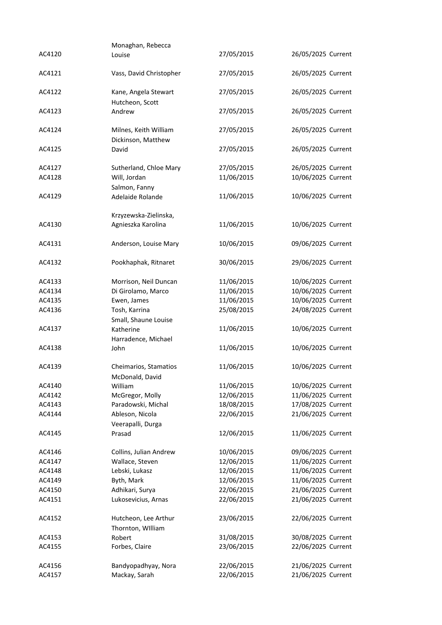| AC4120           | Monaghan, Rebecca                           | 27/05/2015 | 26/05/2025 Current |
|------------------|---------------------------------------------|------------|--------------------|
|                  | Louise                                      |            |                    |
| AC4121           | Vass, David Christopher                     | 27/05/2015 | 26/05/2025 Current |
| AC4122           | Kane, Angela Stewart<br>Hutcheon, Scott     | 27/05/2015 | 26/05/2025 Current |
| AC4123           | Andrew                                      | 27/05/2015 | 26/05/2025 Current |
| AC4124           | Milnes, Keith William<br>Dickinson, Matthew | 27/05/2015 | 26/05/2025 Current |
| AC4125           | David                                       | 27/05/2015 | 26/05/2025 Current |
| AC4127           | Sutherland, Chloe Mary                      | 27/05/2015 | 26/05/2025 Current |
| AC4128           | Will, Jordan                                | 11/06/2015 | 10/06/2025 Current |
|                  | Salmon, Fanny                               |            |                    |
| AC4129           | Adelaide Rolande                            | 11/06/2015 | 10/06/2025 Current |
|                  | Krzyzewska-Zielinska,                       |            |                    |
| AC4130           | Agnieszka Karolina                          | 11/06/2015 | 10/06/2025 Current |
| AC4131           | Anderson, Louise Mary                       | 10/06/2015 | 09/06/2025 Current |
| AC4132           | Pookhaphak, Ritnaret                        | 30/06/2015 | 29/06/2025 Current |
| AC4133           | Morrison, Neil Duncan                       | 11/06/2015 | 10/06/2025 Current |
| AC4134           | Di Girolamo, Marco                          | 11/06/2015 | 10/06/2025 Current |
| AC4135           | Ewen, James                                 | 11/06/2015 | 10/06/2025 Current |
| AC4136           | Tosh, Karrina                               | 25/08/2015 | 24/08/2025 Current |
|                  | Small, Shaune Louise                        |            |                    |
| AC4137           | Katherine<br>Harradence, Michael            | 11/06/2015 | 10/06/2025 Current |
| AC4138           | John                                        | 11/06/2015 | 10/06/2025 Current |
| AC4139           |                                             |            |                    |
|                  | Cheimarios, Stamatios<br>McDonald, David    | 11/06/2015 | 10/06/2025 Current |
| AC4140           | William                                     | 11/06/2015 | 10/06/2025 Current |
| AC4142           | McGregor, Molly                             | 12/06/2015 | 11/06/2025 Current |
| AC4143           | Paradowski, Michal                          | 18/08/2015 | 17/08/2025 Current |
| AC4144           | Ableson, Nicola                             | 22/06/2015 | 21/06/2025 Current |
|                  | Veerapalli, Durga                           |            |                    |
| AC4145           | Prasad                                      | 12/06/2015 | 11/06/2025 Current |
| AC4146           | Collins, Julian Andrew                      | 10/06/2015 | 09/06/2025 Current |
| AC4147           | Wallace, Steven                             | 12/06/2015 | 11/06/2025 Current |
| AC4148           | Lebski, Lukasz                              | 12/06/2015 | 11/06/2025 Current |
| AC4149           | Byth, Mark                                  | 12/06/2015 | 11/06/2025 Current |
| AC4150           | Adhikari, Surya                             | 22/06/2015 | 21/06/2025 Current |
| AC4151           | Lukosevicius, Arnas                         | 22/06/2015 | 21/06/2025 Current |
|                  |                                             |            |                    |
| AC4152           | Hutcheon, Lee Arthur<br>Thornton, William   | 23/06/2015 | 22/06/2025 Current |
| AC4153           | Robert                                      | 31/08/2015 | 30/08/2025 Current |
| AC4155           | Forbes, Claire                              | 23/06/2015 | 22/06/2025 Current |
|                  | Bandyopadhyay, Nora                         | 22/06/2015 | 21/06/2025 Current |
| AC4156<br>AC4157 |                                             |            |                    |
|                  | Mackay, Sarah                               | 22/06/2015 | 21/06/2025 Current |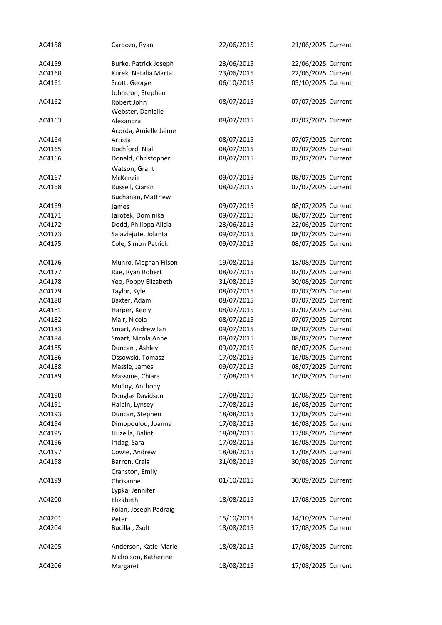| AC4158 | Cardozo, Ryan         | 22/06/2015 | 21/06/2025 Current |
|--------|-----------------------|------------|--------------------|
| AC4159 | Burke, Patrick Joseph | 23/06/2015 | 22/06/2025 Current |
| AC4160 | Kurek, Natalia Marta  | 23/06/2015 | 22/06/2025 Current |
| AC4161 | Scott, George         | 06/10/2015 | 05/10/2025 Current |
|        | Johnston, Stephen     |            |                    |
| AC4162 | Robert John           | 08/07/2015 | 07/07/2025 Current |
|        | Webster, Danielle     |            |                    |
| AC4163 | Alexandra             | 08/07/2015 | 07/07/2025 Current |
|        | Acorda, Amielle Jaime |            |                    |
| AC4164 | Artista               | 08/07/2015 | 07/07/2025 Current |
| AC4165 | Rochford, Niall       | 08/07/2015 | 07/07/2025 Current |
| AC4166 | Donald, Christopher   | 08/07/2015 | 07/07/2025 Current |
|        | Watson, Grant         |            |                    |
| AC4167 | McKenzie              | 09/07/2015 | 08/07/2025 Current |
| AC4168 | Russell, Ciaran       | 08/07/2015 | 07/07/2025 Current |
|        | Buchanan, Matthew     |            |                    |
| AC4169 | James                 | 09/07/2015 | 08/07/2025 Current |
| AC4171 | Jarotek, Dominika     | 09/07/2015 | 08/07/2025 Current |
| AC4172 | Dodd, Philippa Alicia | 23/06/2015 | 22/06/2025 Current |
| AC4173 | Salaviejute, Jolanta  | 09/07/2015 | 08/07/2025 Current |
| AC4175 | Cole, Simon Patrick   | 09/07/2015 | 08/07/2025 Current |
|        |                       |            |                    |
| AC4176 | Munro, Meghan Filson  | 19/08/2015 | 18/08/2025 Current |
| AC4177 | Rae, Ryan Robert      | 08/07/2015 | 07/07/2025 Current |
| AC4178 | Yeo, Poppy Elizabeth  | 31/08/2015 | 30/08/2025 Current |
| AC4179 | Taylor, Kyle          | 08/07/2015 | 07/07/2025 Current |
| AC4180 | Baxter, Adam          | 08/07/2015 | 07/07/2025 Current |
| AC4181 | Harper, Keely         | 08/07/2015 | 07/07/2025 Current |
| AC4182 | Mair, Nicola          | 08/07/2015 | 07/07/2025 Current |
| AC4183 | Smart, Andrew Ian     | 09/07/2015 | 08/07/2025 Current |
| AC4184 | Smart, Nicola Anne    | 09/07/2015 | 08/07/2025 Current |
| AC4185 | Duncan, Ashley        | 09/07/2015 | 08/07/2025 Current |
| AC4186 | Ossowski, Tomasz      | 17/08/2015 | 16/08/2025 Current |
| AC4188 | Massie, James         | 09/07/2015 | 08/07/2025 Current |
| AC4189 | Massone, Chiara       | 17/08/2015 | 16/08/2025 Current |
|        | Mulloy, Anthony       |            |                    |
| AC4190 | Douglas Davidson      | 17/08/2015 | 16/08/2025 Current |
| AC4191 | Halpin, Lynsey        | 17/08/2015 | 16/08/2025 Current |
| AC4193 | Duncan, Stephen       | 18/08/2015 | 17/08/2025 Current |
| AC4194 | Dimopoulou, Joanna    | 17/08/2015 | 16/08/2025 Current |
| AC4195 | Huzella, Balint       | 18/08/2015 | 17/08/2025 Current |
| AC4196 | Iridag, Sara          | 17/08/2015 | 16/08/2025 Current |
| AC4197 | Cowie, Andrew         | 18/08/2015 | 17/08/2025 Current |
| AC4198 | Barron, Craig         | 31/08/2015 | 30/08/2025 Current |
|        | Cranston, Emily       |            |                    |
| AC4199 | Chrisanne             | 01/10/2015 | 30/09/2025 Current |
|        | Lypka, Jennifer       |            |                    |
| AC4200 | Elizabeth             | 18/08/2015 | 17/08/2025 Current |
|        | Folan, Joseph Padraig | 15/10/2015 | 14/10/2025 Current |
| AC4201 | Peter                 | 18/08/2015 | 17/08/2025 Current |
| AC4204 | Bucilla, Zsolt        |            |                    |
| AC4205 | Anderson, Katie-Marie | 18/08/2015 | 17/08/2025 Current |
|        | Nicholson, Katherine  |            |                    |
| AC4206 | Margaret              | 18/08/2015 | 17/08/2025 Current |
|        |                       |            |                    |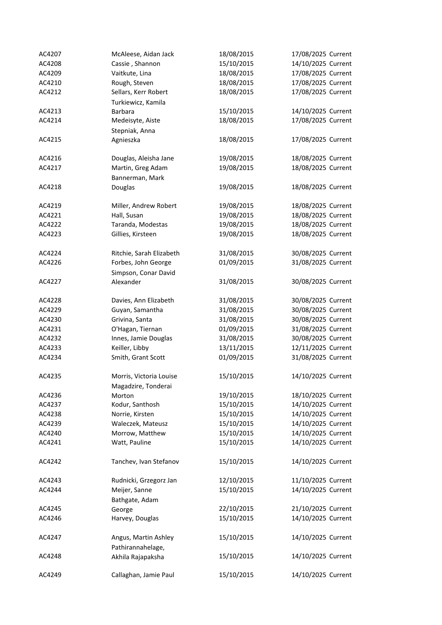| AC4207 | McAleese, Aidan Jack     | 18/08/2015 | 17/08/2025 Current |
|--------|--------------------------|------------|--------------------|
| AC4208 | Cassie, Shannon          | 15/10/2015 | 14/10/2025 Current |
| AC4209 | Vaitkute, Lina           | 18/08/2015 | 17/08/2025 Current |
| AC4210 | Rough, Steven            | 18/08/2015 | 17/08/2025 Current |
| AC4212 | Sellars, Kerr Robert     | 18/08/2015 | 17/08/2025 Current |
|        | Turkiewicz, Kamila       |            |                    |
| AC4213 | Barbara                  | 15/10/2015 | 14/10/2025 Current |
| AC4214 | Medeisyte, Aiste         | 18/08/2015 | 17/08/2025 Current |
|        |                          |            |                    |
| AC4215 | Stepniak, Anna           | 18/08/2015 | 17/08/2025 Current |
|        | Agnieszka                |            |                    |
| AC4216 |                          | 19/08/2015 |                    |
|        | Douglas, Aleisha Jane    |            | 18/08/2025 Current |
| AC4217 | Martin, Greg Adam        | 19/08/2015 | 18/08/2025 Current |
|        | Bannerman, Mark          |            |                    |
| AC4218 | Douglas                  | 19/08/2015 | 18/08/2025 Current |
|        |                          |            |                    |
| AC4219 | Miller, Andrew Robert    | 19/08/2015 | 18/08/2025 Current |
| AC4221 | Hall, Susan              | 19/08/2015 | 18/08/2025 Current |
| AC4222 | Taranda, Modestas        | 19/08/2015 | 18/08/2025 Current |
| AC4223 | Gillies, Kirsteen        | 19/08/2015 | 18/08/2025 Current |
| AC4224 | Ritchie, Sarah Elizabeth |            | 30/08/2025 Current |
|        |                          | 31/08/2015 |                    |
| AC4226 | Forbes, John George      | 01/09/2015 | 31/08/2025 Current |
|        | Simpson, Conar David     |            |                    |
| AC4227 | Alexander                | 31/08/2015 | 30/08/2025 Current |
| AC4228 | Davies, Ann Elizabeth    | 31/08/2015 | 30/08/2025 Current |
| AC4229 | Guyan, Samantha          | 31/08/2015 | 30/08/2025 Current |
| AC4230 | Grivina, Santa           | 31/08/2015 | 30/08/2025 Current |
| AC4231 | O'Hagan, Tiernan         | 01/09/2015 | 31/08/2025 Current |
| AC4232 | Innes, Jamie Douglas     | 31/08/2015 | 30/08/2025 Current |
| AC4233 |                          |            |                    |
|        | Keiller, Libby           | 13/11/2015 | 12/11/2025 Current |
| AC4234 | Smith, Grant Scott       | 01/09/2015 | 31/08/2025 Current |
| AC4235 | Morris, Victoria Louise  | 15/10/2015 | 14/10/2025 Current |
|        | Magadzire, Tonderai      |            |                    |
| AC4236 | Morton                   | 19/10/2015 | 18/10/2025 Current |
|        |                          | 15/10/2015 | 14/10/2025 Current |
| AC4237 | Kodur, Santhosh          |            |                    |
| AC4238 | Norrie, Kirsten          | 15/10/2015 | 14/10/2025 Current |
| AC4239 | Waleczek, Mateusz        | 15/10/2015 | 14/10/2025 Current |
| AC4240 | Morrow, Matthew          | 15/10/2015 | 14/10/2025 Current |
| AC4241 | Watt, Pauline            | 15/10/2015 | 14/10/2025 Current |
| AC4242 | Tanchev, Ivan Stefanov   | 15/10/2015 | 14/10/2025 Current |
|        |                          |            |                    |
| AC4243 | Rudnicki, Grzegorz Jan   | 12/10/2015 | 11/10/2025 Current |
| AC4244 | Meijer, Sanne            | 15/10/2015 | 14/10/2025 Current |
|        | Bathgate, Adam           |            |                    |
| AC4245 | George                   | 22/10/2015 | 21/10/2025 Current |
| AC4246 | Harvey, Douglas          | 15/10/2015 | 14/10/2025 Current |
|        |                          |            |                    |
| AC4247 | Angus, Martin Ashley     | 15/10/2015 | 14/10/2025 Current |
|        | Pathirannahelage,        |            |                    |
| AC4248 | Akhila Rajapaksha        | 15/10/2015 | 14/10/2025 Current |
|        |                          |            |                    |
| AC4249 | Callaghan, Jamie Paul    | 15/10/2015 | 14/10/2025 Current |
|        |                          |            |                    |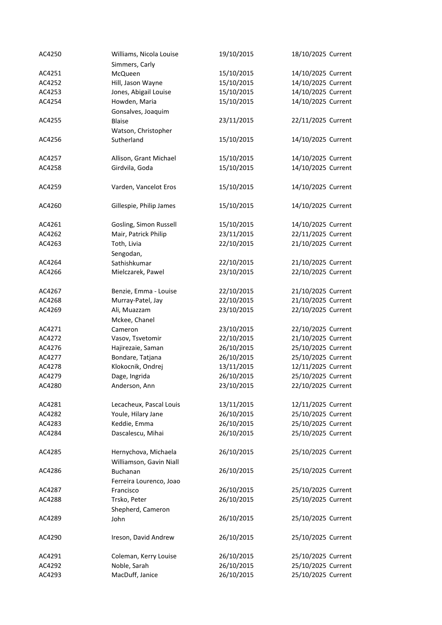| AC4250 | Williams, Nicola Louise | 19/10/2015 | 18/10/2025 Current |
|--------|-------------------------|------------|--------------------|
|        | Simmers, Carly          |            |                    |
| AC4251 | McQueen                 | 15/10/2015 | 14/10/2025 Current |
| AC4252 | Hill, Jason Wayne       | 15/10/2015 | 14/10/2025 Current |
| AC4253 | Jones, Abigail Louise   | 15/10/2015 | 14/10/2025 Current |
| AC4254 | Howden, Maria           | 15/10/2015 | 14/10/2025 Current |
|        | Gonsalves, Joaquim      |            |                    |
| AC4255 | <b>Blaise</b>           | 23/11/2015 | 22/11/2025 Current |
|        | Watson, Christopher     |            |                    |
| AC4256 | Sutherland              | 15/10/2015 | 14/10/2025 Current |
|        |                         |            |                    |
| AC4257 | Allison, Grant Michael  | 15/10/2015 | 14/10/2025 Current |
| AC4258 | Girdvila, Goda          | 15/10/2015 | 14/10/2025 Current |
| AC4259 | Varden, Vancelot Eros   | 15/10/2015 | 14/10/2025 Current |
|        |                         |            |                    |
| AC4260 | Gillespie, Philip James | 15/10/2015 | 14/10/2025 Current |
| AC4261 | Gosling, Simon Russell  | 15/10/2015 | 14/10/2025 Current |
| AC4262 | Mair, Patrick Philip    | 23/11/2015 | 22/11/2025 Current |
| AC4263 | Toth, Livia             | 22/10/2015 | 21/10/2025 Current |
|        | Sengodan,               |            |                    |
| AC4264 | Sathishkumar            | 22/10/2015 | 21/10/2025 Current |
| AC4266 | Mielczarek, Pawel       | 23/10/2015 | 22/10/2025 Current |
|        |                         |            |                    |
| AC4267 | Benzie, Emma - Louise   | 22/10/2015 | 21/10/2025 Current |
| AC4268 | Murray-Patel, Jay       | 22/10/2015 | 21/10/2025 Current |
| AC4269 | Ali, Muazzam            | 23/10/2015 | 22/10/2025 Current |
|        | Mckee, Chanel           |            |                    |
| AC4271 | Cameron                 | 23/10/2015 | 22/10/2025 Current |
| AC4272 | Vasov, Tsvetomir        | 22/10/2015 | 21/10/2025 Current |
| AC4276 | Hajirezaie, Saman       | 26/10/2015 | 25/10/2025 Current |
| AC4277 | Bondare, Tatjana        | 26/10/2015 | 25/10/2025 Current |
| AC4278 | Klokocnik, Ondrej       | 13/11/2015 | 12/11/2025 Current |
| AC4279 | Dage, Ingrida           | 26/10/2015 | 25/10/2025 Current |
| AC4280 | Anderson, Ann           | 23/10/2015 | 22/10/2025 Current |
|        |                         |            |                    |
| AC4281 | Lecacheux, Pascal Louis | 13/11/2015 | 12/11/2025 Current |
| AC4282 | Youle, Hilary Jane      | 26/10/2015 | 25/10/2025 Current |
| AC4283 | Keddie, Emma            | 26/10/2015 | 25/10/2025 Current |
| AC4284 | Dascalescu, Mihai       | 26/10/2015 | 25/10/2025 Current |
|        |                         |            |                    |
| AC4285 | Hernychova, Michaela    | 26/10/2015 | 25/10/2025 Current |
|        | Williamson, Gavin Niall |            |                    |
| AC4286 | <b>Buchanan</b>         | 26/10/2015 | 25/10/2025 Current |
|        | Ferreira Lourenco, Joao |            |                    |
| AC4287 | Francisco               | 26/10/2015 | 25/10/2025 Current |
| AC4288 | Trsko, Peter            | 26/10/2015 | 25/10/2025 Current |
|        | Shepherd, Cameron       |            |                    |
| AC4289 | John                    | 26/10/2015 | 25/10/2025 Current |
|        |                         |            |                    |
| AC4290 | Ireson, David Andrew    | 26/10/2015 | 25/10/2025 Current |
| AC4291 | Coleman, Kerry Louise   | 26/10/2015 | 25/10/2025 Current |
| AC4292 | Noble, Sarah            | 26/10/2015 | 25/10/2025 Current |
| AC4293 | MacDuff, Janice         | 26/10/2015 | 25/10/2025 Current |
|        |                         |            |                    |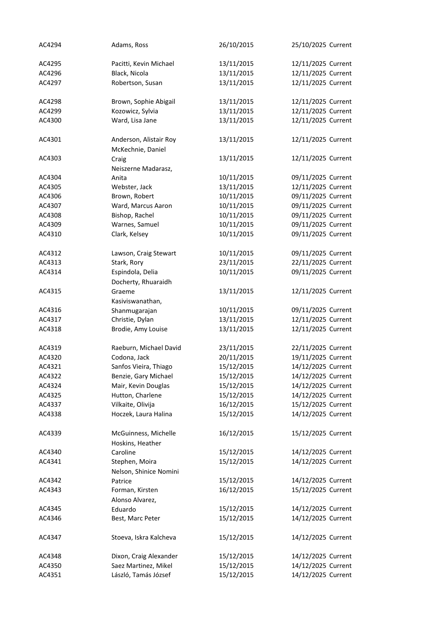| AC4294 | Adams, Ross                                 | 26/10/2015 | 25/10/2025 Current |
|--------|---------------------------------------------|------------|--------------------|
| AC4295 | Pacitti, Kevin Michael                      | 13/11/2015 | 12/11/2025 Current |
| AC4296 | Black, Nicola                               | 13/11/2015 | 12/11/2025 Current |
| AC4297 | Robertson, Susan                            | 13/11/2015 | 12/11/2025 Current |
| AC4298 | Brown, Sophie Abigail                       | 13/11/2015 | 12/11/2025 Current |
| AC4299 | Kozowicz, Sylvia                            | 13/11/2015 | 12/11/2025 Current |
| AC4300 | Ward, Lisa Jane                             | 13/11/2015 | 12/11/2025 Current |
| AC4301 | Anderson, Alistair Roy<br>McKechnie, Daniel | 13/11/2015 | 12/11/2025 Current |
| AC4303 | Craig<br>Neiszerne Madarasz,                | 13/11/2015 | 12/11/2025 Current |
| AC4304 | Anita                                       | 10/11/2015 | 09/11/2025 Current |
| AC4305 | Webster, Jack                               | 13/11/2015 | 12/11/2025 Current |
| AC4306 | Brown, Robert                               | 10/11/2015 | 09/11/2025 Current |
| AC4307 | Ward, Marcus Aaron                          | 10/11/2015 | 09/11/2025 Current |
| AC4308 | Bishop, Rachel                              | 10/11/2015 | 09/11/2025 Current |
| AC4309 | Warnes, Samuel                              | 10/11/2015 | 09/11/2025 Current |
| AC4310 | Clark, Kelsey                               | 10/11/2015 | 09/11/2025 Current |
| AC4312 | Lawson, Craig Stewart                       | 10/11/2015 | 09/11/2025 Current |
| AC4313 | Stark, Rory                                 | 23/11/2015 | 22/11/2025 Current |
| AC4314 | Espindola, Delia<br>Docherty, Rhuaraidh     | 10/11/2015 | 09/11/2025 Current |
| AC4315 | Graeme<br>Kasiviswanathan,                  | 13/11/2015 | 12/11/2025 Current |
| AC4316 | Shanmugarajan                               | 10/11/2015 | 09/11/2025 Current |
| AC4317 | Christie, Dylan                             | 13/11/2015 | 12/11/2025 Current |
| AC4318 | Brodie, Amy Louise                          | 13/11/2015 | 12/11/2025 Current |
| AC4319 | Raeburn, Michael David                      | 23/11/2015 | 22/11/2025 Current |
| AC4320 | Codona, Jack                                | 20/11/2015 | 19/11/2025 Current |
| AC4321 | Sanfos Vieira, Thiago                       | 15/12/2015 | 14/12/2025 Current |
| AC4322 | Benzie, Gary Michael                        | 15/12/2015 | 14/12/2025 Current |
| AC4324 | Mair, Kevin Douglas                         | 15/12/2015 | 14/12/2025 Current |
| AC4325 | Hutton, Charlene                            | 15/12/2015 | 14/12/2025 Current |
| AC4337 | Vilkaite, Olivija                           | 16/12/2015 | 15/12/2025 Current |
| AC4338 | Hoczek, Laura Halina                        | 15/12/2015 | 14/12/2025 Current |
| AC4339 | McGuinness, Michelle<br>Hoskins, Heather    | 16/12/2015 | 15/12/2025 Current |
| AC4340 | Caroline                                    | 15/12/2015 | 14/12/2025 Current |
| AC4341 | Stephen, Moira<br>Nelson, Shinice Nomini    | 15/12/2015 | 14/12/2025 Current |
| AC4342 | Patrice                                     | 15/12/2015 | 14/12/2025 Current |
| AC4343 | Forman, Kirsten<br>Alonso Alvarez,          | 16/12/2015 | 15/12/2025 Current |
| AC4345 | Eduardo                                     | 15/12/2015 | 14/12/2025 Current |
| AC4346 | Best, Marc Peter                            | 15/12/2015 | 14/12/2025 Current |
| AC4347 | Stoeva, Iskra Kalcheva                      | 15/12/2015 | 14/12/2025 Current |
| AC4348 | Dixon, Craig Alexander                      | 15/12/2015 | 14/12/2025 Current |
| AC4350 | Saez Martinez, Mikel                        | 15/12/2015 | 14/12/2025 Current |
| AC4351 | László, Tamás József                        | 15/12/2015 | 14/12/2025 Current |
|        |                                             |            |                    |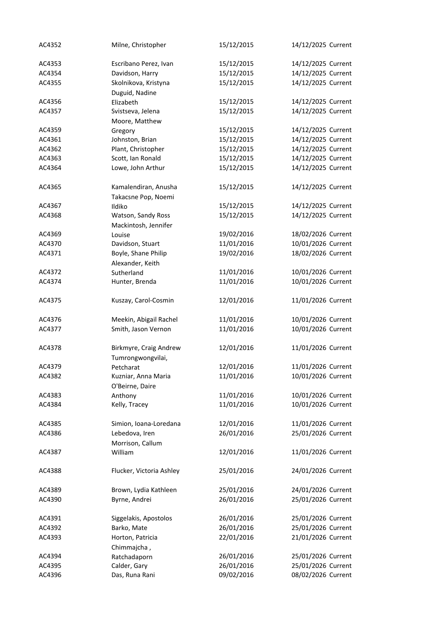| AC4352 | Milne, Christopher       | 15/12/2015 | 14/12/2025 Current |
|--------|--------------------------|------------|--------------------|
| AC4353 | Escribano Perez, Ivan    | 15/12/2015 | 14/12/2025 Current |
| AC4354 | Davidson, Harry          | 15/12/2015 | 14/12/2025 Current |
| AC4355 | Skolnikova, Kristyna     | 15/12/2015 | 14/12/2025 Current |
|        | Duguid, Nadine           |            |                    |
| AC4356 | Elizabeth                | 15/12/2015 | 14/12/2025 Current |
| AC4357 | Svistseva, Jelena        | 15/12/2015 | 14/12/2025 Current |
|        | Moore, Matthew           |            |                    |
| AC4359 | Gregory                  | 15/12/2015 | 14/12/2025 Current |
| AC4361 | Johnston, Brian          | 15/12/2015 | 14/12/2025 Current |
| AC4362 | Plant, Christopher       | 15/12/2015 | 14/12/2025 Current |
| AC4363 | Scott, Ian Ronald        | 15/12/2015 | 14/12/2025 Current |
| AC4364 | Lowe, John Arthur        | 15/12/2015 | 14/12/2025 Current |
| AC4365 | Kamalendiran, Anusha     | 15/12/2015 | 14/12/2025 Current |
|        | Takacsne Pop, Noemi      |            |                    |
| AC4367 | Ildiko                   | 15/12/2015 | 14/12/2025 Current |
| AC4368 | Watson, Sandy Ross       | 15/12/2015 | 14/12/2025 Current |
|        | Mackintosh, Jennifer     |            |                    |
| AC4369 | Louise                   | 19/02/2016 | 18/02/2026 Current |
| AC4370 | Davidson, Stuart         | 11/01/2016 | 10/01/2026 Current |
| AC4371 | Boyle, Shane Philip      | 19/02/2016 | 18/02/2026 Current |
|        | Alexander, Keith         |            |                    |
| AC4372 | Sutherland               | 11/01/2016 | 10/01/2026 Current |
| AC4374 | Hunter, Brenda           | 11/01/2016 | 10/01/2026 Current |
| AC4375 | Kuszay, Carol-Cosmin     | 12/01/2016 | 11/01/2026 Current |
| AC4376 | Meekin, Abigail Rachel   | 11/01/2016 | 10/01/2026 Current |
| AC4377 | Smith, Jason Vernon      | 11/01/2016 | 10/01/2026 Current |
| AC4378 | Birkmyre, Craig Andrew   | 12/01/2016 | 11/01/2026 Current |
|        | Tumrongwongvilai,        |            |                    |
| AC4379 | Petcharat                | 12/01/2016 | 11/01/2026 Current |
| AC4382 | Kuzniar, Anna Maria      | 11/01/2016 | 10/01/2026 Current |
|        | O'Beirne, Daire          |            |                    |
| AC4383 | Anthony                  | 11/01/2016 | 10/01/2026 Current |
| AC4384 | Kelly, Tracey            | 11/01/2016 | 10/01/2026 Current |
| AC4385 | Simion, Ioana-Loredana   | 12/01/2016 | 11/01/2026 Current |
| AC4386 | Lebedova, Iren           | 26/01/2016 | 25/01/2026 Current |
|        | Morrison, Callum         |            |                    |
| AC4387 | William                  | 12/01/2016 | 11/01/2026 Current |
| AC4388 | Flucker, Victoria Ashley | 25/01/2016 | 24/01/2026 Current |
| AC4389 | Brown, Lydia Kathleen    | 25/01/2016 | 24/01/2026 Current |
| AC4390 | Byrne, Andrei            | 26/01/2016 | 25/01/2026 Current |
|        |                          |            |                    |
| AC4391 | Siggelakis, Apostolos    | 26/01/2016 | 25/01/2026 Current |
| AC4392 | Barko, Mate              | 26/01/2016 | 25/01/2026 Current |
| AC4393 | Horton, Patricia         | 22/01/2016 | 21/01/2026 Current |
|        | Chimmajcha,              |            |                    |
| AC4394 | Ratchadaporn             | 26/01/2016 | 25/01/2026 Current |
| AC4395 | Calder, Gary             | 26/01/2016 | 25/01/2026 Current |
| AC4396 | Das, Runa Rani           | 09/02/2016 | 08/02/2026 Current |
|        |                          |            |                    |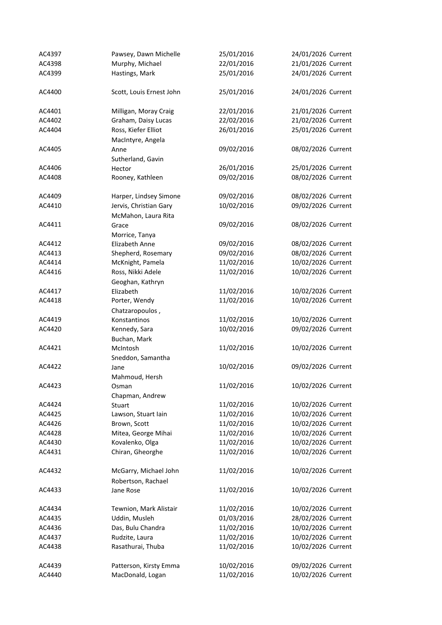| AC4397 | Pawsey, Dawn Michelle    | 25/01/2016 | 24/01/2026 Current |
|--------|--------------------------|------------|--------------------|
| AC4398 | Murphy, Michael          | 22/01/2016 | 21/01/2026 Current |
| AC4399 | Hastings, Mark           | 25/01/2016 | 24/01/2026 Current |
|        |                          |            |                    |
| AC4400 | Scott, Louis Ernest John | 25/01/2016 | 24/01/2026 Current |
|        |                          |            |                    |
| AC4401 | Milligan, Moray Craig    | 22/01/2016 | 21/01/2026 Current |
| AC4402 | Graham, Daisy Lucas      | 22/02/2016 | 21/02/2026 Current |
| AC4404 | Ross, Kiefer Elliot      | 26/01/2016 | 25/01/2026 Current |
|        | MacIntyre, Angela        |            |                    |
| AC4405 | Anne                     | 09/02/2016 | 08/02/2026 Current |
|        | Sutherland, Gavin        |            |                    |
| AC4406 | Hector                   | 26/01/2016 | 25/01/2026 Current |
| AC4408 | Rooney, Kathleen         | 09/02/2016 | 08/02/2026 Current |
|        |                          |            |                    |
| AC4409 | Harper, Lindsey Simone   | 09/02/2016 | 08/02/2026 Current |
| AC4410 | Jervis, Christian Gary   | 10/02/2016 | 09/02/2026 Current |
|        | McMahon, Laura Rita      |            |                    |
| AC4411 | Grace                    | 09/02/2016 | 08/02/2026 Current |
|        | Morrice, Tanya           |            |                    |
| AC4412 | Elizabeth Anne           | 09/02/2016 | 08/02/2026 Current |
| AC4413 | Shepherd, Rosemary       | 09/02/2016 | 08/02/2026 Current |
| AC4414 |                          |            | 10/02/2026 Current |
|        | McKnight, Pamela         | 11/02/2016 |                    |
| AC4416 | Ross, Nikki Adele        | 11/02/2016 | 10/02/2026 Current |
|        | Geoghan, Kathryn         |            |                    |
| AC4417 | Elizabeth                | 11/02/2016 | 10/02/2026 Current |
| AC4418 | Porter, Wendy            | 11/02/2016 | 10/02/2026 Current |
|        | Chatzaropoulos,          |            |                    |
| AC4419 | Konstantinos             | 11/02/2016 | 10/02/2026 Current |
| AC4420 | Kennedy, Sara            | 10/02/2016 | 09/02/2026 Current |
|        | Buchan, Mark             |            |                    |
| AC4421 | McIntosh                 | 11/02/2016 | 10/02/2026 Current |
|        | Sneddon, Samantha        |            |                    |
| AC4422 | Jane                     | 10/02/2016 | 09/02/2026 Current |
|        | Mahmoud, Hersh           |            |                    |
| AC4423 | Osman                    | 11/02/2016 | 10/02/2026 Current |
|        | Chapman, Andrew          |            |                    |
| AC4424 | Stuart                   | 11/02/2016 | 10/02/2026 Current |
| AC4425 | Lawson, Stuart Iain      | 11/02/2016 | 10/02/2026 Current |
| AC4426 | Brown, Scott             | 11/02/2016 | 10/02/2026 Current |
| AC4428 | Mitea, George Mihai      | 11/02/2016 | 10/02/2026 Current |
| AC4430 | Kovalenko, Olga          | 11/02/2016 | 10/02/2026 Current |
| AC4431 | Chiran, Gheorghe         | 11/02/2016 | 10/02/2026 Current |
|        |                          |            |                    |
| AC4432 | McGarry, Michael John    | 11/02/2016 | 10/02/2026 Current |
|        | Robertson, Rachael       |            |                    |
| AC4433 | Jane Rose                | 11/02/2016 | 10/02/2026 Current |
|        |                          |            |                    |
| AC4434 | Tewnion, Mark Alistair   | 11/02/2016 | 10/02/2026 Current |
| AC4435 | Uddin, Musleh            | 01/03/2016 | 28/02/2026 Current |
| AC4436 | Das, Bulu Chandra        | 11/02/2016 | 10/02/2026 Current |
| AC4437 | Rudzite, Laura           | 11/02/2016 | 10/02/2026 Current |
| AC4438 | Rasathurai, Thuba        | 11/02/2016 | 10/02/2026 Current |
|        |                          |            |                    |
| AC4439 | Patterson, Kirsty Emma   | 10/02/2016 | 09/02/2026 Current |
| AC4440 | MacDonald, Logan         | 11/02/2016 | 10/02/2026 Current |
|        |                          |            |                    |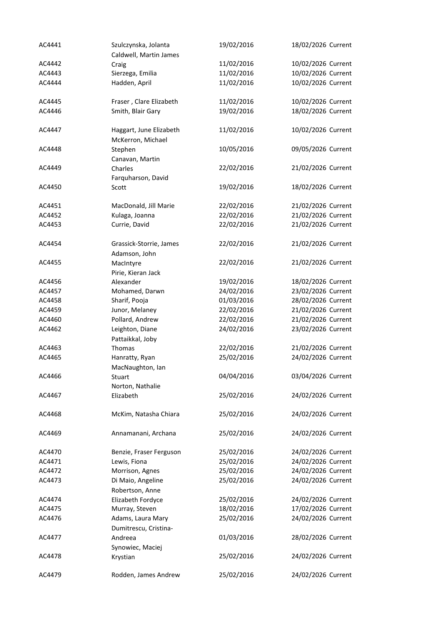| AC4441 | Szulczynska, Jolanta    | 19/02/2016 | 18/02/2026 Current |
|--------|-------------------------|------------|--------------------|
|        | Caldwell, Martin James  |            |                    |
| AC4442 | Craig                   | 11/02/2016 | 10/02/2026 Current |
| AC4443 | Sierzega, Emilia        | 11/02/2016 | 10/02/2026 Current |
| AC4444 | Hadden, April           | 11/02/2016 | 10/02/2026 Current |
| AC4445 | Fraser, Clare Elizabeth | 11/02/2016 | 10/02/2026 Current |
| AC4446 | Smith, Blair Gary       | 19/02/2016 | 18/02/2026 Current |
| AC4447 | Haggart, June Elizabeth | 11/02/2016 | 10/02/2026 Current |
|        | McKerron, Michael       |            |                    |
| AC4448 | Stephen                 | 10/05/2016 | 09/05/2026 Current |
|        | Canavan, Martin         |            |                    |
| AC4449 | Charles                 | 22/02/2016 | 21/02/2026 Current |
|        | Farquharson, David      |            |                    |
| AC4450 | Scott                   | 19/02/2016 | 18/02/2026 Current |
|        |                         |            |                    |
| AC4451 | MacDonald, Jill Marie   | 22/02/2016 | 21/02/2026 Current |
| AC4452 | Kulaga, Joanna          | 22/02/2016 | 21/02/2026 Current |
| AC4453 | Currie, David           | 22/02/2016 | 21/02/2026 Current |
| AC4454 | Grassick-Storrie, James | 22/02/2016 | 21/02/2026 Current |
|        | Adamson, John           |            |                    |
| AC4455 | MacIntyre               | 22/02/2016 | 21/02/2026 Current |
|        | Pirie, Kieran Jack      |            |                    |
| AC4456 | Alexander               | 19/02/2016 | 18/02/2026 Current |
| AC4457 | Mohamed, Darwn          | 24/02/2016 | 23/02/2026 Current |
| AC4458 | Sharif, Pooja           | 01/03/2016 | 28/02/2026 Current |
| AC4459 | Junor, Melaney          | 22/02/2016 | 21/02/2026 Current |
| AC4460 | Pollard, Andrew         | 22/02/2016 | 21/02/2026 Current |
|        |                         |            |                    |
| AC4462 | Leighton, Diane         | 24/02/2016 | 23/02/2026 Current |
|        | Pattaikkal, Joby        |            |                    |
| AC4463 | Thomas                  | 22/02/2016 | 21/02/2026 Current |
| AC4465 | Hanratty, Ryan          | 25/02/2016 | 24/02/2026 Current |
|        | MacNaughton, Ian        |            |                    |
| AC4466 | Stuart                  | 04/04/2016 | 03/04/2026 Current |
|        | Norton, Nathalie        |            |                    |
| AC4467 | Elizabeth               | 25/02/2016 | 24/02/2026 Current |
| AC4468 | McKim, Natasha Chiara   | 25/02/2016 | 24/02/2026 Current |
| AC4469 | Annamanani, Archana     | 25/02/2016 | 24/02/2026 Current |
|        |                         |            |                    |
| AC4470 | Benzie, Fraser Ferguson | 25/02/2016 | 24/02/2026 Current |
| AC4471 | Lewis, Fiona            | 25/02/2016 | 24/02/2026 Current |
| AC4472 | Morrison, Agnes         | 25/02/2016 | 24/02/2026 Current |
| AC4473 | Di Maio, Angeline       | 25/02/2016 | 24/02/2026 Current |
|        | Robertson, Anne         |            |                    |
| AC4474 | Elizabeth Fordyce       | 25/02/2016 | 24/02/2026 Current |
| AC4475 | Murray, Steven          | 18/02/2016 | 17/02/2026 Current |
| AC4476 | Adams, Laura Mary       | 25/02/2016 | 24/02/2026 Current |
|        | Dumitrescu, Cristina-   |            |                    |
| AC4477 | Andreea                 | 01/03/2016 | 28/02/2026 Current |
|        | Synowiec, Maciej        |            |                    |
| AC4478 | Krystian                | 25/02/2016 | 24/02/2026 Current |
| AC4479 | Rodden, James Andrew    | 25/02/2016 | 24/02/2026 Current |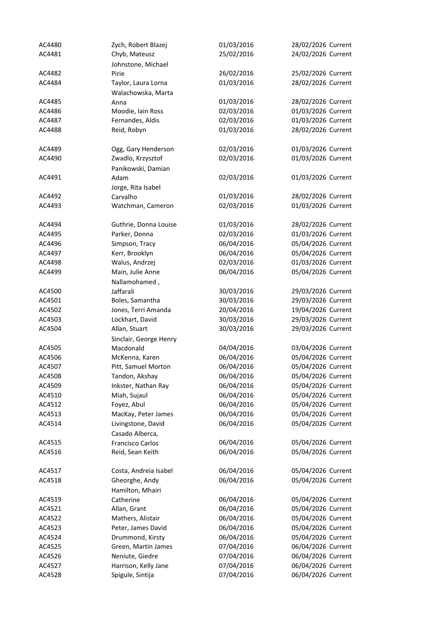| AC4480 | Zych, Robert Blazej     | 01/03/2016 | 28/02/2026 Current |
|--------|-------------------------|------------|--------------------|
| AC4481 | Chyb, Mateusz           | 25/02/2016 | 24/02/2026 Current |
|        | Johnstone, Michael      |            |                    |
| AC4482 | Pirie                   | 26/02/2016 | 25/02/2026 Current |
| AC4484 | Taylor, Laura Lorna     | 01/03/2016 | 28/02/2026 Current |
|        | Walachowska, Marta      |            |                    |
| AC4485 | Anna                    | 01/03/2016 | 28/02/2026 Current |
| AC4486 | Moodie, Iain Ross       | 02/03/2016 | 01/03/2026 Current |
| AC4487 | Fernandes, Aldis        | 02/03/2016 | 01/03/2026 Current |
| AC4488 | Reid, Robyn             | 01/03/2016 | 28/02/2026 Current |
|        |                         |            |                    |
| AC4489 | Ogg, Gary Henderson     | 02/03/2016 | 01/03/2026 Current |
| AC4490 | Zwadlo, Krzysztof       | 02/03/2016 | 01/03/2026 Current |
|        | Panikowski, Damian      |            |                    |
| AC4491 | Adam                    | 02/03/2016 | 01/03/2026 Current |
|        | Jorge, Rita Isabel      |            |                    |
| AC4492 | Carvalho                | 01/03/2016 | 28/02/2026 Current |
| AC4493 | Watchman, Cameron       | 02/03/2016 | 01/03/2026 Current |
|        |                         |            |                    |
| AC4494 | Guthrie, Donna Louise   | 01/03/2016 | 28/02/2026 Current |
| AC4495 | Parker, Donna           | 02/03/2016 | 01/03/2026 Current |
| AC4496 | Simpson, Tracy          | 06/04/2016 | 05/04/2026 Current |
| AC4497 | Kerr, Brooklyn          | 06/04/2016 | 05/04/2026 Current |
| AC4498 | Walus, Andrzej          | 02/03/2016 | 01/03/2026 Current |
| AC4499 | Main, Julie Anne        | 06/04/2016 | 05/04/2026 Current |
|        | Nallamohamed,           |            |                    |
| AC4500 | Jaffarali               | 30/03/2016 | 29/03/2026 Current |
| AC4501 | Boles, Samantha         | 30/03/2016 | 29/03/2026 Current |
| AC4502 | Jones, Terri Amanda     | 20/04/2016 | 19/04/2026 Current |
| AC4503 | Lockhart, David         | 30/03/2016 | 29/03/2026 Current |
| AC4504 | Allan, Stuart           | 30/03/2016 | 29/03/2026 Current |
|        | Sinclair, George Henry  |            |                    |
| AC4505 | Macdonald               | 04/04/2016 | 03/04/2026 Current |
| AC4506 | McKenna, Karen          | 06/04/2016 | 05/04/2026 Current |
| AC4507 | Pitt, Samuel Morton     | 06/04/2016 | 05/04/2026 Current |
| AC4508 | Tandon, Akshay          | 06/04/2016 | 05/04/2026 Current |
| AC4509 | Inkster, Nathan Ray     | 06/04/2016 | 05/04/2026 Current |
| AC4510 | Miah, Sujaul            | 06/04/2016 | 05/04/2026 Current |
| AC4512 | Foyez, Abul             | 06/04/2016 | 05/04/2026 Current |
| AC4513 | MacKay, Peter James     | 06/04/2016 | 05/04/2026 Current |
| AC4514 | Livingstone, David      | 06/04/2016 | 05/04/2026 Current |
|        | Casado Alberca,         |            |                    |
| AC4515 | <b>Francisco Carlos</b> | 06/04/2016 | 05/04/2026 Current |
| AC4516 | Reid, Sean Keith        | 06/04/2016 | 05/04/2026 Current |
|        |                         |            |                    |
| AC4517 | Costa, Andreia Isabel   | 06/04/2016 | 05/04/2026 Current |
| AC4518 | Gheorghe, Andy          | 06/04/2016 | 05/04/2026 Current |
|        | Hamilton, Mhairi        |            |                    |
| AC4519 | Catherine               | 06/04/2016 | 05/04/2026 Current |
| AC4521 | Allan, Grant            | 06/04/2016 | 05/04/2026 Current |
| AC4522 | Mathers, Alistair       | 06/04/2016 | 05/04/2026 Current |
| AC4523 | Peter, James David      | 06/04/2016 | 05/04/2026 Current |
| AC4524 | Drummond, Kirsty        | 06/04/2016 | 05/04/2026 Current |
| AC4525 | Green, Martin James     | 07/04/2016 | 06/04/2026 Current |
| AC4526 | Neniute, Giedre         | 07/04/2016 | 06/04/2026 Current |
| AC4527 | Harrison, Kelly Jane    | 07/04/2016 | 06/04/2026 Current |
| AC4528 | Spigule, Sintija        | 07/04/2016 | 06/04/2026 Current |
|        |                         |            |                    |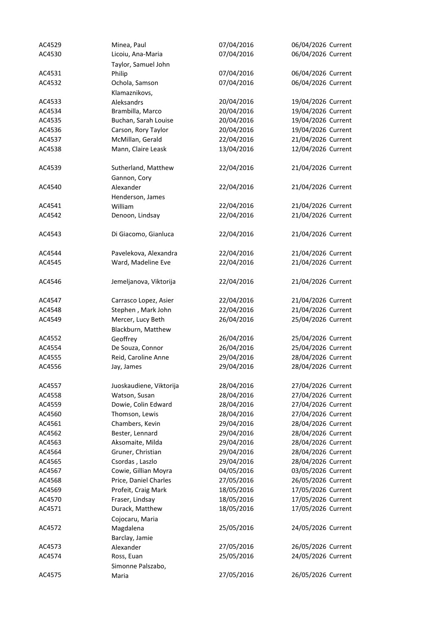| AC4529 | Minea, Paul             | 07/04/2016 | 06/04/2026 Current |
|--------|-------------------------|------------|--------------------|
| AC4530 | Licoiu, Ana-Maria       | 07/04/2016 | 06/04/2026 Current |
|        | Taylor, Samuel John     |            |                    |
| AC4531 | Philip                  | 07/04/2016 | 06/04/2026 Current |
| AC4532 | Ochola, Samson          | 07/04/2016 | 06/04/2026 Current |
|        | Klamaznikovs,           |            |                    |
| AC4533 | Aleksandrs              | 20/04/2016 | 19/04/2026 Current |
| AC4534 | Brambilla, Marco        | 20/04/2016 | 19/04/2026 Current |
| AC4535 | Buchan, Sarah Louise    | 20/04/2016 | 19/04/2026 Current |
| AC4536 | Carson, Rory Taylor     | 20/04/2016 | 19/04/2026 Current |
| AC4537 | McMillan, Gerald        | 22/04/2016 | 21/04/2026 Current |
| AC4538 | Mann, Claire Leask      | 13/04/2016 | 12/04/2026 Current |
|        |                         |            |                    |
| AC4539 | Sutherland, Matthew     | 22/04/2016 | 21/04/2026 Current |
|        |                         |            |                    |
|        | Gannon, Cory            |            |                    |
| AC4540 | Alexander               | 22/04/2016 | 21/04/2026 Current |
|        | Henderson, James        |            |                    |
| AC4541 | William                 | 22/04/2016 | 21/04/2026 Current |
| AC4542 | Denoon, Lindsay         | 22/04/2016 | 21/04/2026 Current |
|        |                         |            |                    |
| AC4543 | Di Giacomo, Gianluca    | 22/04/2016 | 21/04/2026 Current |
|        |                         |            |                    |
| AC4544 | Pavelekova, Alexandra   | 22/04/2016 | 21/04/2026 Current |
| AC4545 | Ward, Madeline Eve      | 22/04/2016 | 21/04/2026 Current |
|        |                         |            |                    |
| AC4546 | Jemeljanova, Viktorija  | 22/04/2016 | 21/04/2026 Current |
|        |                         |            |                    |
| AC4547 | Carrasco Lopez, Asier   | 22/04/2016 | 21/04/2026 Current |
| AC4548 | Stephen, Mark John      | 22/04/2016 | 21/04/2026 Current |
| AC4549 | Mercer, Lucy Beth       | 26/04/2016 | 25/04/2026 Current |
|        | Blackburn, Matthew      |            |                    |
| AC4552 | Geoffrey                | 26/04/2016 | 25/04/2026 Current |
| AC4554 | De Souza, Connor        | 26/04/2016 | 25/04/2026 Current |
| AC4555 | Reid, Caroline Anne     | 29/04/2016 | 28/04/2026 Current |
| AC4556 | Jay, James              | 29/04/2016 | 28/04/2026 Current |
|        |                         |            |                    |
| AC4557 | Juoskaudiene, Viktorija | 28/04/2016 | 27/04/2026 Current |
| AC4558 | Watson, Susan           | 28/04/2016 | 27/04/2026 Current |
| AC4559 | Dowie, Colin Edward     | 28/04/2016 | 27/04/2026 Current |
| AC4560 | Thomson, Lewis          | 28/04/2016 | 27/04/2026 Current |
| AC4561 | Chambers, Kevin         | 29/04/2016 | 28/04/2026 Current |
| AC4562 | Bester, Lennard         | 29/04/2016 | 28/04/2026 Current |
| AC4563 | Aksomaite, Milda        | 29/04/2016 | 28/04/2026 Current |
| AC4564 | Gruner, Christian       | 29/04/2016 | 28/04/2026 Current |
| AC4565 | Csordas, Laszlo         | 29/04/2016 | 28/04/2026 Current |
| AC4567 | Cowie, Gillian Moyra    | 04/05/2016 | 03/05/2026 Current |
| AC4568 | Price, Daniel Charles   | 27/05/2016 | 26/05/2026 Current |
| AC4569 | Profeit, Craig Mark     | 18/05/2016 | 17/05/2026 Current |
| AC4570 | Fraser, Lindsay         | 18/05/2016 | 17/05/2026 Current |
|        |                         |            |                    |
| AC4571 | Durack, Matthew         | 18/05/2016 | 17/05/2026 Current |
|        | Cojocaru, Maria         |            |                    |
| AC4572 | Magdalena               | 25/05/2016 | 24/05/2026 Current |
|        | Barclay, Jamie          |            |                    |
| AC4573 | Alexander               | 27/05/2016 | 26/05/2026 Current |
| AC4574 | Ross, Euan              | 25/05/2016 | 24/05/2026 Current |
|        | Simonne Palszabo,       |            |                    |
| AC4575 | Maria                   | 27/05/2016 | 26/05/2026 Current |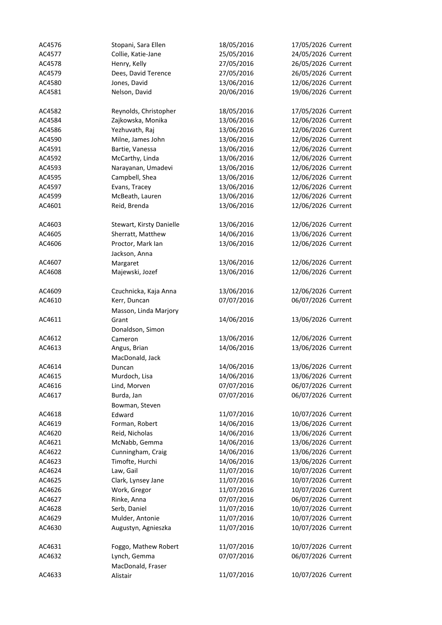| AC4576 | Stopani, Sara Ellen      | 18/05/2016 | 17/05/2026 Current |
|--------|--------------------------|------------|--------------------|
| AC4577 | Collie, Katie-Jane       | 25/05/2016 | 24/05/2026 Current |
| AC4578 | Henry, Kelly             | 27/05/2016 | 26/05/2026 Current |
| AC4579 | Dees, David Terence      | 27/05/2016 | 26/05/2026 Current |
| AC4580 | Jones, David             | 13/06/2016 | 12/06/2026 Current |
| AC4581 | Nelson, David            | 20/06/2016 | 19/06/2026 Current |
|        |                          |            |                    |
| AC4582 | Reynolds, Christopher    | 18/05/2016 | 17/05/2026 Current |
| AC4584 | Zajkowska, Monika        | 13/06/2016 | 12/06/2026 Current |
| AC4586 | Yezhuvath, Raj           | 13/06/2016 | 12/06/2026 Current |
| AC4590 | Milne, James John        | 13/06/2016 | 12/06/2026 Current |
| AC4591 | Bartie, Vanessa          | 13/06/2016 | 12/06/2026 Current |
| AC4592 | McCarthy, Linda          | 13/06/2016 | 12/06/2026 Current |
| AC4593 | Narayanan, Umadevi       | 13/06/2016 | 12/06/2026 Current |
| AC4595 | Campbell, Shea           | 13/06/2016 | 12/06/2026 Current |
| AC4597 | Evans, Tracey            | 13/06/2016 | 12/06/2026 Current |
| AC4599 | McBeath, Lauren          | 13/06/2016 | 12/06/2026 Current |
| AC4601 | Reid, Brenda             | 13/06/2016 | 12/06/2026 Current |
|        |                          |            |                    |
| AC4603 | Stewart, Kirsty Danielle | 13/06/2016 | 12/06/2026 Current |
| AC4605 | Sherratt, Matthew        | 14/06/2016 | 13/06/2026 Current |
| AC4606 | Proctor, Mark Ian        | 13/06/2016 | 12/06/2026 Current |
|        | Jackson, Anna            |            |                    |
| AC4607 |                          |            | 12/06/2026 Current |
|        | Margaret                 | 13/06/2016 |                    |
| AC4608 | Majewski, Jozef          | 13/06/2016 | 12/06/2026 Current |
| AC4609 | Czuchnicka, Kaja Anna    | 13/06/2016 | 12/06/2026 Current |
| AC4610 | Kerr, Duncan             | 07/07/2016 | 06/07/2026 Current |
|        |                          |            |                    |
|        | Masson, Linda Marjory    |            | 13/06/2026 Current |
| AC4611 | Grant                    | 14/06/2016 |                    |
|        | Donaldson, Simon         |            |                    |
| AC4612 | Cameron                  | 13/06/2016 | 12/06/2026 Current |
| AC4613 | Angus, Brian             | 14/06/2016 | 13/06/2026 Current |
|        | MacDonald, Jack          |            |                    |
| AC4614 | Duncan                   | 14/06/2016 | 13/06/2026 Current |
| AC4615 | Murdoch, Lisa            | 14/06/2016 | 13/06/2026 Current |
| AC4616 | Lind, Morven             | 07/07/2016 | 06/07/2026 Current |
| AC4617 | Burda, Jan               | 07/07/2016 | 06/07/2026 Current |
|        | Bowman, Steven           |            |                    |
| AC4618 | Edward                   | 11/07/2016 | 10/07/2026 Current |
| AC4619 | Forman, Robert           | 14/06/2016 | 13/06/2026 Current |
| AC4620 | Reid, Nicholas           | 14/06/2016 | 13/06/2026 Current |
| AC4621 | McNabb, Gemma            | 14/06/2016 | 13/06/2026 Current |
| AC4622 | Cunningham, Craig        | 14/06/2016 | 13/06/2026 Current |
| AC4623 | Timofte, Hurchi          | 14/06/2016 | 13/06/2026 Current |
| AC4624 | Law, Gail                | 11/07/2016 | 10/07/2026 Current |
| AC4625 | Clark, Lynsey Jane       | 11/07/2016 | 10/07/2026 Current |
| AC4626 | Work, Gregor             | 11/07/2016 | 10/07/2026 Current |
| AC4627 | Rinke, Anna              | 07/07/2016 | 06/07/2026 Current |
| AC4628 | Serb, Daniel             | 11/07/2016 | 10/07/2026 Current |
| AC4629 | Mulder, Antonie          | 11/07/2016 | 10/07/2026 Current |
| AC4630 | Augustyn, Agnieszka      | 11/07/2016 | 10/07/2026 Current |
|        |                          |            |                    |
| AC4631 | Foggo, Mathew Robert     | 11/07/2016 | 10/07/2026 Current |
| AC4632 | Lynch, Gemma             | 07/07/2016 | 06/07/2026 Current |
|        | MacDonald, Fraser        |            |                    |
| AC4633 | Alistair                 | 11/07/2016 | 10/07/2026 Current |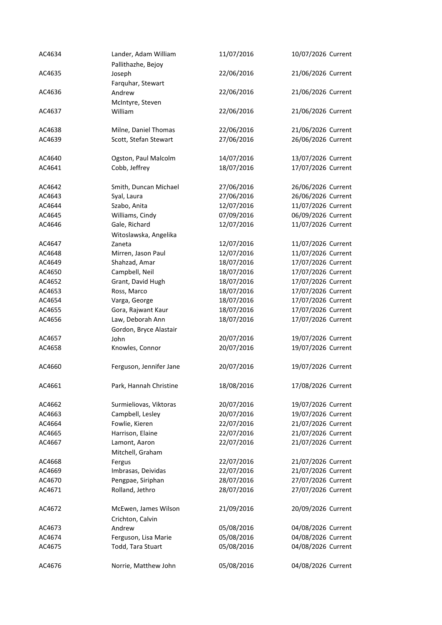| AC4634 | Lander, Adam William<br>Pallithazhe, Bejoy | 11/07/2016 | 10/07/2026 Current |
|--------|--------------------------------------------|------------|--------------------|
| AC4635 | Joseph                                     | 22/06/2016 | 21/06/2026 Current |
|        | Farquhar, Stewart                          |            |                    |
| AC4636 | Andrew<br>McIntyre, Steven                 | 22/06/2016 | 21/06/2026 Current |
| AC4637 | William                                    | 22/06/2016 | 21/06/2026 Current |
| AC4638 | Milne, Daniel Thomas                       | 22/06/2016 | 21/06/2026 Current |
| AC4639 | Scott, Stefan Stewart                      | 27/06/2016 | 26/06/2026 Current |
| AC4640 | Ogston, Paul Malcolm                       | 14/07/2016 | 13/07/2026 Current |
| AC4641 | Cobb, Jeffrey                              | 18/07/2016 | 17/07/2026 Current |
| AC4642 | Smith, Duncan Michael                      | 27/06/2016 | 26/06/2026 Current |
| AC4643 | Syal, Laura                                | 27/06/2016 | 26/06/2026 Current |
|        |                                            |            |                    |
| AC4644 | Szabo, Anita                               | 12/07/2016 | 11/07/2026 Current |
| AC4645 | Williams, Cindy                            | 07/09/2016 | 06/09/2026 Current |
| AC4646 | Gale, Richard                              | 12/07/2016 | 11/07/2026 Current |
|        | Witoslawska, Angelika                      |            |                    |
| AC4647 | Zaneta                                     | 12/07/2016 | 11/07/2026 Current |
| AC4648 | Mirren, Jason Paul                         | 12/07/2016 | 11/07/2026 Current |
| AC4649 | Shahzad, Amar                              | 18/07/2016 | 17/07/2026 Current |
| AC4650 | Campbell, Neil                             | 18/07/2016 | 17/07/2026 Current |
| AC4652 | Grant, David Hugh                          | 18/07/2016 | 17/07/2026 Current |
| AC4653 | Ross, Marco                                | 18/07/2016 | 17/07/2026 Current |
| AC4654 | Varga, George                              | 18/07/2016 | 17/07/2026 Current |
| AC4655 | Gora, Rajwant Kaur                         | 18/07/2016 | 17/07/2026 Current |
| AC4656 | Law, Deborah Ann                           | 18/07/2016 | 17/07/2026 Current |
|        | Gordon, Bryce Alastair                     |            |                    |
| AC4657 | John                                       | 20/07/2016 | 19/07/2026 Current |
| AC4658 | Knowles, Connor                            | 20/07/2016 | 19/07/2026 Current |
| AC4660 | Ferguson, Jennifer Jane                    | 20/07/2016 | 19/07/2026 Current |
| AC4661 | Park, Hannah Christine                     | 18/08/2016 | 17/08/2026 Current |
| AC4662 | Surmieliovas, Viktoras                     | 20/07/2016 | 19/07/2026 Current |
| AC4663 | Campbell, Lesley                           | 20/07/2016 | 19/07/2026 Current |
| AC4664 | Fowlie, Kieren                             | 22/07/2016 | 21/07/2026 Current |
| AC4665 | Harrison, Elaine                           | 22/07/2016 | 21/07/2026 Current |
| AC4667 | Lamont, Aaron                              | 22/07/2016 | 21/07/2026 Current |
|        | Mitchell, Graham                           |            |                    |
| AC4668 | Fergus                                     | 22/07/2016 | 21/07/2026 Current |
| AC4669 | Imbrasas, Deividas                         | 22/07/2016 | 21/07/2026 Current |
| AC4670 | Pengpae, Siriphan                          | 28/07/2016 | 27/07/2026 Current |
| AC4671 | Rolland, Jethro                            | 28/07/2016 | 27/07/2026 Current |
| AC4672 | McEwen, James Wilson                       | 21/09/2016 | 20/09/2026 Current |
|        | Crichton, Calvin                           |            |                    |
| AC4673 | Andrew                                     | 05/08/2016 | 04/08/2026 Current |
| AC4674 | Ferguson, Lisa Marie                       | 05/08/2016 | 04/08/2026 Current |
| AC4675 | Todd, Tara Stuart                          | 05/08/2016 | 04/08/2026 Current |
| AC4676 | Norrie, Matthew John                       | 05/08/2016 | 04/08/2026 Current |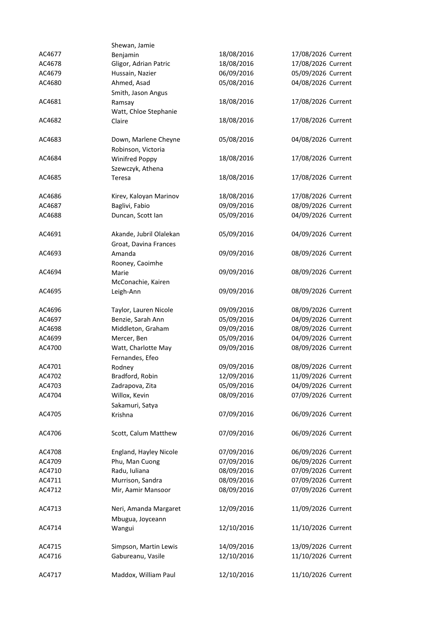|        | Shewan, Jamie           |            |                    |
|--------|-------------------------|------------|--------------------|
| AC4677 | Benjamin                | 18/08/2016 | 17/08/2026 Current |
| AC4678 | Gligor, Adrian Patric   | 18/08/2016 | 17/08/2026 Current |
| AC4679 | Hussain, Nazier         | 06/09/2016 | 05/09/2026 Current |
| AC4680 | Ahmed, Asad             | 05/08/2016 | 04/08/2026 Current |
|        | Smith, Jason Angus      |            |                    |
| AC4681 | Ramsay                  | 18/08/2016 | 17/08/2026 Current |
|        | Watt, Chloe Stephanie   |            |                    |
| AC4682 | Claire                  | 18/08/2016 | 17/08/2026 Current |
|        |                         |            |                    |
| AC4683 | Down, Marlene Cheyne    | 05/08/2016 | 04/08/2026 Current |
|        | Robinson, Victoria      |            |                    |
| AC4684 | Winifred Poppy          | 18/08/2016 | 17/08/2026 Current |
|        | Szewczyk, Athena        |            |                    |
| AC4685 | Teresa                  | 18/08/2016 | 17/08/2026 Current |
|        |                         |            |                    |
| AC4686 | Kirev, Kaloyan Marinov  | 18/08/2016 | 17/08/2026 Current |
| AC4687 | Baglivi, Fabio          | 09/09/2016 | 08/09/2026 Current |
| AC4688 | Duncan, Scott Ian       | 05/09/2016 | 04/09/2026 Current |
|        |                         |            |                    |
| AC4691 | Akande, Jubril Olalekan | 05/09/2016 | 04/09/2026 Current |
|        | Groat, Davina Frances   |            |                    |
| AC4693 | Amanda                  | 09/09/2016 | 08/09/2026 Current |
|        | Rooney, Caoimhe         |            |                    |
| AC4694 | Marie                   | 09/09/2016 | 08/09/2026 Current |
|        | McConachie, Kairen      |            |                    |
| AC4695 | Leigh-Ann               | 09/09/2016 | 08/09/2026 Current |
|        |                         |            |                    |
| AC4696 | Taylor, Lauren Nicole   | 09/09/2016 | 08/09/2026 Current |
| AC4697 | Benzie, Sarah Ann       | 05/09/2016 | 04/09/2026 Current |
| AC4698 | Middleton, Graham       | 09/09/2016 | 08/09/2026 Current |
| AC4699 | Mercer, Ben             | 05/09/2016 | 04/09/2026 Current |
| AC4700 | Watt, Charlotte May     | 09/09/2016 | 08/09/2026 Current |
|        | Fernandes, Efeo         |            |                    |
| AC4701 | Rodney                  | 09/09/2016 | 08/09/2026 Current |
| AC4702 | Bradford, Robin         | 12/09/2016 | 11/09/2026 Current |
| AC4703 | Zadrapova, Zita         | 05/09/2016 | 04/09/2026 Current |
| AC4704 | Willox, Kevin           | 08/09/2016 | 07/09/2026 Current |
|        | Sakamuri, Satya         |            |                    |
| AC4705 | Krishna                 | 07/09/2016 | 06/09/2026 Current |
|        |                         |            |                    |
| AC4706 | Scott, Calum Matthew    | 07/09/2016 | 06/09/2026 Current |
|        |                         |            |                    |
| AC4708 | England, Hayley Nicole  | 07/09/2016 | 06/09/2026 Current |
| AC4709 | Phu, Man Cuong          | 07/09/2016 | 06/09/2026 Current |
| AC4710 | Radu, Iuliana           | 08/09/2016 | 07/09/2026 Current |
| AC4711 | Murrison, Sandra        | 08/09/2016 | 07/09/2026 Current |
| AC4712 | Mir, Aamir Mansoor      | 08/09/2016 | 07/09/2026 Current |
|        |                         |            |                    |
| AC4713 | Neri, Amanda Margaret   | 12/09/2016 | 11/09/2026 Current |
|        | Mbugua, Joyceann        |            |                    |
| AC4714 | Wangui                  | 12/10/2016 | 11/10/2026 Current |
|        |                         |            |                    |
| AC4715 | Simpson, Martin Lewis   | 14/09/2016 | 13/09/2026 Current |
| AC4716 | Gabureanu, Vasile       | 12/10/2016 | 11/10/2026 Current |
|        |                         |            |                    |
| AC4717 | Maddox, William Paul    | 12/10/2016 | 11/10/2026 Current |
|        |                         |            |                    |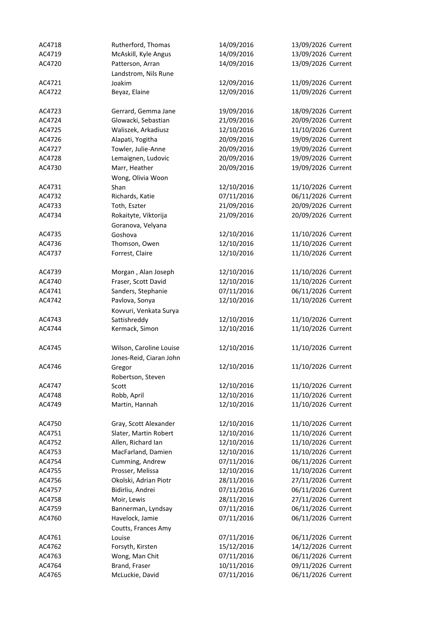| AC4718 | Rutherford, Thomas        | 14/09/2016 | 13/09/2026 Current |
|--------|---------------------------|------------|--------------------|
| AC4719 | McAskill, Kyle Angus      | 14/09/2016 | 13/09/2026 Current |
| AC4720 | Patterson, Arran          | 14/09/2016 | 13/09/2026 Current |
|        | Landstrom, Nils Rune      |            |                    |
| AC4721 | Joakim                    | 12/09/2016 | 11/09/2026 Current |
| AC4722 | Beyaz, Elaine             | 12/09/2016 | 11/09/2026 Current |
|        |                           |            |                    |
| AC4723 | Gerrard, Gemma Jane       | 19/09/2016 | 18/09/2026 Current |
| AC4724 | Glowacki, Sebastian       | 21/09/2016 | 20/09/2026 Current |
| AC4725 | Waliszek, Arkadiusz       | 12/10/2016 | 11/10/2026 Current |
| AC4726 | Alapati, Yogitha          | 20/09/2016 | 19/09/2026 Current |
| AC4727 | Towler, Julie-Anne        | 20/09/2016 | 19/09/2026 Current |
| AC4728 | Lemaignen, Ludovic        | 20/09/2016 | 19/09/2026 Current |
| AC4730 | Marr, Heather             | 20/09/2016 | 19/09/2026 Current |
|        |                           |            |                    |
| AC4731 | Wong, Olivia Woon<br>Shan | 12/10/2016 | 11/10/2026 Current |
| AC4732 |                           |            |                    |
|        | Richards, Katie           | 07/11/2016 | 06/11/2026 Current |
| AC4733 | Toth, Eszter              | 21/09/2016 | 20/09/2026 Current |
| AC4734 | Rokaityte, Viktorija      | 21/09/2016 | 20/09/2026 Current |
|        | Goranova, Velyana         |            |                    |
| AC4735 | Goshova                   | 12/10/2016 | 11/10/2026 Current |
| AC4736 | Thomson, Owen             | 12/10/2016 | 11/10/2026 Current |
| AC4737 | Forrest, Claire           | 12/10/2016 | 11/10/2026 Current |
|        |                           |            |                    |
| AC4739 | Morgan, Alan Joseph       | 12/10/2016 | 11/10/2026 Current |
| AC4740 | Fraser, Scott David       | 12/10/2016 | 11/10/2026 Current |
| AC4741 | Sanders, Stephanie        | 07/11/2016 | 06/11/2026 Current |
| AC4742 | Pavlova, Sonya            | 12/10/2016 | 11/10/2026 Current |
|        | Kovvuri, Venkata Surya    |            |                    |
| AC4743 | Sattishreddy              | 12/10/2016 | 11/10/2026 Current |
| AC4744 | Kermack, Simon            | 12/10/2016 | 11/10/2026 Current |
|        |                           |            |                    |
| AC4745 | Wilson, Caroline Louise   | 12/10/2016 | 11/10/2026 Current |
|        | Jones-Reid, Ciaran John   |            |                    |
| AC4746 | Gregor                    | 12/10/2016 | 11/10/2026 Current |
|        | Robertson, Steven         |            |                    |
| AC4747 | Scott                     | 12/10/2016 | 11/10/2026 Current |
| AC4748 | Robb, April               | 12/10/2016 | 11/10/2026 Current |
| AC4749 | Martin, Hannah            | 12/10/2016 | 11/10/2026 Current |
|        |                           |            |                    |
| AC4750 | Gray, Scott Alexander     | 12/10/2016 | 11/10/2026 Current |
| AC4751 | Slater, Martin Robert     | 12/10/2016 | 11/10/2026 Current |
| AC4752 | Allen, Richard Ian        | 12/10/2016 | 11/10/2026 Current |
| AC4753 | MacFarland, Damien        | 12/10/2016 | 11/10/2026 Current |
| AC4754 | Cumming, Andrew           | 07/11/2016 | 06/11/2026 Current |
| AC4755 | Prosser, Melissa          | 12/10/2016 | 11/10/2026 Current |
| AC4756 | Okolski, Adrian Piotr     | 28/11/2016 | 27/11/2026 Current |
| AC4757 | Bidirliu, Andrei          | 07/11/2016 | 06/11/2026 Current |
|        |                           | 28/11/2016 | 27/11/2026 Current |
| AC4758 | Moir, Lewis               |            |                    |
| AC4759 | Bannerman, Lyndsay        | 07/11/2016 | 06/11/2026 Current |
| AC4760 | Havelock, Jamie           | 07/11/2016 | 06/11/2026 Current |
|        | Coutts, Frances Amy       |            |                    |
| AC4761 | Louise                    | 07/11/2016 | 06/11/2026 Current |
| AC4762 | Forsyth, Kirsten          | 15/12/2016 | 14/12/2026 Current |
| AC4763 | Wong, Man Chit            | 07/11/2016 | 06/11/2026 Current |
| AC4764 | Brand, Fraser             | 10/11/2016 | 09/11/2026 Current |
| AC4765 | McLuckie, David           | 07/11/2016 | 06/11/2026 Current |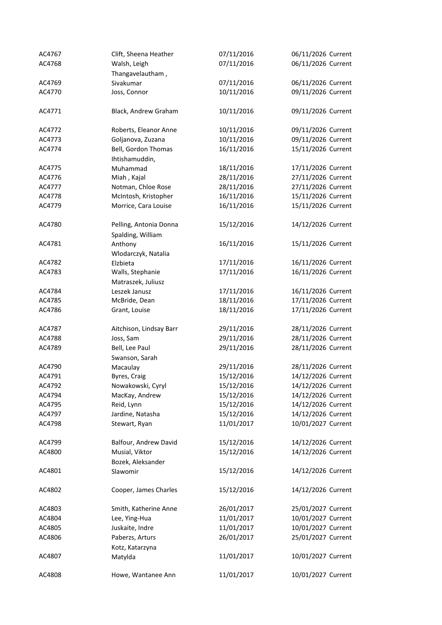| AC4767 | Clift, Sheena Heather   | 07/11/2016 | 06/11/2026 Current |
|--------|-------------------------|------------|--------------------|
| AC4768 | Walsh, Leigh            | 07/11/2016 | 06/11/2026 Current |
|        | Thangavelautham,        |            |                    |
| AC4769 | Sivakumar               | 07/11/2016 | 06/11/2026 Current |
| AC4770 | Joss, Connor            | 10/11/2016 | 09/11/2026 Current |
|        |                         |            |                    |
| AC4771 | Black, Andrew Graham    | 10/11/2016 | 09/11/2026 Current |
| AC4772 | Roberts, Eleanor Anne   | 10/11/2016 | 09/11/2026 Current |
| AC4773 | Goljanova, Zuzana       | 10/11/2016 | 09/11/2026 Current |
| AC4774 | Bell, Gordon Thomas     | 16/11/2016 | 15/11/2026 Current |
|        | Ihtishamuddin,          |            |                    |
| AC4775 | Muhammad                | 18/11/2016 | 17/11/2026 Current |
|        |                         |            |                    |
| AC4776 | Miah, Kajal             | 28/11/2016 | 27/11/2026 Current |
| AC4777 | Notman, Chloe Rose      | 28/11/2016 | 27/11/2026 Current |
| AC4778 | McIntosh, Kristopher    | 16/11/2016 | 15/11/2026 Current |
| AC4779 | Morrice, Cara Louise    | 16/11/2016 | 15/11/2026 Current |
| AC4780 | Pelling, Antonia Donna  | 15/12/2016 | 14/12/2026 Current |
|        | Spalding, William       |            |                    |
| AC4781 | Anthony                 | 16/11/2016 | 15/11/2026 Current |
|        | Wlodarczyk, Natalia     |            |                    |
| AC4782 | Elzbieta                | 17/11/2016 | 16/11/2026 Current |
| AC4783 | Walls, Stephanie        | 17/11/2016 | 16/11/2026 Current |
|        | Matraszek, Juliusz      |            |                    |
| AC4784 | Leszek Janusz           | 17/11/2016 | 16/11/2026 Current |
| AC4785 | McBride, Dean           | 18/11/2016 | 17/11/2026 Current |
| AC4786 | Grant, Louise           | 18/11/2016 | 17/11/2026 Current |
|        |                         |            |                    |
| AC4787 | Aitchison, Lindsay Barr | 29/11/2016 | 28/11/2026 Current |
| AC4788 | Joss, Sam               | 29/11/2016 | 28/11/2026 Current |
| AC4789 | Bell, Lee Paul          | 29/11/2016 | 28/11/2026 Current |
|        | Swanson, Sarah          |            |                    |
| AC4790 | Macaulay                | 29/11/2016 | 28/11/2026 Current |
| AC4791 | Byres, Craig            | 15/12/2016 | 14/12/2026 Current |
| AC4792 | Nowakowski, Cyryl       | 15/12/2016 | 14/12/2026 Current |
| AC4794 | MacKay, Andrew          | 15/12/2016 | 14/12/2026 Current |
| AC4795 | Reid, Lynn              | 15/12/2016 | 14/12/2026 Current |
| AC4797 | Jardine, Natasha        | 15/12/2016 | 14/12/2026 Current |
| AC4798 | Stewart, Ryan           | 11/01/2017 | 10/01/2027 Current |
|        |                         |            |                    |
| AC4799 | Balfour, Andrew David   | 15/12/2016 | 14/12/2026 Current |
| AC4800 | Musial, Viktor          | 15/12/2016 | 14/12/2026 Current |
|        | Bozek, Aleksander       |            |                    |
| AC4801 | Slawomir                | 15/12/2016 | 14/12/2026 Current |
|        |                         |            |                    |
| AC4802 | Cooper, James Charles   | 15/12/2016 | 14/12/2026 Current |
| AC4803 | Smith, Katherine Anne   | 26/01/2017 | 25/01/2027 Current |
| AC4804 | Lee, Ying-Hua           | 11/01/2017 | 10/01/2027 Current |
| AC4805 | Juskaite, Indre         | 11/01/2017 | 10/01/2027 Current |
| AC4806 | Paberzs, Arturs         | 26/01/2017 | 25/01/2027 Current |
|        | Kotz, Katarzyna         |            |                    |
| AC4807 | Matylda                 | 11/01/2017 | 10/01/2027 Current |
|        |                         |            |                    |
| AC4808 | Howe, Wantanee Ann      | 11/01/2017 | 10/01/2027 Current |
|        |                         |            |                    |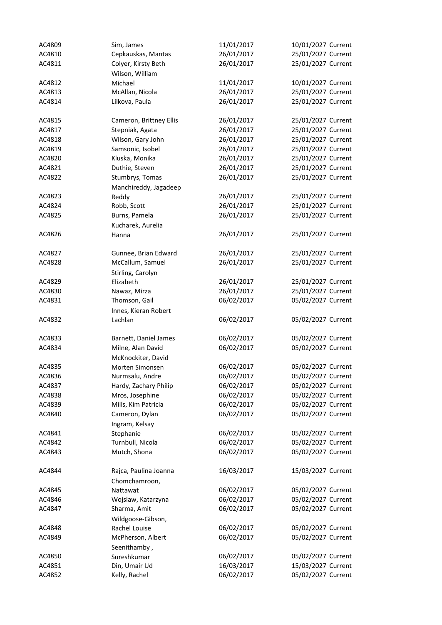| AC4809 | Sim, James              | 11/01/2017 | 10/01/2027 Current |
|--------|-------------------------|------------|--------------------|
| AC4810 | Cepkauskas, Mantas      | 26/01/2017 | 25/01/2027 Current |
| AC4811 | Colyer, Kirsty Beth     | 26/01/2017 | 25/01/2027 Current |
|        | Wilson, William         |            |                    |
| AC4812 | Michael                 | 11/01/2017 | 10/01/2027 Current |
| AC4813 | McAllan, Nicola         | 26/01/2017 | 25/01/2027 Current |
| AC4814 | Lilkova, Paula          | 26/01/2017 | 25/01/2027 Current |
|        |                         |            |                    |
| AC4815 | Cameron, Brittney Ellis | 26/01/2017 | 25/01/2027 Current |
| AC4817 | Stepniak, Agata         | 26/01/2017 | 25/01/2027 Current |
| AC4818 | Wilson, Gary John       | 26/01/2017 | 25/01/2027 Current |
| AC4819 | Samsonic, Isobel        | 26/01/2017 | 25/01/2027 Current |
| AC4820 | Kluska, Monika          | 26/01/2017 | 25/01/2027 Current |
| AC4821 | Duthie, Steven          | 26/01/2017 | 25/01/2027 Current |
| AC4822 | Stumbrys, Tomas         | 26/01/2017 | 25/01/2027 Current |
|        | Manchireddy, Jagadeep   |            |                    |
| AC4823 | Reddy                   | 26/01/2017 | 25/01/2027 Current |
| AC4824 | Robb, Scott             | 26/01/2017 | 25/01/2027 Current |
| AC4825 | Burns, Pamela           | 26/01/2017 | 25/01/2027 Current |
|        | Kucharek, Aurelia       |            |                    |
| AC4826 |                         | 26/01/2017 | 25/01/2027 Current |
|        | Hanna                   |            |                    |
| AC4827 |                         |            |                    |
|        | Gunnee, Brian Edward    | 26/01/2017 | 25/01/2027 Current |
| AC4828 | McCallum, Samuel        | 26/01/2017 | 25/01/2027 Current |
|        | Stirling, Carolyn       |            |                    |
| AC4829 | Elizabeth               | 26/01/2017 | 25/01/2027 Current |
| AC4830 | Nawaz, Mirza            | 26/01/2017 | 25/01/2027 Current |
| AC4831 | Thomson, Gail           | 06/02/2017 | 05/02/2027 Current |
|        | Innes, Kieran Robert    |            |                    |
| AC4832 | Lachlan                 | 06/02/2017 | 05/02/2027 Current |
|        |                         |            |                    |
| AC4833 | Barnett, Daniel James   | 06/02/2017 | 05/02/2027 Current |
| AC4834 | Milne, Alan David       | 06/02/2017 | 05/02/2027 Current |
|        | McKnockiter, David      |            |                    |
| AC4835 | Morten Simonsen         | 06/02/2017 | 05/02/2027 Current |
| AC4836 | Nurmsalu, Andre         | 06/02/2017 | 05/02/2027 Current |
| AC4837 | Hardy, Zachary Philip   | 06/02/2017 | 05/02/2027 Current |
| AC4838 | Mros, Josephine         | 06/02/2017 | 05/02/2027 Current |
| AC4839 | Mills, Kim Patricia     | 06/02/2017 | 05/02/2027 Current |
| AC4840 | Cameron, Dylan          | 06/02/2017 | 05/02/2027 Current |
|        | Ingram, Kelsay          |            |                    |
| AC4841 | Stephanie               | 06/02/2017 | 05/02/2027 Current |
| AC4842 | Turnbull, Nicola        | 06/02/2017 | 05/02/2027 Current |
| AC4843 | Mutch, Shona            | 06/02/2017 | 05/02/2027 Current |
|        |                         |            |                    |
| AC4844 | Rajca, Paulina Joanna   | 16/03/2017 | 15/03/2027 Current |
|        | Chomchamroon,           |            |                    |
| AC4845 | Nattawat                | 06/02/2017 | 05/02/2027 Current |
| AC4846 | Wojslaw, Katarzyna      | 06/02/2017 | 05/02/2027 Current |
| AC4847 | Sharma, Amit            | 06/02/2017 | 05/02/2027 Current |
|        | Wildgoose-Gibson,       |            |                    |
| AC4848 | Rachel Louise           | 06/02/2017 | 05/02/2027 Current |
| AC4849 | McPherson, Albert       | 06/02/2017 | 05/02/2027 Current |
|        | Seenithamby,            |            |                    |
| AC4850 | Sureshkumar             | 06/02/2017 | 05/02/2027 Current |
| AC4851 | Din, Umair Ud           | 16/03/2017 | 15/03/2027 Current |
| AC4852 | Kelly, Rachel           | 06/02/2017 | 05/02/2027 Current |
|        |                         |            |                    |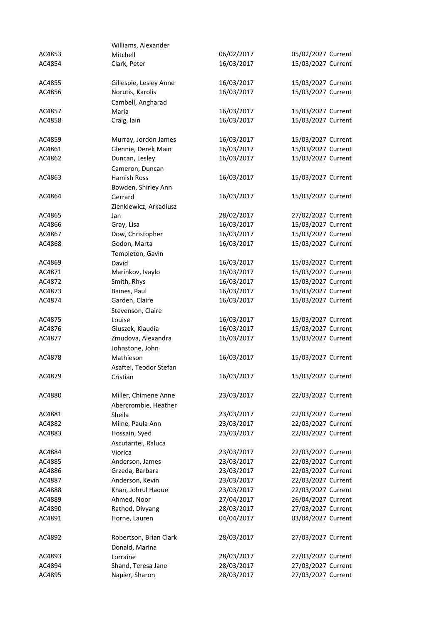|        | Williams, Alexander                          |            |                    |
|--------|----------------------------------------------|------------|--------------------|
| AC4853 | Mitchell                                     | 06/02/2017 | 05/02/2027 Current |
| AC4854 | Clark, Peter                                 | 16/03/2017 | 15/03/2027 Current |
| AC4855 | Gillespie, Lesley Anne                       | 16/03/2017 | 15/03/2027 Current |
| AC4856 | Norutis, Karolis                             | 16/03/2017 | 15/03/2027 Current |
|        | Cambell, Angharad                            |            |                    |
| AC4857 | Maria                                        | 16/03/2017 | 15/03/2027 Current |
| AC4858 | Craig, lain                                  | 16/03/2017 | 15/03/2027 Current |
| AC4859 | Murray, Jordon James                         | 16/03/2017 | 15/03/2027 Current |
| AC4861 | Glennie, Derek Main                          | 16/03/2017 | 15/03/2027 Current |
| AC4862 | Duncan, Lesley<br>Cameron, Duncan            | 16/03/2017 | 15/03/2027 Current |
| AC4863 | <b>Hamish Ross</b>                           | 16/03/2017 | 15/03/2027 Current |
|        | Bowden, Shirley Ann                          |            |                    |
| AC4864 | Gerrard                                      | 16/03/2017 | 15/03/2027 Current |
|        | Zienkiewicz, Arkadiusz                       |            |                    |
| AC4865 | Jan                                          | 28/02/2017 | 27/02/2027 Current |
| AC4866 | Gray, Lisa                                   | 16/03/2017 | 15/03/2027 Current |
| AC4867 | Dow, Christopher                             | 16/03/2017 | 15/03/2027 Current |
| AC4868 | Godon, Marta                                 | 16/03/2017 | 15/03/2027 Current |
|        | Templeton, Gavin                             |            |                    |
| AC4869 | David                                        | 16/03/2017 | 15/03/2027 Current |
| AC4871 | Marinkov, Ivaylo                             | 16/03/2017 | 15/03/2027 Current |
| AC4872 | Smith, Rhys                                  | 16/03/2017 | 15/03/2027 Current |
| AC4873 | Baines, Paul                                 | 16/03/2017 | 15/03/2027 Current |
| AC4874 | Garden, Claire                               | 16/03/2017 | 15/03/2027 Current |
|        | Stevenson, Claire                            |            |                    |
| AC4875 | Louise                                       | 16/03/2017 | 15/03/2027 Current |
| AC4876 | Gluszek, Klaudia                             | 16/03/2017 | 15/03/2027 Current |
| AC4877 | Zmudova, Alexandra<br>Johnstone, John        | 16/03/2017 | 15/03/2027 Current |
| AC4878 | Mathieson                                    | 16/03/2017 | 15/03/2027 Current |
|        | Asaftei, Teodor Stefan                       |            |                    |
| AC4879 | Cristian                                     | 16/03/2017 | 15/03/2027 Current |
| AC4880 | Miller, Chimene Anne<br>Abercrombie, Heather | 23/03/2017 | 22/03/2027 Current |
| AC4881 | Sheila                                       | 23/03/2017 | 22/03/2027 Current |
| AC4882 | Milne, Paula Ann                             | 23/03/2017 | 22/03/2027 Current |
| AC4883 | Hossain, Syed                                | 23/03/2017 | 22/03/2027 Current |
|        | Ascutaritei, Raluca                          |            |                    |
| AC4884 | Viorica                                      | 23/03/2017 | 22/03/2027 Current |
| AC4885 | Anderson, James                              | 23/03/2017 | 22/03/2027 Current |
| AC4886 | Grzeda, Barbara                              | 23/03/2017 | 22/03/2027 Current |
| AC4887 | Anderson, Kevin                              | 23/03/2017 | 22/03/2027 Current |
| AC4888 | Khan, Johrul Haque                           | 23/03/2017 | 22/03/2027 Current |
| AC4889 | Ahmed, Noor                                  | 27/04/2017 | 26/04/2027 Current |
| AC4890 | Rathod, Divyang                              | 28/03/2017 | 27/03/2027 Current |
| AC4891 | Horne, Lauren                                | 04/04/2017 | 03/04/2027 Current |
| AC4892 | Robertson, Brian Clark                       | 28/03/2017 | 27/03/2027 Current |
|        | Donald, Marina                               |            |                    |
| AC4893 | Lorraine                                     | 28/03/2017 | 27/03/2027 Current |
| AC4894 | Shand, Teresa Jane                           | 28/03/2017 | 27/03/2027 Current |
| AC4895 | Napier, Sharon                               | 28/03/2017 | 27/03/2027 Current |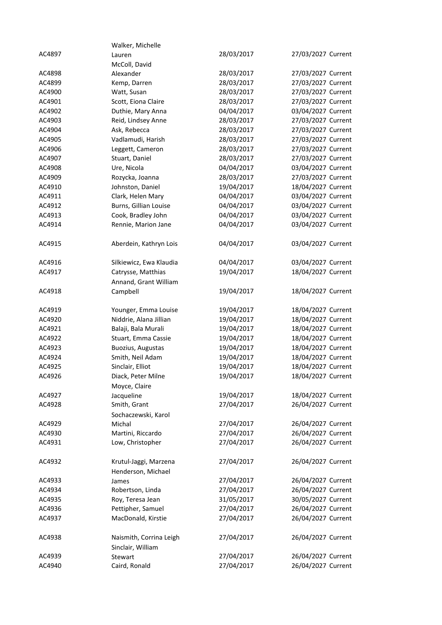|        | Walker, Michelle        |            |                    |
|--------|-------------------------|------------|--------------------|
| AC4897 | Lauren                  | 28/03/2017 | 27/03/2027 Current |
|        | McColl, David           |            |                    |
| AC4898 | Alexander               | 28/03/2017 | 27/03/2027 Current |
| AC4899 | Kemp, Darren            | 28/03/2017 | 27/03/2027 Current |
| AC4900 | Watt, Susan             | 28/03/2017 | 27/03/2027 Current |
| AC4901 | Scott, Eiona Claire     | 28/03/2017 | 27/03/2027 Current |
| AC4902 | Duthie, Mary Anna       | 04/04/2017 | 03/04/2027 Current |
| AC4903 | Reid, Lindsey Anne      | 28/03/2017 | 27/03/2027 Current |
| AC4904 | Ask, Rebecca            | 28/03/2017 | 27/03/2027 Current |
| AC4905 | Vadlamudi, Harish       | 28/03/2017 | 27/03/2027 Current |
| AC4906 | Leggett, Cameron        | 28/03/2017 | 27/03/2027 Current |
| AC4907 | Stuart, Daniel          | 28/03/2017 | 27/03/2027 Current |
| AC4908 | Ure, Nicola             | 04/04/2017 | 03/04/2027 Current |
| AC4909 | Rozycka, Joanna         | 28/03/2017 | 27/03/2027 Current |
| AC4910 | Johnston, Daniel        | 19/04/2017 | 18/04/2027 Current |
| AC4911 | Clark, Helen Mary       | 04/04/2017 | 03/04/2027 Current |
| AC4912 | Burns, Gillian Louise   | 04/04/2017 | 03/04/2027 Current |
| AC4913 | Cook, Bradley John      | 04/04/2017 | 03/04/2027 Current |
| AC4914 | Rennie, Marion Jane     | 04/04/2017 | 03/04/2027 Current |
|        |                         |            |                    |
| AC4915 | Aberdein, Kathryn Lois  | 04/04/2017 | 03/04/2027 Current |
|        |                         |            |                    |
| AC4916 | Silkiewicz, Ewa Klaudia | 04/04/2017 | 03/04/2027 Current |
| AC4917 | Catrysse, Matthias      | 19/04/2017 | 18/04/2027 Current |
|        | Annand, Grant William   |            |                    |
| AC4918 | Campbell                | 19/04/2017 | 18/04/2027 Current |
|        |                         |            |                    |
| AC4919 | Younger, Emma Louise    | 19/04/2017 | 18/04/2027 Current |
| AC4920 | Niddrie, Alana Jillian  | 19/04/2017 | 18/04/2027 Current |
| AC4921 | Balaji, Bala Murali     | 19/04/2017 | 18/04/2027 Current |
| AC4922 | Stuart, Emma Cassie     | 19/04/2017 | 18/04/2027 Current |
| AC4923 | Buozius, Augustas       | 19/04/2017 | 18/04/2027 Current |
| AC4924 | Smith, Neil Adam        | 19/04/2017 | 18/04/2027 Current |
| AC4925 | Sinclair, Elliot        | 19/04/2017 | 18/04/2027 Current |
| AC4926 | Diack, Peter Milne      | 19/04/2017 | 18/04/2027 Current |
|        | Moyce, Claire           |            |                    |
| AC4927 | Jacqueline              | 19/04/2017 | 18/04/2027 Current |
| AC4928 | Smith, Grant            | 27/04/2017 | 26/04/2027 Current |
|        | Sochaczewski, Karol     |            |                    |
| AC4929 | Michal                  | 27/04/2017 | 26/04/2027 Current |
| AC4930 | Martini, Riccardo       | 27/04/2017 | 26/04/2027 Current |
| AC4931 | Low, Christopher        | 27/04/2017 | 26/04/2027 Current |
|        |                         |            |                    |
| AC4932 | Krutul-Jaggi, Marzena   | 27/04/2017 | 26/04/2027 Current |
|        | Henderson, Michael      |            |                    |
| AC4933 | James                   | 27/04/2017 | 26/04/2027 Current |
| AC4934 | Robertson, Linda        | 27/04/2017 | 26/04/2027 Current |
| AC4935 | Roy, Teresa Jean        | 31/05/2017 | 30/05/2027 Current |
| AC4936 | Pettipher, Samuel       | 27/04/2017 | 26/04/2027 Current |
| AC4937 | MacDonald, Kirstie      | 27/04/2017 | 26/04/2027 Current |
|        |                         |            |                    |
| AC4938 | Naismith, Corrina Leigh | 27/04/2017 | 26/04/2027 Current |
|        | Sinclair, William       |            |                    |
| AC4939 | Stewart                 | 27/04/2017 | 26/04/2027 Current |
| AC4940 | Caird, Ronald           | 27/04/2017 | 26/04/2027 Current |
|        |                         |            |                    |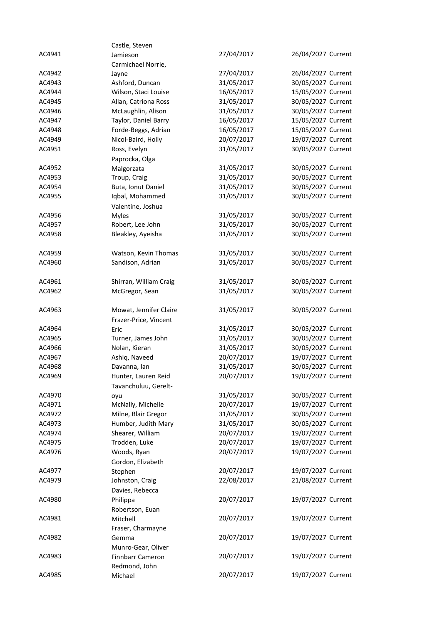|                  | Castle, Steven                          |                          |                                          |
|------------------|-----------------------------------------|--------------------------|------------------------------------------|
| AC4941           | Jamieson                                | 27/04/2017               | 26/04/2027 Current                       |
|                  | Carmichael Norrie,                      |                          |                                          |
| AC4942           | Jayne                                   | 27/04/2017               | 26/04/2027 Current                       |
| AC4943           | Ashford, Duncan                         | 31/05/2017               | 30/05/2027 Current                       |
| AC4944           | Wilson, Staci Louise                    | 16/05/2017               | 15/05/2027 Current                       |
| AC4945           | Allan, Catriona Ross                    | 31/05/2017               | 30/05/2027 Current                       |
| AC4946           | McLaughlin, Alison                      | 31/05/2017               | 30/05/2027 Current                       |
| AC4947           | Taylor, Daniel Barry                    | 16/05/2017               | 15/05/2027 Current                       |
| AC4948           | Forde-Beggs, Adrian                     | 16/05/2017               | 15/05/2027 Current                       |
| AC4949           | Nicol-Baird, Holly                      | 20/07/2017               | 19/07/2027 Current                       |
| AC4951           | Ross, Evelyn                            | 31/05/2017               | 30/05/2027 Current                       |
|                  | Paprocka, Olga                          |                          |                                          |
| AC4952           | Malgorzata                              | 31/05/2017               | 30/05/2027 Current                       |
| AC4953           | Troup, Craig                            | 31/05/2017               | 30/05/2027 Current                       |
| AC4954           | Buta, Ionut Daniel                      | 31/05/2017               | 30/05/2027 Current                       |
| AC4955           | Iqbal, Mohammed                         | 31/05/2017               | 30/05/2027 Current                       |
|                  | Valentine, Joshua                       |                          |                                          |
| AC4956           | <b>Myles</b>                            | 31/05/2017               | 30/05/2027 Current                       |
| AC4957           | Robert, Lee John                        | 31/05/2017               | 30/05/2027 Current                       |
| AC4958           | Bleakley, Ayeisha                       | 31/05/2017               | 30/05/2027 Current                       |
|                  |                                         |                          |                                          |
| AC4959           | Watson, Kevin Thomas                    | 31/05/2017               | 30/05/2027 Current                       |
| AC4960           | Sandison, Adrian                        | 31/05/2017               | 30/05/2027 Current                       |
|                  |                                         |                          |                                          |
| AC4961           | Shirran, William Craig                  | 31/05/2017               | 30/05/2027 Current                       |
| AC4962           | McGregor, Sean                          | 31/05/2017               | 30/05/2027 Current                       |
|                  |                                         |                          |                                          |
| AC4963           | Mowat, Jennifer Claire                  | 31/05/2017               | 30/05/2027 Current                       |
|                  | Frazer-Price, Vincent                   |                          |                                          |
| AC4964           | Eric                                    | 31/05/2017               | 30/05/2027 Current                       |
| AC4965           | Turner, James John                      | 31/05/2017               | 30/05/2027 Current                       |
| AC4966           | Nolan, Kieran                           | 31/05/2017               | 30/05/2027 Current                       |
| AC4967           | Ashiq, Naveed                           | 20/07/2017               | 19/07/2027 Current                       |
| AC4968           | Davanna, Ian<br>Hunter, Lauren Reid     | 31/05/2017               | 30/05/2027 Current<br>19/07/2027 Current |
| AC4969           |                                         | 20/07/2017               |                                          |
|                  | Tavanchuluu, Gerelt-                    |                          |                                          |
| AC4970           | oyu                                     | 31/05/2017               | 30/05/2027 Current                       |
| AC4971           | McNally, Michelle                       | 20/07/2017               | 19/07/2027 Current                       |
| AC4972<br>AC4973 | Milne, Blair Gregor                     | 31/05/2017               | 30/05/2027 Current                       |
| AC4974           | Humber, Judith Mary<br>Shearer, William | 31/05/2017<br>20/07/2017 | 30/05/2027 Current<br>19/07/2027 Current |
| AC4975           | Trodden, Luke                           | 20/07/2017               | 19/07/2027 Current                       |
| AC4976           | Woods, Ryan                             | 20/07/2017               | 19/07/2027 Current                       |
|                  |                                         |                          |                                          |
| AC4977           | Gordon, Elizabeth                       | 20/07/2017               | 19/07/2027 Current                       |
| AC4979           | Stephen<br>Johnston, Craig              | 22/08/2017               | 21/08/2027 Current                       |
|                  | Davies, Rebecca                         |                          |                                          |
| AC4980           | Philippa                                | 20/07/2017               | 19/07/2027 Current                       |
|                  | Robertson, Euan                         |                          |                                          |
| AC4981           | Mitchell                                | 20/07/2017               | 19/07/2027 Current                       |
|                  | Fraser, Charmayne                       |                          |                                          |
| AC4982           | Gemma                                   | 20/07/2017               | 19/07/2027 Current                       |
|                  | Munro-Gear, Oliver                      |                          |                                          |
| AC4983           | Finnbarr Cameron                        | 20/07/2017               | 19/07/2027 Current                       |
|                  | Redmond, John                           |                          |                                          |
| AC4985           | Michael                                 | 20/07/2017               | 19/07/2027 Current                       |
|                  |                                         |                          |                                          |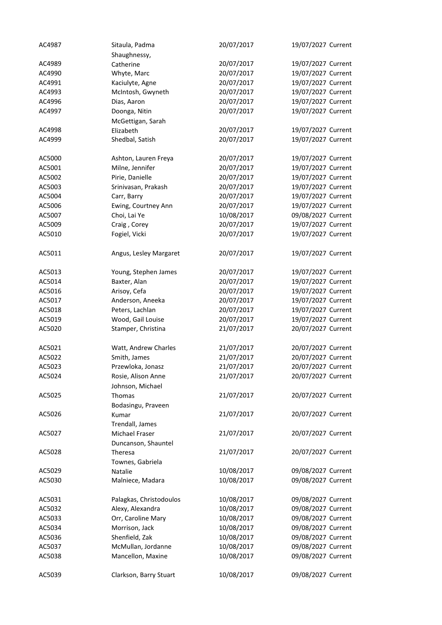| AC4987 | Sitaula, Padma          | 20/07/2017 | 19/07/2027 Current |
|--------|-------------------------|------------|--------------------|
|        | Shaughnessy,            |            |                    |
| AC4989 | Catherine               | 20/07/2017 | 19/07/2027 Current |
| AC4990 | Whyte, Marc             | 20/07/2017 | 19/07/2027 Current |
| AC4991 | Kaciulyte, Agne         | 20/07/2017 | 19/07/2027 Current |
| AC4993 | McIntosh, Gwyneth       | 20/07/2017 | 19/07/2027 Current |
| AC4996 | Dias, Aaron             | 20/07/2017 | 19/07/2027 Current |
| AC4997 | Doonga, Nitin           | 20/07/2017 | 19/07/2027 Current |
|        | McGettigan, Sarah       |            |                    |
| AC4998 | Elizabeth               | 20/07/2017 | 19/07/2027 Current |
| AC4999 | Shedbal, Satish         | 20/07/2017 | 19/07/2027 Current |
|        |                         |            |                    |
| AC5000 | Ashton, Lauren Freya    | 20/07/2017 | 19/07/2027 Current |
| AC5001 | Milne, Jennifer         | 20/07/2017 | 19/07/2027 Current |
| AC5002 | Pirie, Danielle         | 20/07/2017 | 19/07/2027 Current |
| AC5003 | Srinivasan, Prakash     | 20/07/2017 | 19/07/2027 Current |
| AC5004 | Carr, Barry             | 20/07/2017 | 19/07/2027 Current |
| AC5006 | Ewing, Courtney Ann     | 20/07/2017 | 19/07/2027 Current |
| AC5007 | Choi, Lai Ye            | 10/08/2017 | 09/08/2027 Current |
| AC5009 | Craig, Corey            | 20/07/2017 | 19/07/2027 Current |
| AC5010 | Fogiel, Vicki           | 20/07/2017 | 19/07/2027 Current |
|        |                         |            |                    |
| AC5011 | Angus, Lesley Margaret  | 20/07/2017 | 19/07/2027 Current |
|        |                         |            |                    |
| AC5013 | Young, Stephen James    | 20/07/2017 | 19/07/2027 Current |
| AC5014 | Baxter, Alan            | 20/07/2017 | 19/07/2027 Current |
| AC5016 | Arisoy, Cefa            | 20/07/2017 | 19/07/2027 Current |
| AC5017 | Anderson, Aneeka        | 20/07/2017 | 19/07/2027 Current |
| AC5018 | Peters, Lachlan         | 20/07/2017 | 19/07/2027 Current |
| AC5019 | Wood, Gail Louise       | 20/07/2017 | 19/07/2027 Current |
| AC5020 | Stamper, Christina      | 21/07/2017 | 20/07/2027 Current |
|        |                         |            |                    |
| AC5021 | Watt, Andrew Charles    | 21/07/2017 | 20/07/2027 Current |
| AC5022 | Smith, James            | 21/07/2017 | 20/07/2027 Current |
| AC5023 | Przewloka, Jonasz       | 21/07/2017 | 20/07/2027 Current |
| AC5024 | Rosie, Alison Anne      | 21/07/2017 | 20/07/2027 Current |
|        | Johnson, Michael        |            |                    |
| AC5025 | Thomas                  | 21/07/2017 | 20/07/2027 Current |
|        | Bodasingu, Praveen      |            |                    |
| AC5026 | Kumar                   | 21/07/2017 | 20/07/2027 Current |
|        | Trendall, James         |            |                    |
| AC5027 | Michael Fraser          | 21/07/2017 | 20/07/2027 Current |
|        | Duncanson, Shauntel     |            |                    |
| AC5028 | Theresa                 | 21/07/2017 | 20/07/2027 Current |
|        | Townes, Gabriela        |            |                    |
| AC5029 | Natalie                 | 10/08/2017 | 09/08/2027 Current |
| AC5030 | Malniece, Madara        | 10/08/2017 | 09/08/2027 Current |
|        |                         |            |                    |
| AC5031 | Palagkas, Christodoulos | 10/08/2017 | 09/08/2027 Current |
| AC5032 | Alexy, Alexandra        | 10/08/2017 | 09/08/2027 Current |
| AC5033 | Orr, Caroline Mary      | 10/08/2017 | 09/08/2027 Current |
| AC5034 | Morrison, Jack          | 10/08/2017 | 09/08/2027 Current |
| AC5036 | Shenfield, Zak          | 10/08/2017 | 09/08/2027 Current |
| AC5037 | McMullan, Jordanne      | 10/08/2017 | 09/08/2027 Current |
| AC5038 | Mancellon, Maxine       | 10/08/2017 | 09/08/2027 Current |
|        |                         |            |                    |
| AC5039 | Clarkson, Barry Stuart  | 10/08/2017 | 09/08/2027 Current |
|        |                         |            |                    |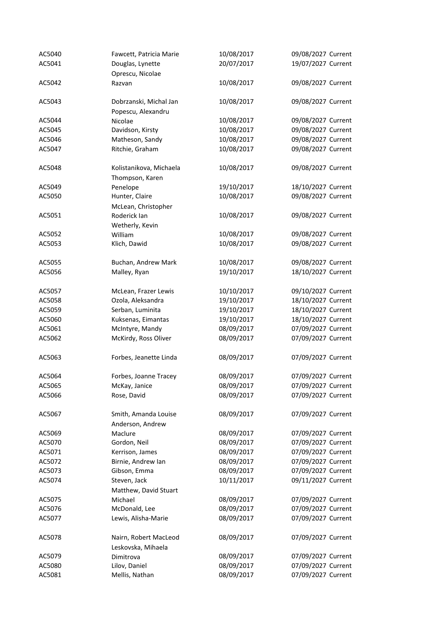| AC5040 | Fawcett, Patricia Marie | 10/08/2017 | 09/08/2027 Current |
|--------|-------------------------|------------|--------------------|
| AC5041 | Douglas, Lynette        | 20/07/2017 | 19/07/2027 Current |
|        | Oprescu, Nicolae        |            |                    |
| AC5042 | Razvan                  | 10/08/2017 | 09/08/2027 Current |
|        |                         |            |                    |
| AC5043 | Dobrzanski, Michal Jan  | 10/08/2017 | 09/08/2027 Current |
|        |                         |            |                    |
| AC5044 | Popescu, Alexandru      | 10/08/2017 | 09/08/2027 Current |
|        | Nicolae                 |            |                    |
| AC5045 | Davidson, Kirsty        | 10/08/2017 | 09/08/2027 Current |
| AC5046 | Matheson, Sandy         | 10/08/2017 | 09/08/2027 Current |
| AC5047 | Ritchie, Graham         | 10/08/2017 | 09/08/2027 Current |
| AC5048 | Kolistanikova, Michaela | 10/08/2017 | 09/08/2027 Current |
|        |                         |            |                    |
|        | Thompson, Karen         |            |                    |
| AC5049 | Penelope                | 19/10/2017 | 18/10/2027 Current |
| AC5050 | Hunter, Claire          | 10/08/2017 | 09/08/2027 Current |
|        | McLean, Christopher     |            |                    |
| AC5051 | Roderick Ian            | 10/08/2017 | 09/08/2027 Current |
|        | Wetherly, Kevin         |            |                    |
| AC5052 | William                 | 10/08/2017 | 09/08/2027 Current |
| AC5053 | Klich, Dawid            | 10/08/2017 | 09/08/2027 Current |
|        |                         |            |                    |
| AC5055 | Buchan, Andrew Mark     | 10/08/2017 | 09/08/2027 Current |
| AC5056 | Malley, Ryan            | 19/10/2017 | 18/10/2027 Current |
| AC5057 | McLean, Frazer Lewis    | 10/10/2017 | 09/10/2027 Current |
| AC5058 | Ozola, Aleksandra       | 19/10/2017 | 18/10/2027 Current |
| AC5059 | Serban, Luminita        | 19/10/2017 | 18/10/2027 Current |
| AC5060 | Kuksenas, Eimantas      | 19/10/2017 | 18/10/2027 Current |
|        |                         |            |                    |
| AC5061 | McIntyre, Mandy         | 08/09/2017 | 07/09/2027 Current |
| AC5062 | McKirdy, Ross Oliver    | 08/09/2017 | 07/09/2027 Current |
| AC5063 | Forbes, Jeanette Linda  | 08/09/2017 | 07/09/2027 Current |
|        |                         |            |                    |
| AC5064 | Forbes, Joanne Tracey   | 08/09/2017 | 07/09/2027 Current |
| AC5065 | McKay, Janice           | 08/09/2017 | 07/09/2027 Current |
| AC5066 | Rose, David             | 08/09/2017 | 07/09/2027 Current |
|        |                         |            |                    |
| AC5067 | Smith, Amanda Louise    | 08/09/2017 | 07/09/2027 Current |
|        | Anderson, Andrew        |            |                    |
| AC5069 | Maclure                 | 08/09/2017 | 07/09/2027 Current |
| AC5070 | Gordon, Neil            | 08/09/2017 | 07/09/2027 Current |
| AC5071 | Kerrison, James         | 08/09/2017 | 07/09/2027 Current |
| AC5072 | Birnie, Andrew Ian      | 08/09/2017 | 07/09/2027 Current |
| AC5073 | Gibson, Emma            | 08/09/2017 | 07/09/2027 Current |
| AC5074 | Steven, Jack            | 10/11/2017 | 09/11/2027 Current |
|        | Matthew, David Stuart   |            |                    |
| AC5075 | Michael                 | 08/09/2017 | 07/09/2027 Current |
| AC5076 | McDonald, Lee           | 08/09/2017 | 07/09/2027 Current |
| AC5077 | Lewis, Alisha-Marie     | 08/09/2017 | 07/09/2027 Current |
|        |                         |            |                    |
| AC5078 | Nairn, Robert MacLeod   | 08/09/2017 | 07/09/2027 Current |
|        | Leskovska, Mihaela      |            |                    |
| AC5079 | Dimitrova               | 08/09/2017 | 07/09/2027 Current |
| AC5080 | Lilov, Daniel           | 08/09/2017 | 07/09/2027 Current |
| AC5081 | Mellis, Nathan          | 08/09/2017 | 07/09/2027 Current |
|        |                         |            |                    |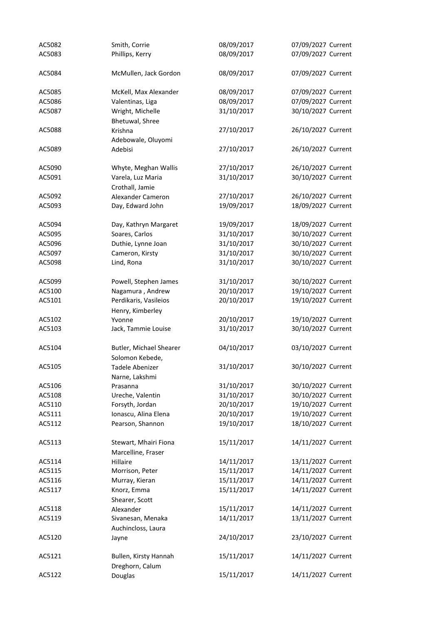| AC5082 | Smith, Corrie                            | 08/09/2017 | 07/09/2027 Current |
|--------|------------------------------------------|------------|--------------------|
| AC5083 | Phillips, Kerry                          | 08/09/2017 | 07/09/2027 Current |
| AC5084 | McMullen, Jack Gordon                    | 08/09/2017 | 07/09/2027 Current |
| AC5085 | McKell, Max Alexander                    | 08/09/2017 | 07/09/2027 Current |
| AC5086 | Valentinas, Liga                         | 08/09/2017 | 07/09/2027 Current |
| AC5087 | Wright, Michelle                         | 31/10/2017 | 30/10/2027 Current |
|        | Bhetuwal, Shree                          |            |                    |
| AC5088 | Krishna                                  | 27/10/2017 | 26/10/2027 Current |
|        |                                          |            |                    |
|        | Adebowale, Oluyomi                       |            |                    |
| AC5089 | Adebisi                                  | 27/10/2017 | 26/10/2027 Current |
| AC5090 | Whyte, Meghan Wallis                     | 27/10/2017 | 26/10/2027 Current |
| AC5091 | Varela, Luz Maria                        | 31/10/2017 | 30/10/2027 Current |
|        | Crothall, Jamie                          |            |                    |
| AC5092 | Alexander Cameron                        | 27/10/2017 | 26/10/2027 Current |
| AC5093 | Day, Edward John                         | 19/09/2017 | 18/09/2027 Current |
| AC5094 | Day, Kathryn Margaret                    | 19/09/2017 | 18/09/2027 Current |
| AC5095 | Soares, Carlos                           | 31/10/2017 | 30/10/2027 Current |
|        |                                          | 31/10/2017 | 30/10/2027 Current |
| AC5096 | Duthie, Lynne Joan                       |            |                    |
| AC5097 | Cameron, Kirsty                          | 31/10/2017 | 30/10/2027 Current |
| AC5098 | Lind, Rona                               | 31/10/2017 | 30/10/2027 Current |
| AC5099 | Powell, Stephen James                    | 31/10/2017 | 30/10/2027 Current |
| AC5100 | Nagamura, Andrew                         | 20/10/2017 | 19/10/2027 Current |
| AC5101 | Perdikaris, Vasileios                    | 20/10/2017 | 19/10/2027 Current |
|        | Henry, Kimberley                         |            |                    |
| AC5102 | Yvonne                                   | 20/10/2017 | 19/10/2027 Current |
| AC5103 | Jack, Tammie Louise                      | 31/10/2017 | 30/10/2027 Current |
| AC5104 | Butler, Michael Shearer                  | 04/10/2017 | 03/10/2027 Current |
|        | Solomon Kebede,                          |            |                    |
| AC5105 | Tadele Abenizer                          | 31/10/2017 | 30/10/2027 Current |
|        | Narne, Lakshmi                           |            |                    |
| AC5106 | Prasanna                                 | 31/10/2017 | 30/10/2027 Current |
| AC5108 | Ureche, Valentin                         | 31/10/2017 | 30/10/2027 Current |
| AC5110 | Forsyth, Jordan                          | 20/10/2017 | 19/10/2027 Current |
| AC5111 | Ionascu, Alina Elena                     | 20/10/2017 | 19/10/2027 Current |
| AC5112 | Pearson, Shannon                         | 19/10/2017 | 18/10/2027 Current |
|        |                                          |            |                    |
| AC5113 | Stewart, Mhairi Fiona                    | 15/11/2017 | 14/11/2027 Current |
|        | Marcelline, Fraser                       |            |                    |
| AC5114 | Hillaire                                 | 14/11/2017 | 13/11/2027 Current |
| AC5115 | Morrison, Peter                          | 15/11/2017 | 14/11/2027 Current |
| AC5116 | Murray, Kieran                           | 15/11/2017 | 14/11/2027 Current |
| AC5117 | Knorz, Emma                              | 15/11/2017 | 14/11/2027 Current |
|        | Shearer, Scott                           |            |                    |
| AC5118 | Alexander                                | 15/11/2017 | 14/11/2027 Current |
| AC5119 | Sivanesan, Menaka                        | 14/11/2017 | 13/11/2027 Current |
|        | Auchincloss, Laura                       |            |                    |
| AC5120 | Jayne                                    | 24/10/2017 | 23/10/2027 Current |
| AC5121 | Bullen, Kirsty Hannah<br>Dreghorn, Calum | 15/11/2017 | 14/11/2027 Current |
| AC5122 | Douglas                                  | 15/11/2017 | 14/11/2027 Current |
|        |                                          |            |                    |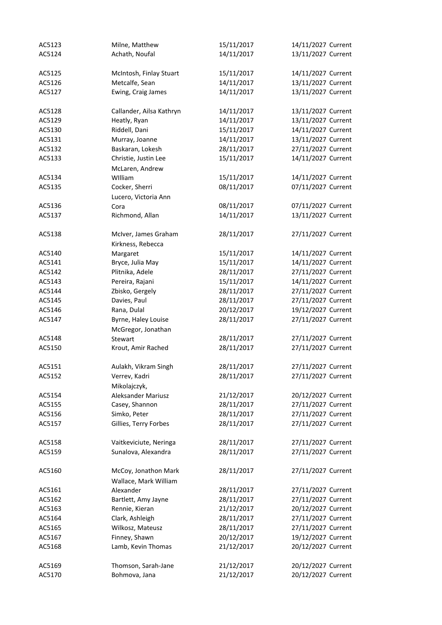| AC5123 | Milne, Matthew                                | 15/11/2017 | 14/11/2027 Current |
|--------|-----------------------------------------------|------------|--------------------|
| AC5124 | Achath, Noufal                                | 14/11/2017 | 13/11/2027 Current |
| AC5125 | McIntosh, Finlay Stuart                       | 15/11/2017 | 14/11/2027 Current |
| AC5126 | Metcalfe, Sean                                | 14/11/2017 | 13/11/2027 Current |
| AC5127 | Ewing, Craig James                            | 14/11/2017 | 13/11/2027 Current |
| AC5128 | Callander, Ailsa Kathryn                      | 14/11/2017 | 13/11/2027 Current |
| AC5129 | Heatly, Ryan                                  | 14/11/2017 | 13/11/2027 Current |
| AC5130 | Riddell, Dani                                 | 15/11/2017 | 14/11/2027 Current |
| AC5131 | Murray, Joanne                                | 14/11/2017 | 13/11/2027 Current |
| AC5132 | Baskaran, Lokesh                              | 28/11/2017 | 27/11/2027 Current |
| AC5133 | Christie, Justin Lee                          | 15/11/2017 | 14/11/2027 Current |
|        | McLaren, Andrew                               |            |                    |
| AC5134 | William                                       | 15/11/2017 | 14/11/2027 Current |
| AC5135 | Cocker, Sherri                                | 08/11/2017 | 07/11/2027 Current |
|        | Lucero, Victoria Ann                          |            |                    |
| AC5136 | Cora                                          | 08/11/2017 | 07/11/2027 Current |
| AC5137 | Richmond, Allan                               | 14/11/2017 | 13/11/2027 Current |
| AC5138 | McIver, James Graham<br>Kirkness, Rebecca     | 28/11/2017 | 27/11/2027 Current |
| AC5140 | Margaret                                      | 15/11/2017 | 14/11/2027 Current |
| AC5141 | Bryce, Julia May                              | 15/11/2017 | 14/11/2027 Current |
| AC5142 | Plitnika, Adele                               | 28/11/2017 | 27/11/2027 Current |
| AC5143 | Pereira, Rajani                               | 15/11/2017 | 14/11/2027 Current |
| AC5144 | Zbisko, Gergely                               | 28/11/2017 | 27/11/2027 Current |
| AC5145 | Davies, Paul                                  | 28/11/2017 | 27/11/2027 Current |
| AC5146 | Rana, Dulal                                   | 20/12/2017 | 19/12/2027 Current |
| AC5147 | Byrne, Haley Louise                           | 28/11/2017 | 27/11/2027 Current |
|        | McGregor, Jonathan                            |            |                    |
| AC5148 | Stewart                                       | 28/11/2017 | 27/11/2027 Current |
| AC5150 | Krout, Amir Rached                            | 28/11/2017 | 27/11/2027 Current |
| AC5151 | Aulakh, Vikram Singh                          | 28/11/2017 | 27/11/2027 Current |
| AC5152 | Verrev, Kadri                                 | 28/11/2017 | 27/11/2027 Current |
|        | Mikolajczyk,                                  |            |                    |
| AC5154 | Aleksander Mariusz                            | 21/12/2017 | 20/12/2027 Current |
| AC5155 | Casey, Shannon                                | 28/11/2017 | 27/11/2027 Current |
| AC5156 | Simko, Peter                                  | 28/11/2017 | 27/11/2027 Current |
| AC5157 | Gillies, Terry Forbes                         | 28/11/2017 | 27/11/2027 Current |
| AC5158 | Vaitkeviciute, Neringa                        | 28/11/2017 | 27/11/2027 Current |
| AC5159 | Sunalova, Alexandra                           | 28/11/2017 | 27/11/2027 Current |
| AC5160 | McCoy, Jonathon Mark<br>Wallace, Mark William | 28/11/2017 | 27/11/2027 Current |
| AC5161 | Alexander                                     | 28/11/2017 | 27/11/2027 Current |
| AC5162 | Bartlett, Amy Jayne                           | 28/11/2017 | 27/11/2027 Current |
| AC5163 | Rennie, Kieran                                | 21/12/2017 | 20/12/2027 Current |
| AC5164 | Clark, Ashleigh                               | 28/11/2017 | 27/11/2027 Current |
| AC5165 | Wilkosz, Mateusz                              | 28/11/2017 | 27/11/2027 Current |
| AC5167 | Finney, Shawn                                 | 20/12/2017 | 19/12/2027 Current |
| AC5168 | Lamb, Kevin Thomas                            | 21/12/2017 | 20/12/2027 Current |
|        |                                               |            |                    |
| AC5169 | Thomson, Sarah-Jane                           | 21/12/2017 | 20/12/2027 Current |
| AC5170 | Bohmova, Jana                                 | 21/12/2017 | 20/12/2027 Current |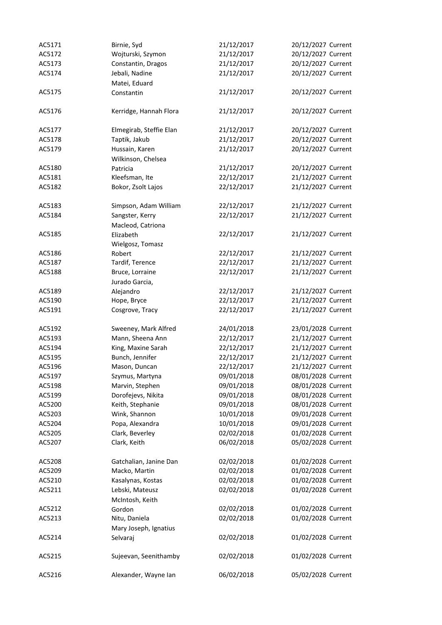| AC5171 | Birnie, Syd             | 21/12/2017 | 20/12/2027 Current |
|--------|-------------------------|------------|--------------------|
| AC5172 | Wojturski, Szymon       | 21/12/2017 | 20/12/2027 Current |
| AC5173 | Constantin, Dragos      | 21/12/2017 | 20/12/2027 Current |
| AC5174 | Jebali, Nadine          | 21/12/2017 | 20/12/2027 Current |
|        | Matei, Eduard           |            |                    |
| AC5175 | Constantin              | 21/12/2017 | 20/12/2027 Current |
| AC5176 | Kerridge, Hannah Flora  | 21/12/2017 | 20/12/2027 Current |
| AC5177 | Elmegirab, Steffie Elan | 21/12/2017 | 20/12/2027 Current |
| AC5178 | Taptik, Jakub           | 21/12/2017 | 20/12/2027 Current |
| AC5179 | Hussain, Karen          | 21/12/2017 | 20/12/2027 Current |
|        | Wilkinson, Chelsea      |            |                    |
| AC5180 | Patricia                | 21/12/2017 | 20/12/2027 Current |
| AC5181 | Kleefsman, Ite          | 22/12/2017 | 21/12/2027 Current |
|        |                         |            |                    |
| AC5182 | Bokor, Zsolt Lajos      | 22/12/2017 | 21/12/2027 Current |
| AC5183 | Simpson, Adam William   | 22/12/2017 | 21/12/2027 Current |
| AC5184 | Sangster, Kerry         | 22/12/2017 | 21/12/2027 Current |
|        | Macleod, Catriona       |            |                    |
| AC5185 | Elizabeth               | 22/12/2017 | 21/12/2027 Current |
|        | Wielgosz, Tomasz        |            |                    |
| AC5186 | Robert                  | 22/12/2017 | 21/12/2027 Current |
| AC5187 | Tardif, Terence         | 22/12/2017 | 21/12/2027 Current |
| AC5188 | Bruce, Lorraine         | 22/12/2017 | 21/12/2027 Current |
|        | Jurado Garcia,          |            |                    |
| AC5189 | Alejandro               | 22/12/2017 | 21/12/2027 Current |
| AC5190 | Hope, Bryce             | 22/12/2017 | 21/12/2027 Current |
| AC5191 | Cosgrove, Tracy         | 22/12/2017 | 21/12/2027 Current |
|        |                         |            |                    |
| AC5192 | Sweeney, Mark Alfred    | 24/01/2018 | 23/01/2028 Current |
| AC5193 | Mann, Sheena Ann        | 22/12/2017 | 21/12/2027 Current |
| AC5194 | King, Maxine Sarah      | 22/12/2017 | 21/12/2027 Current |
| AC5195 | Bunch, Jennifer         | 22/12/2017 | 21/12/2027 Current |
| AC5196 | Mason, Duncan           | 22/12/2017 | 21/12/2027 Current |
| AC5197 | Szymus, Martyna         | 09/01/2018 | 08/01/2028 Current |
| AC5198 | Marvin, Stephen         | 09/01/2018 | 08/01/2028 Current |
| AC5199 | Dorofejevs, Nikita      | 09/01/2018 | 08/01/2028 Current |
| AC5200 | Keith, Stephanie        | 09/01/2018 | 08/01/2028 Current |
| AC5203 | Wink, Shannon           | 10/01/2018 | 09/01/2028 Current |
|        | Popa, Alexandra         | 10/01/2018 | 09/01/2028 Current |
| AC5204 |                         | 02/02/2018 | 01/02/2028 Current |
| AC5205 | Clark, Beverley         |            |                    |
| AC5207 | Clark, Keith            | 06/02/2018 | 05/02/2028 Current |
| AC5208 | Gatchalian, Janine Dan  | 02/02/2018 | 01/02/2028 Current |
| AC5209 | Macko, Martin           | 02/02/2018 | 01/02/2028 Current |
| AC5210 | Kasalynas, Kostas       | 02/02/2018 | 01/02/2028 Current |
| AC5211 | Lebski, Mateusz         | 02/02/2018 | 01/02/2028 Current |
|        | McIntosh, Keith         |            |                    |
| AC5212 | Gordon                  | 02/02/2018 | 01/02/2028 Current |
| AC5213 | Nitu, Daniela           | 02/02/2018 | 01/02/2028 Current |
|        | Mary Joseph, Ignatius   |            |                    |
| AC5214 | Selvaraj                | 02/02/2018 | 01/02/2028 Current |
|        |                         |            |                    |
| AC5215 | Sujeevan, Seenithamby   | 02/02/2018 | 01/02/2028 Current |
|        |                         |            |                    |
| AC5216 | Alexander, Wayne Ian    | 06/02/2018 | 05/02/2028 Current |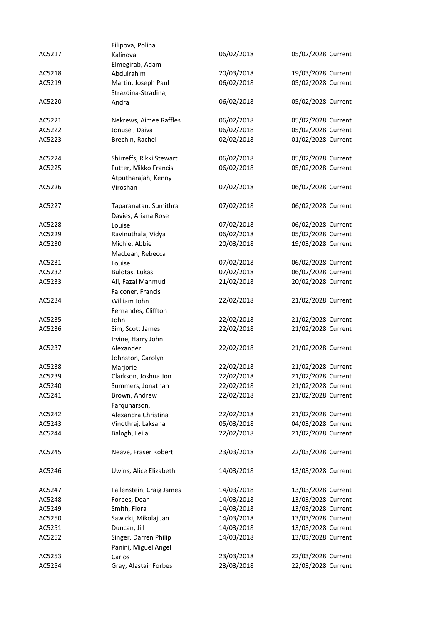|        | Filipova, Polina         |            |                    |
|--------|--------------------------|------------|--------------------|
| AC5217 | Kalinova                 | 06/02/2018 | 05/02/2028 Current |
|        | Elmegirab, Adam          |            |                    |
| AC5218 | Abdulrahim               | 20/03/2018 | 19/03/2028 Current |
| AC5219 | Martin, Joseph Paul      | 06/02/2018 | 05/02/2028 Current |
|        | Strazdina-Stradina,      |            |                    |
| AC5220 | Andra                    | 06/02/2018 | 05/02/2028 Current |
|        |                          |            |                    |
| AC5221 | Nekrews, Aimee Raffles   | 06/02/2018 | 05/02/2028 Current |
| AC5222 | Jonuse, Daiva            | 06/02/2018 | 05/02/2028 Current |
|        | Brechin, Rachel          | 02/02/2018 | 01/02/2028 Current |
| AC5223 |                          |            |                    |
| AC5224 | Shirreffs, Rikki Stewart | 06/02/2018 | 05/02/2028 Current |
| AC5225 | Futter, Mikko Francis    | 06/02/2018 | 05/02/2028 Current |
|        |                          |            |                    |
| AC5226 | Atputharajah, Kenny      | 07/02/2018 | 06/02/2028 Current |
|        | Viroshan                 |            |                    |
| AC5227 | Taparanatan, Sumithra    | 07/02/2018 | 06/02/2028 Current |
|        | Davies, Ariana Rose      |            |                    |
| AC5228 | Louise                   | 07/02/2018 | 06/02/2028 Current |
| AC5229 | Ravinuthala, Vidya       | 06/02/2018 | 05/02/2028 Current |
|        |                          |            |                    |
| AC5230 | Michie, Abbie            | 20/03/2018 | 19/03/2028 Current |
|        | MacLean, Rebecca         |            |                    |
| AC5231 | Louise                   | 07/02/2018 | 06/02/2028 Current |
| AC5232 | Bulotas, Lukas           | 07/02/2018 | 06/02/2028 Current |
| AC5233 | Ali, Fazal Mahmud        | 21/02/2018 | 20/02/2028 Current |
|        | Falconer, Francis        |            |                    |
| AC5234 | William John             | 22/02/2018 | 21/02/2028 Current |
|        | Fernandes, Cliffton      |            |                    |
| AC5235 | John                     | 22/02/2018 | 21/02/2028 Current |
| AC5236 | Sim, Scott James         | 22/02/2018 | 21/02/2028 Current |
|        | Irvine, Harry John       |            |                    |
| AC5237 | Alexander                | 22/02/2018 | 21/02/2028 Current |
|        | Johnston, Carolyn        |            |                    |
| AC5238 | Marjorie                 | 22/02/2018 | 21/02/2028 Current |
| AC5239 | Clarkson, Joshua Jon     | 22/02/2018 | 21/02/2028 Current |
| AC5240 | Summers, Jonathan        | 22/02/2018 | 21/02/2028 Current |
| AC5241 | Brown, Andrew            | 22/02/2018 | 21/02/2028 Current |
|        | Farquharson,             |            |                    |
| AC5242 | Alexandra Christina      | 22/02/2018 | 21/02/2028 Current |
| AC5243 | Vinothraj, Laksana       | 05/03/2018 | 04/03/2028 Current |
| AC5244 | Balogh, Leila            | 22/02/2018 | 21/02/2028 Current |
|        |                          |            |                    |
| AC5245 | Neave, Fraser Robert     | 23/03/2018 | 22/03/2028 Current |
|        |                          |            |                    |
| AC5246 | Uwins, Alice Elizabeth   | 14/03/2018 | 13/03/2028 Current |
|        |                          |            |                    |
| AC5247 | Fallenstein, Craig James | 14/03/2018 | 13/03/2028 Current |
| AC5248 | Forbes, Dean             | 14/03/2018 | 13/03/2028 Current |
| AC5249 | Smith, Flora             | 14/03/2018 | 13/03/2028 Current |
| AC5250 | Sawicki, Mikolaj Jan     | 14/03/2018 | 13/03/2028 Current |
| AC5251 | Duncan, Jill             | 14/03/2018 | 13/03/2028 Current |
| AC5252 | Singer, Darren Philip    | 14/03/2018 | 13/03/2028 Current |
|        | Panini, Miguel Angel     |            |                    |
| AC5253 | Carlos                   | 23/03/2018 | 22/03/2028 Current |
| AC5254 | Gray, Alastair Forbes    | 23/03/2018 | 22/03/2028 Current |
|        |                          |            |                    |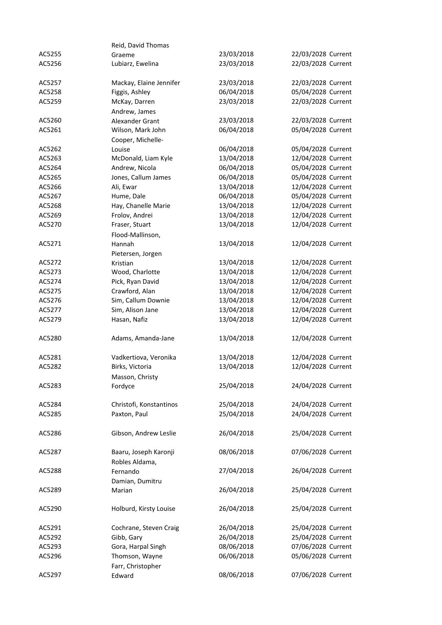|        | Reid, David Thomas        |            |                    |
|--------|---------------------------|------------|--------------------|
| AC5255 | Graeme                    | 23/03/2018 | 22/03/2028 Current |
| AC5256 | Lubiarz, Ewelina          | 23/03/2018 | 22/03/2028 Current |
| AC5257 | Mackay, Elaine Jennifer   | 23/03/2018 | 22/03/2028 Current |
| AC5258 | Figgis, Ashley            | 06/04/2018 | 05/04/2028 Current |
| AC5259 | McKay, Darren             | 23/03/2018 | 22/03/2028 Current |
|        | Andrew, James             |            |                    |
| AC5260 | Alexander Grant           | 23/03/2018 | 22/03/2028 Current |
| AC5261 | Wilson, Mark John         | 06/04/2018 | 05/04/2028 Current |
|        | Cooper, Michelle-         |            |                    |
| AC5262 | Louise                    | 06/04/2018 | 05/04/2028 Current |
| AC5263 | McDonald, Liam Kyle       | 13/04/2018 | 12/04/2028 Current |
| AC5264 | Andrew, Nicola            | 06/04/2018 | 05/04/2028 Current |
| AC5265 | Jones, Callum James       | 06/04/2018 | 05/04/2028 Current |
| AC5266 | Ali, Ewar                 | 13/04/2018 | 12/04/2028 Current |
| AC5267 | Hume, Dale                | 06/04/2018 | 05/04/2028 Current |
| AC5268 | Hay, Chanelle Marie       | 13/04/2018 | 12/04/2028 Current |
| AC5269 | Frolov, Andrei            | 13/04/2018 | 12/04/2028 Current |
| AC5270 | Fraser, Stuart            | 13/04/2018 | 12/04/2028 Current |
|        | Flood-Mallinson,          |            |                    |
| AC5271 | Hannah                    | 13/04/2018 | 12/04/2028 Current |
|        | Pietersen, Jorgen         |            |                    |
| AC5272 | Kristian                  | 13/04/2018 | 12/04/2028 Current |
| AC5273 | Wood, Charlotte           | 13/04/2018 | 12/04/2028 Current |
| AC5274 | Pick, Ryan David          | 13/04/2018 | 12/04/2028 Current |
| AC5275 | Crawford, Alan            | 13/04/2018 | 12/04/2028 Current |
| AC5276 | Sim, Callum Downie        | 13/04/2018 | 12/04/2028 Current |
| AC5277 | Sim, Alison Jane          | 13/04/2018 | 12/04/2028 Current |
| AC5279 | Hasan, Nafiz              | 13/04/2018 | 12/04/2028 Current |
| AC5280 | Adams, Amanda-Jane        | 13/04/2018 | 12/04/2028 Current |
| AC5281 | Vadkertiova, Veronika     | 13/04/2018 | 12/04/2028 Current |
| AC5282 | Birks, Victoria           | 13/04/2018 | 12/04/2028 Current |
|        | Masson, Christy           |            |                    |
| AC5283 | Fordyce                   | 25/04/2018 | 24/04/2028 Current |
| AC5284 | Christofi, Konstantinos   | 25/04/2018 | 24/04/2028 Current |
| AC5285 | Paxton, Paul              | 25/04/2018 | 24/04/2028 Current |
|        |                           |            |                    |
| AC5286 | Gibson, Andrew Leslie     | 26/04/2018 | 25/04/2028 Current |
| AC5287 | Baaru, Joseph Karonji     | 08/06/2018 | 07/06/2028 Current |
| AC5288 | Robles Aldama,            | 27/04/2018 | 26/04/2028 Current |
|        | Fernando                  |            |                    |
| AC5289 | Damian, Dumitru<br>Marian | 26/04/2018 | 25/04/2028 Current |
|        |                           |            |                    |
| AC5290 | Holburd, Kirsty Louise    | 26/04/2018 | 25/04/2028 Current |
| AC5291 | Cochrane, Steven Craig    | 26/04/2018 | 25/04/2028 Current |
| AC5292 | Gibb, Gary                | 26/04/2018 | 25/04/2028 Current |
| AC5293 | Gora, Harpal Singh        | 08/06/2018 | 07/06/2028 Current |
| AC5296 | Thomson, Wayne            | 06/06/2018 | 05/06/2028 Current |
|        | Farr, Christopher         |            |                    |
| AC5297 | Edward                    | 08/06/2018 | 07/06/2028 Current |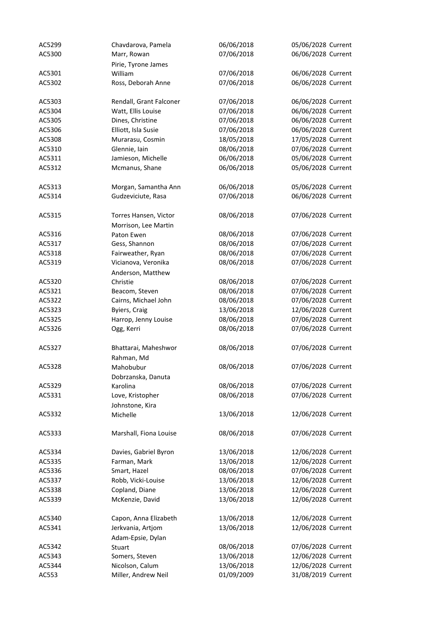| AC5299 | Chavdarova, Pamela      | 06/06/2018 | 05/06/2028 Current |
|--------|-------------------------|------------|--------------------|
| AC5300 | Marr, Rowan             | 07/06/2018 | 06/06/2028 Current |
|        | Pirie, Tyrone James     |            |                    |
| AC5301 | William                 | 07/06/2018 | 06/06/2028 Current |
| AC5302 | Ross, Deborah Anne      | 07/06/2018 | 06/06/2028 Current |
|        |                         |            |                    |
| AC5303 | Rendall, Grant Falconer | 07/06/2018 | 06/06/2028 Current |
| AC5304 | Watt, Ellis Louise      | 07/06/2018 | 06/06/2028 Current |
| AC5305 | Dines, Christine        | 07/06/2018 | 06/06/2028 Current |
| AC5306 | Elliott, Isla Susie     | 07/06/2018 | 06/06/2028 Current |
| AC5308 | Murarasu, Cosmin        | 18/05/2018 | 17/05/2028 Current |
| AC5310 | Glennie, Iain           | 08/06/2018 | 07/06/2028 Current |
| AC5311 | Jamieson, Michelle      | 06/06/2018 | 05/06/2028 Current |
| AC5312 | Mcmanus, Shane          | 06/06/2018 | 05/06/2028 Current |
|        |                         |            |                    |
| AC5313 | Morgan, Samantha Ann    | 06/06/2018 | 05/06/2028 Current |
| AC5314 | Gudzeviciute, Rasa      | 07/06/2018 | 06/06/2028 Current |
|        |                         |            |                    |
| AC5315 | Torres Hansen, Victor   | 08/06/2018 | 07/06/2028 Current |
|        | Morrison, Lee Martin    |            |                    |
| AC5316 | Paton Ewen              | 08/06/2018 | 07/06/2028 Current |
| AC5317 | Gess, Shannon           | 08/06/2018 | 07/06/2028 Current |
| AC5318 | Fairweather, Ryan       | 08/06/2018 | 07/06/2028 Current |
|        |                         | 08/06/2018 | 07/06/2028 Current |
| AC5319 | Vicianova, Veronika     |            |                    |
|        | Anderson, Matthew       |            |                    |
| AC5320 | Christie                | 08/06/2018 | 07/06/2028 Current |
| AC5321 | Beacom, Steven          | 08/06/2018 | 07/06/2028 Current |
| AC5322 | Cairns, Michael John    | 08/06/2018 | 07/06/2028 Current |
| AC5323 | <b>Byiers, Craig</b>    | 13/06/2018 | 12/06/2028 Current |
| AC5325 | Harrop, Jenny Louise    | 08/06/2018 | 07/06/2028 Current |
| AC5326 | Ogg, Kerri              | 08/06/2018 | 07/06/2028 Current |
|        |                         |            |                    |
| AC5327 | Bhattarai, Maheshwor    | 08/06/2018 | 07/06/2028 Current |
|        | Rahman, Md              |            |                    |
| AC5328 | Mahobubur               | 08/06/2018 | 07/06/2028 Current |
|        | Dobrzanska, Danuta      |            |                    |
| AC5329 | Karolina                | 08/06/2018 | 07/06/2028 Current |
| AC5331 | Love, Kristopher        | 08/06/2018 | 07/06/2028 Current |
|        | Johnstone, Kira         |            |                    |
| AC5332 | Michelle                | 13/06/2018 | 12/06/2028 Current |
|        |                         |            |                    |
| AC5333 | Marshall, Fiona Louise  | 08/06/2018 | 07/06/2028 Current |
|        |                         |            |                    |
| AC5334 | Davies, Gabriel Byron   | 13/06/2018 | 12/06/2028 Current |
| AC5335 | Farman, Mark            | 13/06/2018 | 12/06/2028 Current |
| AC5336 | Smart, Hazel            | 08/06/2018 | 07/06/2028 Current |
| AC5337 | Robb, Vicki-Louise      | 13/06/2018 | 12/06/2028 Current |
| AC5338 | Copland, Diane          | 13/06/2018 | 12/06/2028 Current |
| AC5339 | McKenzie, David         | 13/06/2018 | 12/06/2028 Current |
|        |                         |            |                    |
| AC5340 | Capon, Anna Elizabeth   | 13/06/2018 | 12/06/2028 Current |
| AC5341 | Jerkvania, Artjom       | 13/06/2018 | 12/06/2028 Current |
|        | Adam-Epsie, Dylan       |            |                    |
| AC5342 | Stuart                  | 08/06/2018 | 07/06/2028 Current |
| AC5343 | Somers, Steven          | 13/06/2018 | 12/06/2028 Current |
| AC5344 | Nicolson, Calum         | 13/06/2018 | 12/06/2028 Current |
| AC553  | Miller, Andrew Neil     | 01/09/2009 | 31/08/2019 Current |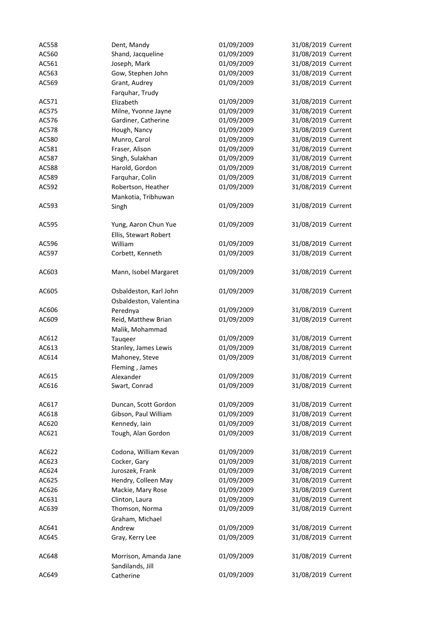| AC558 | Dent, Mandy            | 01/09/2009 | 31/08/2019 Current |
|-------|------------------------|------------|--------------------|
| AC560 | Shand, Jacqueline      | 01/09/2009 | 31/08/2019 Current |
| AC561 | Joseph, Mark           | 01/09/2009 | 31/08/2019 Current |
| AC563 | Gow, Stephen John      | 01/09/2009 | 31/08/2019 Current |
| AC569 | Grant, Audrey          | 01/09/2009 | 31/08/2019 Current |
|       | Farquhar, Trudy        |            |                    |
| AC571 | Elizabeth              | 01/09/2009 | 31/08/2019 Current |
| AC575 | Milne, Yvonne Jayne    | 01/09/2009 | 31/08/2019 Current |
| AC576 | Gardiner, Catherine    | 01/09/2009 | 31/08/2019 Current |
|       |                        |            |                    |
| AC578 | Hough, Nancy           | 01/09/2009 | 31/08/2019 Current |
| AC580 | Munro, Carol           | 01/09/2009 | 31/08/2019 Current |
| AC581 | Fraser, Alison         | 01/09/2009 | 31/08/2019 Current |
| AC587 | Singh, Sulakhan        | 01/09/2009 | 31/08/2019 Current |
| AC588 | Harold, Gordon         | 01/09/2009 | 31/08/2019 Current |
| AC589 | Farquhar, Colin        | 01/09/2009 | 31/08/2019 Current |
| AC592 | Robertson, Heather     | 01/09/2009 | 31/08/2019 Current |
|       | Mankotia, Tribhuwan    |            |                    |
| AC593 | Singh                  | 01/09/2009 | 31/08/2019 Current |
|       |                        |            |                    |
| AC595 | Yung, Aaron Chun Yue   | 01/09/2009 | 31/08/2019 Current |
|       | Ellis, Stewart Robert  |            |                    |
| AC596 | William                | 01/09/2009 | 31/08/2019 Current |
| AC597 | Corbett, Kenneth       | 01/09/2009 | 31/08/2019 Current |
|       |                        |            |                    |
| AC603 | Mann, Isobel Margaret  | 01/09/2009 | 31/08/2019 Current |
|       |                        |            |                    |
| AC605 | Osbaldeston, Karl John | 01/09/2009 | 31/08/2019 Current |
|       | Osbaldeston, Valentina |            |                    |
| AC606 | Perednya               | 01/09/2009 | 31/08/2019 Current |
| AC609 | Reid, Matthew Brian    | 01/09/2009 | 31/08/2019 Current |
|       | Malik, Mohammad        |            |                    |
| AC612 | Tauqeer                | 01/09/2009 | 31/08/2019 Current |
| AC613 | Stanley, James Lewis   | 01/09/2009 | 31/08/2019 Current |
| AC614 | Mahoney, Steve         | 01/09/2009 | 31/08/2019 Current |
|       | Fleming, James         |            |                    |
| AC615 | Alexander              | 01/09/2009 | 31/08/2019 Current |
| AC616 | Swart, Conrad          | 01/09/2009 | 31/08/2019 Current |
|       |                        |            |                    |
| AC617 | Duncan, Scott Gordon   | 01/09/2009 | 31/08/2019 Current |
| AC618 | Gibson, Paul William   | 01/09/2009 | 31/08/2019 Current |
| AC620 | Kennedy, Iain          | 01/09/2009 | 31/08/2019 Current |
| AC621 | Tough, Alan Gordon     | 01/09/2009 | 31/08/2019 Current |
|       |                        |            |                    |
| AC622 | Codona, William Kevan  | 01/09/2009 | 31/08/2019 Current |
| AC623 | Cocker, Gary           | 01/09/2009 | 31/08/2019 Current |
| AC624 | Juroszek, Frank        | 01/09/2009 | 31/08/2019 Current |
| AC625 | Hendry, Colleen May    | 01/09/2009 | 31/08/2019 Current |
| AC626 | Mackie, Mary Rose      | 01/09/2009 | 31/08/2019 Current |
| AC631 | Clinton, Laura         | 01/09/2009 | 31/08/2019 Current |
| AC639 | Thomson, Norma         | 01/09/2009 | 31/08/2019 Current |
|       | Graham, Michael        |            |                    |
| AC641 | Andrew                 | 01/09/2009 | 31/08/2019 Current |
| AC645 | Gray, Kerry Lee        | 01/09/2009 | 31/08/2019 Current |
|       |                        |            |                    |
| AC648 | Morrison, Amanda Jane  | 01/09/2009 | 31/08/2019 Current |
|       | Sandilands, Jill       |            |                    |
| AC649 | Catherine              | 01/09/2009 | 31/08/2019 Current |
|       |                        |            |                    |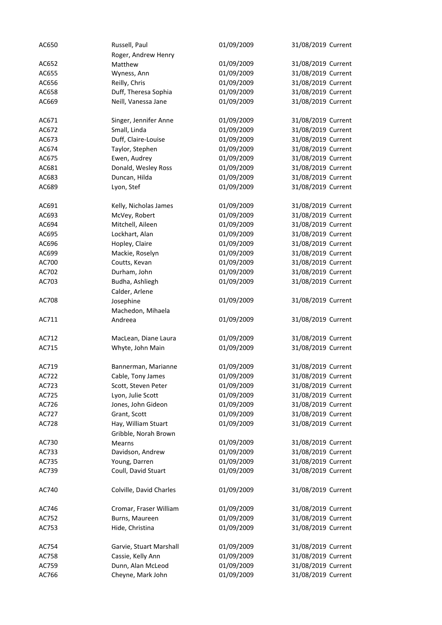| AC650 | Russell, Paul           | 01/09/2009 | 31/08/2019 Current |
|-------|-------------------------|------------|--------------------|
|       | Roger, Andrew Henry     |            |                    |
| AC652 | Matthew                 | 01/09/2009 | 31/08/2019 Current |
| AC655 | Wyness, Ann             | 01/09/2009 | 31/08/2019 Current |
| AC656 | Reilly, Chris           | 01/09/2009 | 31/08/2019 Current |
| AC658 | Duff, Theresa Sophia    | 01/09/2009 | 31/08/2019 Current |
| AC669 | Neill, Vanessa Jane     | 01/09/2009 | 31/08/2019 Current |
|       |                         |            |                    |
| AC671 | Singer, Jennifer Anne   | 01/09/2009 | 31/08/2019 Current |
| AC672 | Small, Linda            | 01/09/2009 | 31/08/2019 Current |
| AC673 | Duff, Claire-Louise     | 01/09/2009 | 31/08/2019 Current |
| AC674 | Taylor, Stephen         | 01/09/2009 | 31/08/2019 Current |
| AC675 | Ewen, Audrey            | 01/09/2009 | 31/08/2019 Current |
| AC681 | Donald, Wesley Ross     | 01/09/2009 | 31/08/2019 Current |
| AC683 | Duncan, Hilda           | 01/09/2009 | 31/08/2019 Current |
| AC689 | Lyon, Stef              | 01/09/2009 | 31/08/2019 Current |
|       |                         |            |                    |
| AC691 | Kelly, Nicholas James   | 01/09/2009 | 31/08/2019 Current |
| AC693 | McVey, Robert           | 01/09/2009 | 31/08/2019 Current |
| AC694 | Mitchell, Aileen        | 01/09/2009 | 31/08/2019 Current |
| AC695 | Lockhart, Alan          | 01/09/2009 | 31/08/2019 Current |
|       |                         |            |                    |
| AC696 | Hopley, Claire          | 01/09/2009 | 31/08/2019 Current |
| AC699 | Mackie, Roselyn         | 01/09/2009 | 31/08/2019 Current |
| AC700 | Coutts, Kevan           | 01/09/2009 | 31/08/2019 Current |
| AC702 | Durham, John            | 01/09/2009 | 31/08/2019 Current |
| AC703 | Budha, Ashliegh         | 01/09/2009 | 31/08/2019 Current |
|       | Calder, Arlene          |            |                    |
| AC708 | Josephine               | 01/09/2009 | 31/08/2019 Current |
|       | Machedon, Mihaela       |            |                    |
| AC711 | Andreea                 | 01/09/2009 | 31/08/2019 Current |
|       |                         |            |                    |
| AC712 | MacLean, Diane Laura    | 01/09/2009 | 31/08/2019 Current |
| AC715 | Whyte, John Main        | 01/09/2009 | 31/08/2019 Current |
|       |                         |            |                    |
| AC719 | Bannerman, Marianne     | 01/09/2009 | 31/08/2019 Current |
| AC722 | Cable, Tony James       | 01/09/2009 | 31/08/2019 Current |
| AC723 | Scott, Steven Peter     | 01/09/2009 | 31/08/2019 Current |
| AC725 | Lyon, Julie Scott       | 01/09/2009 | 31/08/2019 Current |
| AC726 | Jones, John Gideon      | 01/09/2009 | 31/08/2019 Current |
| AC727 | Grant, Scott            | 01/09/2009 | 31/08/2019 Current |
| AC728 | Hay, William Stuart     | 01/09/2009 | 31/08/2019 Current |
|       | Gribble, Norah Brown    |            |                    |
| AC730 | <b>Mearns</b>           | 01/09/2009 | 31/08/2019 Current |
| AC733 | Davidson, Andrew        | 01/09/2009 | 31/08/2019 Current |
| AC735 | Young, Darren           | 01/09/2009 | 31/08/2019 Current |
| AC739 | Coull, David Stuart     | 01/09/2009 | 31/08/2019 Current |
|       |                         |            |                    |
| AC740 | Colville, David Charles | 01/09/2009 | 31/08/2019 Current |
|       |                         |            |                    |
| AC746 | Cromar, Fraser William  | 01/09/2009 | 31/08/2019 Current |
| AC752 | Burns, Maureen          | 01/09/2009 | 31/08/2019 Current |
| AC753 | Hide, Christina         | 01/09/2009 | 31/08/2019 Current |
|       |                         |            |                    |
| AC754 | Garvie, Stuart Marshall | 01/09/2009 | 31/08/2019 Current |
| AC758 | Cassie, Kelly Ann       | 01/09/2009 | 31/08/2019 Current |
| AC759 | Dunn, Alan McLeod       | 01/09/2009 | 31/08/2019 Current |
| AC766 | Cheyne, Mark John       | 01/09/2009 | 31/08/2019 Current |
|       |                         |            |                    |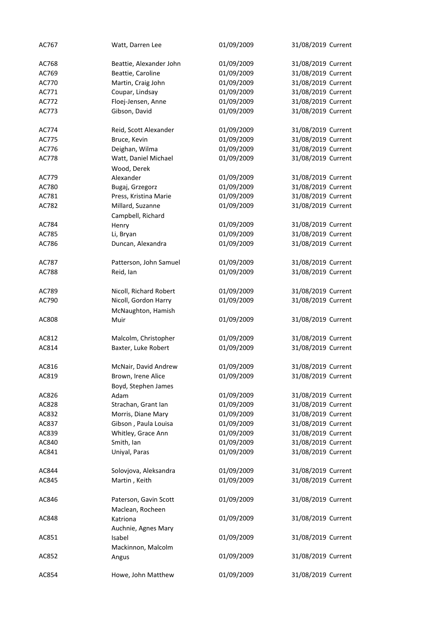| AC767 | Watt, Darren Lee        | 01/09/2009 | 31/08/2019 Current |
|-------|-------------------------|------------|--------------------|
| AC768 | Beattie, Alexander John | 01/09/2009 | 31/08/2019 Current |
| AC769 | Beattie, Caroline       | 01/09/2009 | 31/08/2019 Current |
| AC770 | Martin, Craig John      | 01/09/2009 | 31/08/2019 Current |
| AC771 | Coupar, Lindsay         | 01/09/2009 | 31/08/2019 Current |
| AC772 | Floej-Jensen, Anne      | 01/09/2009 | 31/08/2019 Current |
| AC773 | Gibson, David           | 01/09/2009 | 31/08/2019 Current |
|       |                         |            |                    |
| AC774 | Reid, Scott Alexander   | 01/09/2009 | 31/08/2019 Current |
| AC775 | Bruce, Kevin            | 01/09/2009 | 31/08/2019 Current |
| AC776 | Deighan, Wilma          | 01/09/2009 | 31/08/2019 Current |
| AC778 | Watt, Daniel Michael    | 01/09/2009 | 31/08/2019 Current |
|       | Wood, Derek             |            |                    |
| AC779 | Alexander               | 01/09/2009 | 31/08/2019 Current |
| AC780 | Bugaj, Grzegorz         | 01/09/2009 | 31/08/2019 Current |
| AC781 | Press, Kristina Marie   | 01/09/2009 | 31/08/2019 Current |
| AC782 | Millard, Suzanne        | 01/09/2009 | 31/08/2019 Current |
|       | Campbell, Richard       |            |                    |
| AC784 | Henry                   | 01/09/2009 | 31/08/2019 Current |
| AC785 | Li, Bryan               | 01/09/2009 | 31/08/2019 Current |
| AC786 | Duncan, Alexandra       | 01/09/2009 | 31/08/2019 Current |
|       |                         |            |                    |
| AC787 | Patterson, John Samuel  | 01/09/2009 | 31/08/2019 Current |
| AC788 | Reid, Ian               | 01/09/2009 | 31/08/2019 Current |
| AC789 | Nicoll, Richard Robert  | 01/09/2009 | 31/08/2019 Current |
| AC790 | Nicoll, Gordon Harry    | 01/09/2009 | 31/08/2019 Current |
|       | McNaughton, Hamish      |            |                    |
| AC808 | Muir                    | 01/09/2009 | 31/08/2019 Current |
| AC812 | Malcolm, Christopher    | 01/09/2009 | 31/08/2019 Current |
|       | Baxter, Luke Robert     | 01/09/2009 | 31/08/2019 Current |
| AC814 |                         |            |                    |
| AC816 | McNair, David Andrew    | 01/09/2009 | 31/08/2019 Current |
| AC819 | Brown, Irene Alice      | 01/09/2009 | 31/08/2019 Current |
|       | Boyd, Stephen James     |            |                    |
| AC826 | Adam                    | 01/09/2009 | 31/08/2019 Current |
| AC828 | Strachan, Grant Ian     | 01/09/2009 | 31/08/2019 Current |
| AC832 | Morris, Diane Mary      | 01/09/2009 | 31/08/2019 Current |
| AC837 | Gibson, Paula Louisa    | 01/09/2009 | 31/08/2019 Current |
| AC839 | Whitley, Grace Ann      | 01/09/2009 | 31/08/2019 Current |
| AC840 | Smith, Ian              | 01/09/2009 | 31/08/2019 Current |
| AC841 | Uniyal, Paras           | 01/09/2009 | 31/08/2019 Current |
|       |                         |            |                    |
| AC844 | Solovjova, Aleksandra   | 01/09/2009 | 31/08/2019 Current |
| AC845 | Martin, Keith           | 01/09/2009 | 31/08/2019 Current |
| AC846 | Paterson, Gavin Scott   | 01/09/2009 | 31/08/2019 Current |
|       | Maclean, Rocheen        |            |                    |
| AC848 | Katriona                | 01/09/2009 | 31/08/2019 Current |
|       | Auchnie, Agnes Mary     |            |                    |
| AC851 | Isabel                  | 01/09/2009 | 31/08/2019 Current |
|       | Mackinnon, Malcolm      |            |                    |
| AC852 | Angus                   | 01/09/2009 | 31/08/2019 Current |
| AC854 | Howe, John Matthew      | 01/09/2009 | 31/08/2019 Current |